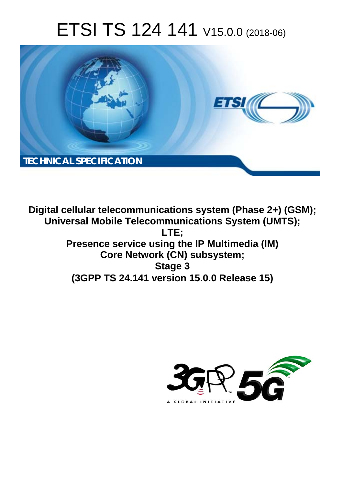# ETSI TS 124 141 V15.0.0 (2018-06)



**Digital cellular telecommunications system (Phase 2+) (GSM); Universal Mobile Telecommunications System (UMTS); LTE; Presence service using the IP Multimedia (IM) Core Network (CN) subsystem; Stage 3 (3GPP TS 24.141 version 15.0.0 Release 15)** 

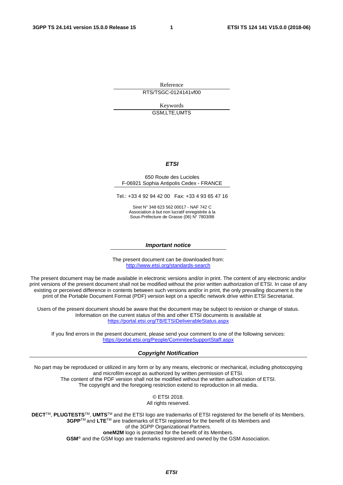Reference

RTS/TSGC-0124141vf00

Keywords GSM,LTE,UMTS

### *ETSI*

#### 650 Route des Lucioles F-06921 Sophia Antipolis Cedex - FRANCE

Tel.: +33 4 92 94 42 00 Fax: +33 4 93 65 47 16

Siret N° 348 623 562 00017 - NAF 742 C Association à but non lucratif enregistrée à la Sous-Préfecture de Grasse (06) N° 7803/88

#### *Important notice*

The present document can be downloaded from: <http://www.etsi.org/standards-search>

The present document may be made available in electronic versions and/or in print. The content of any electronic and/or print versions of the present document shall not be modified without the prior written authorization of ETSI. In case of any existing or perceived difference in contents between such versions and/or in print, the only prevailing document is the print of the Portable Document Format (PDF) version kept on a specific network drive within ETSI Secretariat.

Users of the present document should be aware that the document may be subject to revision or change of status. Information on the current status of this and other ETSI documents is available at <https://portal.etsi.org/TB/ETSIDeliverableStatus.aspx>

If you find errors in the present document, please send your comment to one of the following services: <https://portal.etsi.org/People/CommiteeSupportStaff.aspx>

#### *Copyright Notification*

No part may be reproduced or utilized in any form or by any means, electronic or mechanical, including photocopying and microfilm except as authorized by written permission of ETSI. The content of the PDF version shall not be modified without the written authorization of ETSI. The copyright and the foregoing restriction extend to reproduction in all media.

> © ETSI 2018. All rights reserved.

**DECT**TM, **PLUGTESTS**TM, **UMTS**TM and the ETSI logo are trademarks of ETSI registered for the benefit of its Members. **3GPP**TM and **LTE**TM are trademarks of ETSI registered for the benefit of its Members and of the 3GPP Organizational Partners. **oneM2M** logo is protected for the benefit of its Members.

**GSM**® and the GSM logo are trademarks registered and owned by the GSM Association.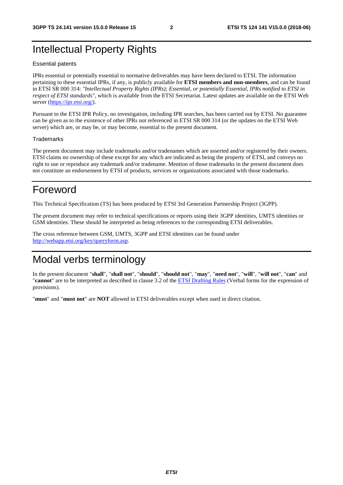## Intellectual Property Rights

#### Essential patents

IPRs essential or potentially essential to normative deliverables may have been declared to ETSI. The information pertaining to these essential IPRs, if any, is publicly available for **ETSI members and non-members**, and can be found in ETSI SR 000 314: *"Intellectual Property Rights (IPRs); Essential, or potentially Essential, IPRs notified to ETSI in respect of ETSI standards"*, which is available from the ETSI Secretariat. Latest updates are available on the ETSI Web server ([https://ipr.etsi.org/\)](https://ipr.etsi.org/).

Pursuant to the ETSI IPR Policy, no investigation, including IPR searches, has been carried out by ETSI. No guarantee can be given as to the existence of other IPRs not referenced in ETSI SR 000 314 (or the updates on the ETSI Web server) which are, or may be, or may become, essential to the present document.

### **Trademarks**

The present document may include trademarks and/or tradenames which are asserted and/or registered by their owners. ETSI claims no ownership of these except for any which are indicated as being the property of ETSI, and conveys no right to use or reproduce any trademark and/or tradename. Mention of those trademarks in the present document does not constitute an endorsement by ETSI of products, services or organizations associated with those trademarks.

## Foreword

This Technical Specification (TS) has been produced by ETSI 3rd Generation Partnership Project (3GPP).

The present document may refer to technical specifications or reports using their 3GPP identities, UMTS identities or GSM identities. These should be interpreted as being references to the corresponding ETSI deliverables.

The cross reference between GSM, UMTS, 3GPP and ETSI identities can be found under [http://webapp.etsi.org/key/queryform.asp.](http://webapp.etsi.org/key/queryform.asp)

## Modal verbs terminology

In the present document "**shall**", "**shall not**", "**should**", "**should not**", "**may**", "**need not**", "**will**", "**will not**", "**can**" and "**cannot**" are to be interpreted as described in clause 3.2 of the [ETSI Drafting Rules](https://portal.etsi.org/Services/editHelp!/Howtostart/ETSIDraftingRules.aspx) (Verbal forms for the expression of provisions).

"**must**" and "**must not**" are **NOT** allowed in ETSI deliverables except when used in direct citation.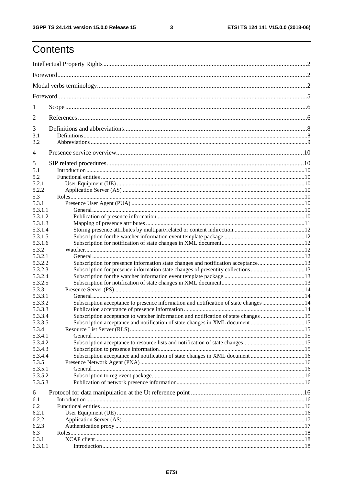$\mathbf{3}$ 

# Contents

| 1                  |                                                                                     |  |  |
|--------------------|-------------------------------------------------------------------------------------|--|--|
| 2                  |                                                                                     |  |  |
| 3                  |                                                                                     |  |  |
| 3.1                |                                                                                     |  |  |
| 3.2                |                                                                                     |  |  |
| 4                  |                                                                                     |  |  |
| 5                  |                                                                                     |  |  |
| 5.1                |                                                                                     |  |  |
| 5.2                |                                                                                     |  |  |
| 5.2.1              |                                                                                     |  |  |
| 5.2.2              |                                                                                     |  |  |
| 5.3                |                                                                                     |  |  |
| 5.3.1              |                                                                                     |  |  |
| 5.3.1.1            |                                                                                     |  |  |
| 5.3.1.2            |                                                                                     |  |  |
| 5.3.1.3            |                                                                                     |  |  |
| 5.3.1.4            |                                                                                     |  |  |
| 5.3.1.5            |                                                                                     |  |  |
| 5.3.1.6            |                                                                                     |  |  |
| 5.3.2              |                                                                                     |  |  |
| 5.3.2.1            |                                                                                     |  |  |
| 5.3.2.2<br>5.3.2.3 | Subscription for presence information state changes and notification acceptance13   |  |  |
| 5.3.2.4            | Subscription for presence information state changes of presentity collections13     |  |  |
| 5.3.2.5            |                                                                                     |  |  |
| 5.3.3              |                                                                                     |  |  |
| 5.3.3.1            |                                                                                     |  |  |
| 5.3.3.2            | Subscription acceptance to presence information and notification of state changes14 |  |  |
| 5.3.3.3            |                                                                                     |  |  |
| 5.3.3.4            | Subscription acceptance to watcher information and notification of state changes 15 |  |  |
| 5.3.3.5            |                                                                                     |  |  |
| 5.3.4              |                                                                                     |  |  |
| 5.3.4.1            |                                                                                     |  |  |
| 5.3.4.2            |                                                                                     |  |  |
| 5.3.4.3            |                                                                                     |  |  |
| 5.3.4.4            | Subscription acceptance and notification of state changes in XML document 16        |  |  |
| 5.3.5              |                                                                                     |  |  |
| 5.3.5.1            |                                                                                     |  |  |
| 5.3.5.2            |                                                                                     |  |  |
| 5.3.5.3            |                                                                                     |  |  |
|                    |                                                                                     |  |  |
| 6<br>6.1           |                                                                                     |  |  |
| 6.2                |                                                                                     |  |  |
| 6.2.1              |                                                                                     |  |  |
| 6.2.2              |                                                                                     |  |  |
| 6.2.3              |                                                                                     |  |  |
| 6.3                |                                                                                     |  |  |
| 6.3.1              |                                                                                     |  |  |
| 6.3.1.1            |                                                                                     |  |  |
|                    |                                                                                     |  |  |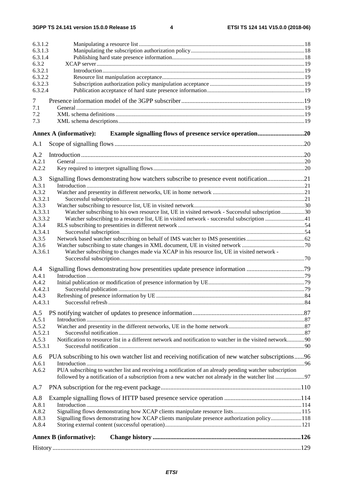| 6.3.1.2          |                                                                                                           |    |
|------------------|-----------------------------------------------------------------------------------------------------------|----|
| 6.3.1.3          |                                                                                                           |    |
| 6.3.1.4          |                                                                                                           |    |
| 6.3.2<br>6.3.2.1 |                                                                                                           |    |
| 6.3.2.2          |                                                                                                           |    |
| 6.3.2.3          |                                                                                                           |    |
| 6.3.2.4          |                                                                                                           |    |
| 7                |                                                                                                           |    |
| 7.1              |                                                                                                           |    |
| 7.2              |                                                                                                           |    |
| 7.3              |                                                                                                           |    |
|                  | <b>Annex A (informative):</b>                                                                             |    |
| A.1              |                                                                                                           |    |
|                  |                                                                                                           |    |
| A.2<br>A.2.1     |                                                                                                           |    |
| A.2.2            |                                                                                                           |    |
|                  |                                                                                                           |    |
| A.3<br>A.3.1     | Signalling flows demonstrating how watchers subscribe to presence event notification21                    |    |
| A.3.2            |                                                                                                           |    |
| A.3.2.1          |                                                                                                           |    |
| A.3.3            |                                                                                                           |    |
| A.3.3.1          | Watcher subscribing to his own resource list, UE in visited network - Successful subscription30           |    |
| A.3.3.2          | Watcher subscribing to a resource list, UE in visited network - successful subscription 41                |    |
| A.3.4<br>A.3.4.1 |                                                                                                           |    |
| A.3.5            |                                                                                                           |    |
| A.3.6            |                                                                                                           |    |
| A.3.6.1          | Watcher subscribing to changes made via XCAP in his resource list, UE in visited network -                |    |
|                  |                                                                                                           |    |
| A.4              | Signalling flows demonstrating how presentities update presence information 79                            |    |
| A.4.1            |                                                                                                           |    |
| A.4.2            |                                                                                                           |    |
| A.4.2.1<br>A.4.3 |                                                                                                           | 84 |
| A.4.3.1          |                                                                                                           |    |
|                  |                                                                                                           |    |
| A.5<br>A.5.1     |                                                                                                           |    |
| A.5.2            |                                                                                                           |    |
| A.5.2.1          |                                                                                                           |    |
| A.5.3            | Notification to resource list in a different network and notification to watcher in the visited network90 |    |
| A.5.3.1          |                                                                                                           |    |
| A.6              | PUA subscribing to his own watcher list and receiving notification of new watcher subscriptions96         |    |
| A.6.1            |                                                                                                           |    |
| A.6.2            | PUA subscribing to watcher list and receiving a notification of an already pending watcher subscription   |    |
|                  |                                                                                                           |    |
| A.7              |                                                                                                           |    |
| A.8              |                                                                                                           |    |
| A.8.1            |                                                                                                           |    |
| A.8.2            |                                                                                                           |    |
| A.8.3<br>A.8.4   | Signalling flows demonstrating how XCAP clients manipulate presence authorization policy118               |    |
|                  |                                                                                                           |    |
|                  | <b>Annex B</b> (informative):                                                                             |    |
|                  |                                                                                                           |    |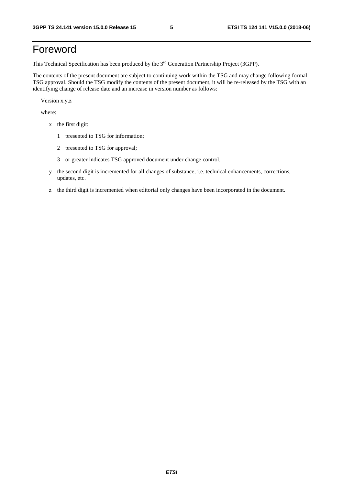## Foreword

This Technical Specification has been produced by the 3rd Generation Partnership Project (3GPP).

The contents of the present document are subject to continuing work within the TSG and may change following formal TSG approval. Should the TSG modify the contents of the present document, it will be re-released by the TSG with an identifying change of release date and an increase in version number as follows:

Version x.y.z

where:

- x the first digit:
	- 1 presented to TSG for information;
	- 2 presented to TSG for approval;
	- 3 or greater indicates TSG approved document under change control.
- y the second digit is incremented for all changes of substance, i.e. technical enhancements, corrections, updates, etc.
- z the third digit is incremented when editorial only changes have been incorporated in the document.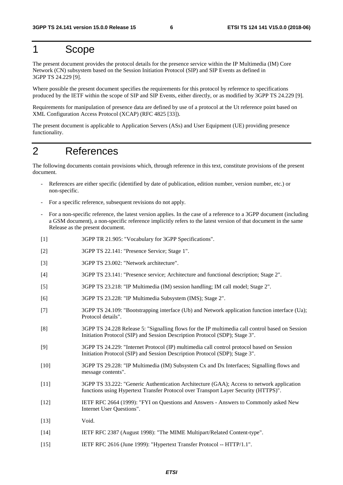## 1 Scope

The present document provides the protocol details for the presence service within the IP Multimedia (IM) Core Network (CN) subsystem based on the Session Initiation Protocol (SIP) and SIP Events as defined in 3GPP TS 24.229 [9].

Where possible the present document specifies the requirements for this protocol by reference to specifications produced by the IETF within the scope of SIP and SIP Events, either directly, or as modified by 3GPP TS 24.229 [9].

Requirements for manipulation of presence data are defined by use of a protocol at the Ut reference point based on XML Configuration Access Protocol (XCAP) (RFC 4825 [33]).

The present document is applicable to Application Servers (ASs) and User Equipment (UE) providing presence functionality.

## 2 References

The following documents contain provisions which, through reference in this text, constitute provisions of the present document.

- References are either specific (identified by date of publication, edition number, version number, etc.) or non-specific.
- For a specific reference, subsequent revisions do not apply.
- For a non-specific reference, the latest version applies. In the case of a reference to a 3GPP document (including a GSM document), a non-specific reference implicitly refers to the latest version of that document in the same Release as the present document.
- [1] 3GPP TR 21.905: "Vocabulary for 3GPP Specifications".
- [2] 3GPP TS 22.141: "Presence Service; Stage 1".
- [3] 3GPP TS 23.002: "Network architecture".
- [4] 3GPP TS 23.141: "Presence service; Architecture and functional description; Stage 2".
- [5] 3GPP TS 23.218: "IP Multimedia (IM) session handling; IM call model; Stage 2".
- [6] 3GPP TS 23.228: "IP Multimedia Subsystem (IMS); Stage 2".
- [7] 3GPP TS 24.109: "Bootstrapping interface (Ub) and Network application function interface (Ua); Protocol details".
- [8] 3GPP TS 24.228 Release 5: "Signalling flows for the IP multimedia call control based on Session Initiation Protocol (SIP) and Session Description Protocol (SDP); Stage 3".
- [9] 3GPP TS 24.229: "Internet Protocol (IP) multimedia call control protocol based on Session Initiation Protocol (SIP) and Session Description Protocol (SDP); Stage 3".
- [10] 3GPP TS 29.228: "IP Multimedia (IM) Subsystem Cx and Dx Interfaces; Signalling flows and message contents".
- [11] 3GPP TS 33.222: "Generic Authentication Architecture (GAA); Access to network application functions using Hypertext Transfer Protocol over Transport Layer Security (HTTPS)".
- [12] IETF RFC 2664 (1999): "FYI on Questions and Answers Answers to Commonly asked New Internet User Questions".
- [13] Void.
- [14] IETF RFC 2387 (August 1998): "The MIME Multipart/Related Content-type".
- [15] IETF RFC 2616 (June 1999): "Hypertext Transfer Protocol -- HTTP/1.1".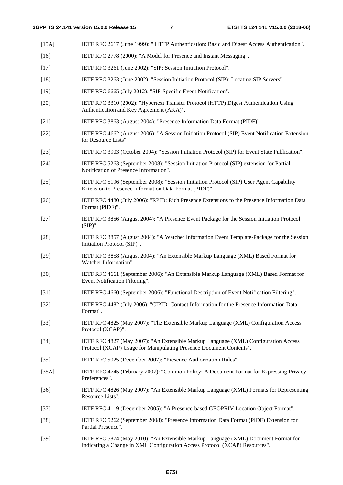[15A] IETF RFC 2617 (June 1999): " HTTP Authentication: Basic and Digest Access Authentication".

- [16] IETF RFC 2778 (2000): "A Model for Presence and Instant Messaging". [17] IETF RFC 3261 (June 2002): "SIP: Session Initiation Protocol". [18] IETF RFC 3263 (June 2002): "Session Initiation Protocol (SIP): Locating SIP Servers". [19] IETF RFC 6665 (July 2012): "SIP-Specific Event Notification". [20] IETF RFC 3310 (2002): "Hypertext Transfer Protocol (HTTP) Digest Authentication Using Authentication and Key Agreement (AKA)". [21] IETF RFC 3863 (August 2004): "Presence Information Data Format (PIDF)". [22] IETF RFC 4662 (August 2006): "A Session Initiation Protocol (SIP) Event Notification Extension for Resource Lists". [23] IETF RFC 3903 (October 2004): "Session Initiation Protocol (SIP) for Event State Publication". [24] IETF RFC 5263 (September 2008): "Session Initiation Protocol (SIP) extension for Partial Notification of Presence Information". [25] IETF RFC 5196 (September 2008): "Session Initiation Protocol (SIP) User Agent Capability Extension to Presence Information Data Format (PIDF)". [26] IETF RFC 4480 (July 2006): "RPID: Rich Presence Extensions to the Presence Information Data Format (PIDF)". [27] IETF RFC 3856 (August 2004): "A Presence Event Package for the Session Initiation Protocol (SIP)". [28] IETF RFC 3857 (August 2004): "A Watcher Information Event Template-Package for the Session Initiation Protocol (SIP)". [29] IETF RFC 3858 (August 2004): "An Extensible Markup Language (XML) Based Format for Watcher Information". [30] IETF RFC 4661 (September 2006): "An Extensible Markup Language (XML) Based Format for Event Notification Filtering". [31] IETF RFC 4660 (September 2006): "Functional Description of Event Notification Filtering". [32] IETF RFC 4482 (July 2006): "CIPID: Contact Information for the Presence Information Data Format". [33] IETF RFC 4825 (May 2007): "The Extensible Markup Language (XML) Configuration Access Protocol (XCAP)". [34] IETF RFC 4827 (May 2007): "An Extensible Markup Language (XML) Configuration Access Protocol (XCAP) Usage for Manipulating Presence Document Contents". [35] IETF RFC 5025 (December 2007): "Presence Authorization Rules". [35A] IETF RFC 4745 (February 2007): "Common Policy: A Document Format for Expressing Privacy Preferences". [36] IETF RFC 4826 (May 2007): "An Extensible Markup Language (XML) Formats for Representing Resource Lists". [37] IETF RFC 4119 (December 2005): "A Presence-based GEOPRIV Location Object Format". [38] IETF RFC 5262 (September 2008): "Presence Information Data Format (PIDF) Extension for Partial Presence".
	- [39] IETF RFC 5874 (May 2010): "An Extensible Markup Language (XML) Document Format for Indicating a Change in XML Configuration Access Protocol (XCAP) Resources".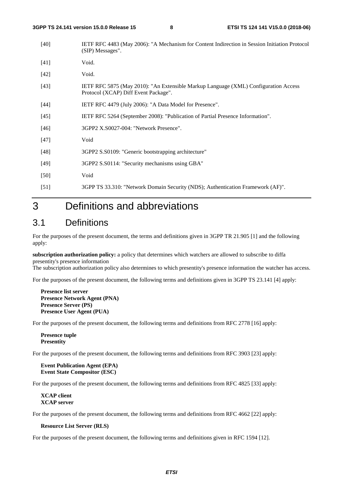- [40] IETF RFC 4483 (May 2006): "A Mechanism for Content Indirection in Session Initiation Protocol (SIP) Messages".
- [41] **Void.**
- [42] **Void.**
- [43] IETF RFC 5875 (May 2010): "An Extensible Markup Language (XML) Configuration Access Protocol (XCAP) Diff Event Package".
- [44] **IETF RFC 4479 (July 2006): "A Data Model for Presence".**
- [45] IETF RFC 5264 (September 2008): "Publication of Partial Presence Information".
- [46] 3GPP2 X.S0027-004: "Network Presence".
- [47] Void
- [48] 3GPP2 S.S0109: "Generic bootstrapping architecture"
- [49] 3GPP2 S.S0114: "Security mechanisms using GBA"
- [50] Void
- [51] 3GPP TS 33.310: "Network Domain Security (NDS); Authentication Framework (AF)".

## 3 Definitions and abbreviations

## 3.1 Definitions

For the purposes of the present document, the terms and definitions given in 3GPP TR 21.905 [1] and the following apply:

**subscription authorization policy:** a policy that determines which watchers are allowed to subscribe to diffa presentity's presence information

The subscription authorization policy also determines to which presentity's presence information the watcher has access.

For the purposes of the present document, the following terms and definitions given in 3GPP TS 23.141 [4] apply:

**Presence list server Presence Network Agent (PNA) Presence Server (PS) Presence User Agent (PUA)** 

For the purposes of the present document, the following terms and definitions from RFC 2778 [16] apply:

**Presence tuple Presentity**

For the purposes of the present document, the following terms and definitions from RFC 3903 [23] apply:

**Event Publication Agent (EPA) Event State Compositor (ESC)** 

For the purposes of the present document, the following terms and definitions from RFC 4825 [33] apply:

**XCAP client XCAP server** 

For the purposes of the present document, the following terms and definitions from RFC 4662 [22] apply:

### **Resource List Server (RLS)**

For the purposes of the present document, the following terms and definitions given in RFC 1594 [12].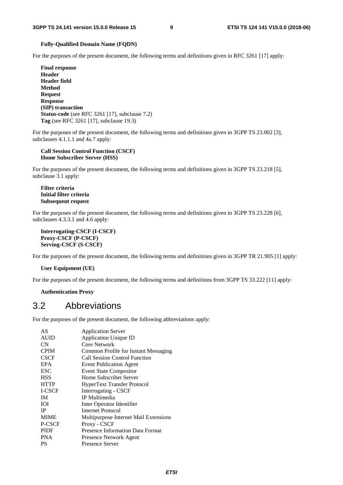#### **Fully-Qualified Domain Name (FQDN)**

For the purposes of the present document, the following terms and definitions given in RFC 3261 [17] apply:

**Final response Header Header field Method Request Response (SIP) transaction Status-code** (see RFC 3261 [17], subclause 7.2) **Tag** (see RFC 3261 [17], subclause 19.3)

For the purposes of the present document, the following terms and definitions given in 3GPP TS 23.002 [3], subclauses 4.1.1.1 and 4a.7 apply:

### **Call Session Control Function (CSCF) Home Subscriber Server (HSS)**

For the purposes of the present document, the following terms and definitions given in 3GPP TS 23.218 [5], subclause 3.1 apply:

**Filter criteria Initial filter criteria Subsequent request** 

For the purposes of the present document, the following terms and definitions given in 3GPP TS 23.228 [6], subclauses 4.3.3.1 and 4.6 apply:

**Interrogating-CSCF (I-CSCF) Proxy-CSCF (P-CSCF) Serving-CSCF (S-CSCF)** 

For the purposes of the present document, the following terms and definitions given in 3GPP TR 21.905 [1] apply:

### **User Equipment (UE)**

For the purposes of the present document, the following terms and definitions from 3GPP TS 33.222 [11] apply:

**Authentication Proxy** 

## 3.2 Abbreviations

For the purposes of the present document, the following abbreviations apply:

| AS          | <b>Application Server</b>               |
|-------------|-----------------------------------------|
| <b>AUID</b> | <b>Application Unique ID</b>            |
| <b>CN</b>   | Core Network                            |
| <b>CPIM</b> | Common Profile for Instant Messaging    |
| <b>CSCF</b> | Call Session Control Function           |
| <b>EPA</b>  | <b>Event Publication Agent</b>          |
| <b>ESC</b>  | <b>Event State Compositor</b>           |
| <b>HSS</b>  | Home Subscriber Server                  |
| <b>HTTP</b> | HyperText Transfer Protocol             |
| I-CSCF      | Interrogating - CSCF                    |
| IM          | IP Multimedia                           |
| ЮI          | Inter Operator Identifier               |
| <b>IP</b>   | Internet Protocol                       |
| <b>MIME</b> | Multipurpose Internet Mail Extensions   |
| P-CSCF      | Proxy - CSCF                            |
| <b>PIDF</b> | <b>Presence Information Data Format</b> |
| <b>PNA</b>  | Presence Network Agent                  |
| PS          | <b>Presence Server</b>                  |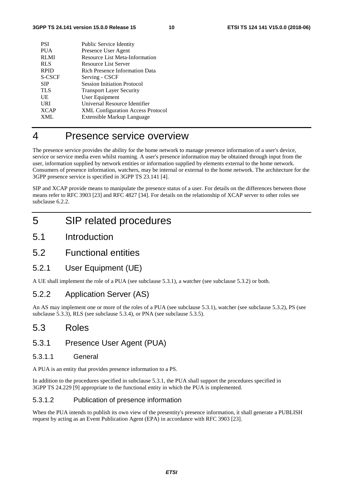| <b>PSI</b>    | Public Service Identity                  |
|---------------|------------------------------------------|
| <b>PUA</b>    | Presence User Agent                      |
| <b>RLMI</b>   | Resource List Meta-Information           |
| <b>RLS</b>    | <b>Resource List Server</b>              |
| <b>RPID</b>   | <b>Rich Presence Information Data</b>    |
| <b>S-CSCF</b> | Serving - CSCF                           |
| <b>SIP</b>    | <b>Session Initiation Protocol</b>       |
| <b>TLS</b>    | <b>Transport Layer Security</b>          |
| UE            | User Equipment                           |
| <b>URI</b>    | Universal Resource Identifier            |
| <b>XCAP</b>   | <b>XML Configuration Access Protocol</b> |
| <b>XML</b>    | Extensible Markup Language               |

## 4 Presence service overview

The presence service provides the ability for the home network to manage presence information of a user's device, service or service media even whilst roaming. A user's presence information may be obtained through input from the user, information supplied by network entities or information supplied by elements external to the home network. Consumers of presence information, watchers, may be internal or external to the home network. The architecture for the 3GPP presence service is specified in 3GPP TS 23.141 [4].

SIP and XCAP provide means to manipulate the presence status of a user. For details on the differences between those means refer to RFC 3903 [23] and RFC 4827 [34]. For details on the relationship of XCAP server to other roles see subclause 6.2.2.

## 5 SIP related procedures

- 5.1 Introduction
- 5.2 Functional entities

## 5.2.1 User Equipment (UE)

A UE shall implement the role of a PUA (see subclause 5.3.1), a watcher (see subclause 5.3.2) or both.

## 5.2.2 Application Server (AS)

An AS may implement one or more of the roles of a PUA (see subclause 5.3.1), watcher (see subclause 5.3.2), PS (see subclause 5.3.3), RLS (see subclause 5.3.4), or PNA (see subclause 5.3.5).

## 5.3 Roles

## 5.3.1 Presence User Agent (PUA)

## 5.3.1.1 General

A PUA is an entity that provides presence information to a PS.

In addition to the procedures specified in subclause 5.3.1, the PUA shall support the procedures specified in 3GPP TS 24.229 [9] appropriate to the functional entity in which the PUA is implemented.

## 5.3.1.2 Publication of presence information

When the PUA intends to publish its own view of the presentity's presence information, it shall generate a PUBLISH request by acting as an Event Publication Agent (EPA) in accordance with RFC 3903 [23].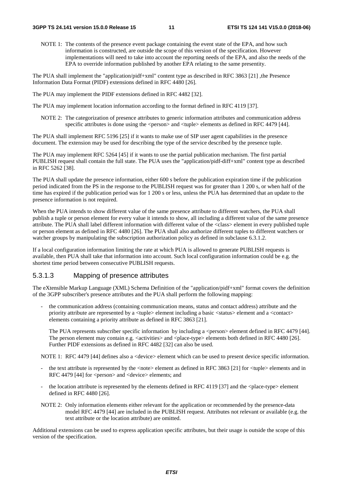NOTE 1: The contents of the presence event package containing the event state of the EPA, and how such information is constructed, are outside the scope of this version of the specification. However implementations will need to take into account the reporting needs of the EPA, and also the needs of the EPA to override information published by another EPA relating to the same presentity.

The PUA shall implement the "application/pidf+xml" content type as described in RFC 3863 [21] ,the Presence Information Data Format (PIDF) extensions defined in RFC 4480 [26].

The PUA may implement the PIDF extensions defined in RFC 4482 [32].

The PUA may implement location information according to the format defined in RFC 4119 [37].

NOTE 2: The categorization of presence attributes to generic information attributes and communication address specific attributes is done using the  $\langle$  person $\rangle$  and  $\langle$  tuple $\rangle$  elements as defined in RFC 4479 [44].

The PUA shall implement RFC 5196 [25] if it wants to make use of SIP user agent capabilities in the presence document. The extension may be used for describing the type of the service described by the presence tuple.

The PUA may implement RFC 5264 [45] if it wants to use the partial publication mechanism. The first partial PUBLISH request shall contain the full state. The PUA uses the "application/pidf-diff+xml" content type as described in RFC 5262 [38].

The PUA shall update the presence information, either 600 s before the publication expiration time if the publication period indicated from the PS in the response to the PUBLISH request was for greater than 1 200 s, or when half of the time has expired if the publication period was for 1 200 s or less, unless the PUA has determined that an update to the presence information is not required.

When the PUA intends to show different value of the same presence attribute to different watchers, the PUA shall publish a tuple or person element for every value it intends to show, all including a different value of the same presence attribute. The PUA shall label different information with different value of the <class> element in every published tuple or person element as defined in RFC 4480 [26]. The PUA shall also authorize different tuples to different watchers or watcher groups by manipulating the subscription authorization policy as defined in subclause 6.3.1.2.

If a local configuration information limiting the rate at which PUA is allowed to generate PUBLISH requests is available, then PUA shall take that information into account. Such local configuration information could be e.g. the shortest time period between consecutive PUBLISH requests.

## 5.3.1.3 Mapping of presence attributes

The eXtensible Markup Language (XML) Schema Definition of the "application/pidf+xml" format covers the definition of the 3GPP subscriber's presence attributes and the PUA shall perform the following mapping:

- the communication address (containing communication means, status and contact address) attribute and the priority attribute are represented by a <tuple> element including a basic <status> element and a <contact> elements containing a priority attribute as defined in RFC 3863 [21].

The PUA represents subscriber specific information by including a <person> element defined in RFC 4479 [44]. The person element may contain e.g. <activities> and <place-type> elements both defined in RFC 4480 [26]. Further PIDF extensions as defined in RFC 4482 [32] can also be used.

NOTE 1: RFC 4479 [44] defines also a <device> element which can be used to present device specific information.

- the text attribute is represented by the <note> element as defined in RFC 3863 [21] for <tuple> elements and in RFC 4479 [44] for <person> and <device> elements; and
- the location attribute is represented by the elements defined in RFC 4119 [37] and the <place-type> element defined in RFC 4480 [26].
- NOTE 2: Only information elements either relevant for the application or recommended by the presence-data model RFC 4479 [44] are included in the PUBLISH request. Attributes not relevant or available (e.g. the text attribute or the location attribute) are omitted.

Additional extensions can be used to express application specific attributes, but their usage is outside the scope of this version of the specification.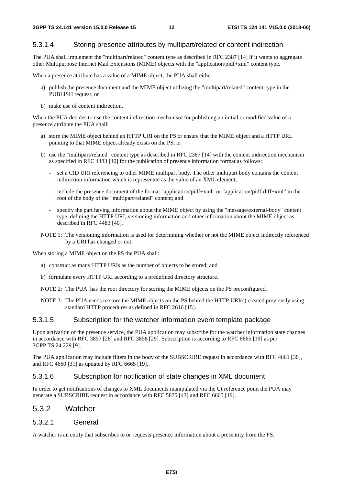## 5.3.1.4 Storing presence attributes by multipart/related or content indirection

The PUA shall implement the "multipart/related" content type as described in RFC 2387 [14] if it wants to aggregate other Multipurpose Internet Mail Extensions (MIME) objects with the "application/pidf+xml" content type.

When a presence attribute has a value of a MIME object, the PUA shall either:

- a) publish the presence document and the MIME object utilizing the "multipart/related" content-type in the PUBLISH request; or
- b) make use of content indirection.

When the PUA decides to use the content indirection mechanism for publishing an initial or modified value of a presence attribute the PUA shall:

- a) store the MIME object behind an HTTP URI on the PS or ensure that the MIME object and a HTTP URL pointing to that MIME object already exists on the PS; or
- b) use the "multipart/related" content type as described in RFC 2387 [14] with the content indirection mechanism as specified in RFC 4483 [40] for the publication of presence information format as follows:
	- set a CID URI referencing to other MIME multipart body. The other multipart body contains the content indirection information which is represented as the value of an XML element;
	- include the presence document of the format "application/pidf+xml" or "application/pidf-diff+xml" in the root of the body of the "multipart/related" content; and
	- specify the part having information about the MIME object by using the "message/external-body" content type, defining the HTTP URI, versioning information and other information about the MIME object as described in RFC 4483 [40].
- NOTE 1: The versioning information is used for determining whether or not the MIME object indirectly referenced by a URI has changed or not;

When storing a MIME object on the PS the PUA shall:

- a) construct as many HTTP URIs as the number of objects to be stored; and
- b) formulate every HTTP URI according to a predefined directory structure.
- NOTE 2: The PUA has the root directory for storing the MIME objects on the PS preconfigured.
- NOTE 3: The PUA needs to store the MIME objects on the PS behind the HTTP URI(s) created previously using standard HTTP procedures as defined in RFC 2616 [15].

### 5.3.1.5 Subscription for the watcher information event template package

Upon activation of the presence service, the PUA application may subscribe for the watcher information state changes in accordance with RFC 3857 [28] and RFC 3858 [29]. Subscription is according to RFC 6665 [19] as per 3GPP TS 24.229 [9].

The PUA application may include filters in the body of the SUBSCRIBE request in accordance with RFC 4661 [30], and RFC 4660 [31] as updated by RFC 6665 [19].

## 5.3.1.6 Subscription for notification of state changes in XML document

In order to get notifications of changes to XML documents manipulated via the Ut reference point the PUA may generate a SUBSCRIBE request in accordance with RFC 5875 [43] and RFC 6665 [19].

## 5.3.2 Watcher

### 5.3.2.1 General

A watcher is an entity that subscribes to or requests presence information about a presentity from the PS.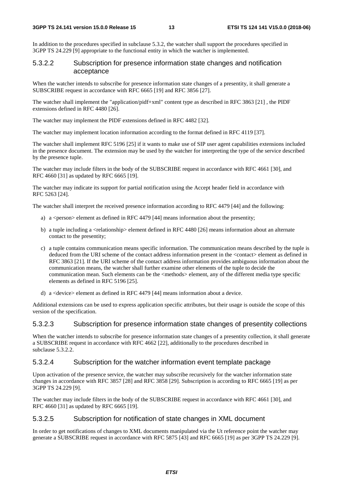In addition to the procedures specified in subclause 5.3.2, the watcher shall support the procedures specified in 3GPP TS 24.229 [9] appropriate to the functional entity in which the watcher is implemented.

### 5.3.2.2 Subscription for presence information state changes and notification acceptance

When the watcher intends to subscribe for presence information state changes of a presentity, it shall generate a SUBSCRIBE request in accordance with RFC 6665 [19] and RFC 3856 [27].

The watcher shall implement the "application/pidf+xml" content type as described in RFC 3863 [21] , the PIDF extensions defined in RFC 4480 [26].

The watcher may implement the PIDF extensions defined in RFC 4482 [32].

The watcher may implement location information according to the format defined in RFC 4119 [37].

The watcher shall implement RFC 5196 [25] if it wants to make use of SIP user agent capabilities extensions included in the presence document. The extension may be used by the watcher for interpreting the type of the service described by the presence tuple.

The watcher may include filters in the body of the SUBSCRIBE request in accordance with RFC 4661 [30], and RFC 4660 [31] as updated by RFC 6665 [19].

The watcher may indicate its support for partial notification using the Accept header field in accordance with RFC 5263 [24].

The watcher shall interpret the received presence information according to RFC 4479 [44] and the following:

- a) a  $\epsilon$  person beloment as defined in RFC 4479 [44] means information about the presentity;
- b) a tuple including a <relationship> element defined in RFC 4480 [26] means information about an alternate contact to the presentity;
- c) a tuple contains communication means specific information. The communication means described by the tuple is deduced from the URI scheme of the contact address information present in the <contact> element as defined in RFC 3863 [21]. If the URI scheme of the contact address information provides ambiguous information about the communication means, the watcher shall further examine other elements of the tuple to decide the communication mean. Such elements can be the  $\langle$ methods $\rangle$  element, any of the different media type specific elements as defined in RFC 5196 [25].
- d) a <device> element as defined in RFC 4479 [44] means information about a device.

Additional extensions can be used to express application specific attributes, but their usage is outside the scope of this version of the specification.

### 5.3.2.3 Subscription for presence information state changes of presentity collections

When the watcher intends to subscribe for presence information state changes of a presentity collection, it shall generate a SUBSCRIBE request in accordance with RFC 4662 [22], additionally to the procedures described in subclause 5.3.2.2.

### 5.3.2.4 Subscription for the watcher information event template package

Upon activation of the presence service, the watcher may subscribe recursively for the watcher information state changes in accordance with RFC 3857 [28] and RFC 3858 [29]. Subscription is according to RFC 6665 [19] as per 3GPP TS 24.229 [9].

The watcher may include filters in the body of the SUBSCRIBE request in accordance with RFC 4661 [30], and RFC 4660 [31] as updated by RFC 6665 [19].

## 5.3.2.5 Subscription for notification of state changes in XML document

In order to get notifications of changes to XML documents manipulated via the Ut reference point the watcher may generate a SUBSCRIBE request in accordance with RFC 5875 [43] and RFC 6665 [19] as per 3GPP TS 24.229 [9].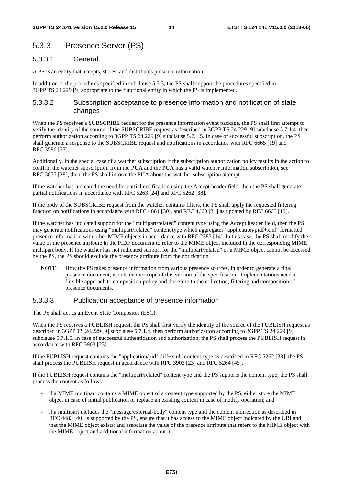## 5.3.3 Presence Server (PS)

### 5.3.3.1 General

A PS is an entity that accepts, stores, and distributes presence information.

In addition to the procedures specified in subclause 5.3.3, the PS shall support the procedures specified in 3GPP TS 24.229 [9] appropriate to the functional entity in which the PS is implemented.

## 5.3.3.2 Subscription acceptance to presence information and notification of state changes

When the PS receives a SUBSCRIBE request for the presence information event package, the PS shall first attempt to verify the identity of the source of the SUBSCRIBE request as described in 3GPP TS 24.229 [9] subclause 5.7.1.4, then perform authorization according to 3GPP TS 24.229 [9] subclause 5.7.1.5. In case of successful subscription, the PS shall generate a response to the SUBSCRIBE request and notifications in accordance with RFC 6665 [19] and RFC 3586 [27].

Additionally, in the special case of a watcher subscription if the subscription authorization policy results in the action to confirm the watcher subscription from the PUA and the PUA has a valid watcher information subscription, see RFC 3857 [28], then, the PS shall inform the PUA about the watcher subscription attempt.

If the watcher has indicated the need for partial notification using the Accept header field, then the PS shall generate partial notifications in accordance with RFC 5263 [24] and RFC 5262 [38].

If the body of the SUBSCRIBE request from the watcher contains filters, the PS shall apply the requested filtering function on notifications in accordance with RFC 4661 [30], and RFC 4660 [31] as updated by RFC 6665 [19].

If the watcher has indicated support for the "multipart/related" content type using the Accept header field, then the PS may generate notifications using "multipart/related" content type which aggregates "application/pidf+xml" formatted presence information with other MIME objects in accordance with RFC 2387 [14]. In this case, the PS shall modify the value of the presence attribute in the PIDF document to refer to the MIME object included in the corresponding MIME multipart body. If the watcher has not indicated support for the "multipart/related" or a MIME object cannot be accessed by the PS, the PS should exclude the presence attribute from the notification.

NOTE: How the PS takes presence information from various presence sources, in order to generate a final presence document, is outside the scope of this version of the specification. Implementations need a flexible approach to composition policy and therefore to the collection, filtering and composition of presence documents.

## 5.3.3.3 Publication acceptance of presence information

The PS shall act as an Event State Compositor (ESC).

When the PS receives a PUBLISH request, the PS shall first verify the identity of the source of the PUBLISH request as described in 3GPP TS 24.229 [9] subclause 5.7.1.4, then perform authorization according to 3GPP TS 24.229 [9] subclause 5.7.1.5. In case of successful authentication and authorization, the PS shall process the PUBLISH request in accordance with RFC 3903 [23].

If the PUBLISH request contains the "application/pidf-diff+xml" content-type as described in RFC 5262 [38], the PS shall process the PUBLISH request in accordance with RFC 3903 [23] and RFC 5264 [45].

If the PUBLISH request contains the "multipart/related" content type and the PS supports the content type, the PS shall process the content as follows:

- if a MIME multipart contains a MIME object of a content type supported by the PS, either store the MIME object in case of initial publication or replace an existing content in case of modify operation; and
- if a multipart includes the "message/external-body" content type and the content indirection as described in RFC 4483 [40] is supported by the PS, ensure that it has access to the MIME object indicated by the URI and that the MIME object exists; and associate the value of the presence attribute that refers to the MIME object with the MIME object and additional information about it.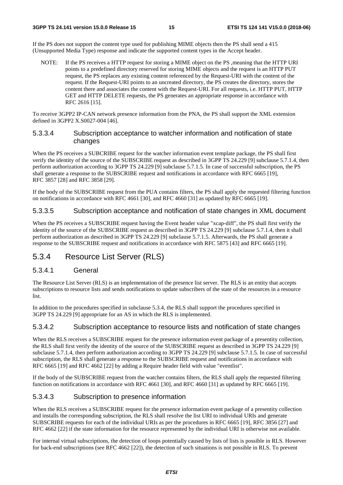If the PS does not support the content type used for publishing MIME objects then the PS shall send a 415 (Unsupported Media Type) response and indicate the supported content types in the Accept header.

NOTE: If the PS receives a HTTP request for storing a MIME object on the PS ,meaning that the HTTP URI points to a predefined directory reserved for storing MIME objects and the request is an HTTP PUT request, the PS replaces any existing content referenced by the Request-URI with the content of the request. If the Request-URI points to an uncreated directory, the PS creates the directory, stores the content there and associates the content with the Request-URI. For all requests, i.e. HTTP PUT, HTTP GET and HTTP DELETE requests, the PS generates an appropriate response in accordance with RFC 2616 [15].

To receive 3GPP2 IP-CAN network presence information from the PNA, the PS shall support the XML extension defined in 3GPP2 X.S0027-004 [46].

## 5.3.3.4 Subscription acceptance to watcher information and notification of state changes

When the PS receives a SUBCRIBE request for the watcher information event template package, the PS shall first verify the identity of the source of the SUBSCRIBE request as described in 3GPP TS 24.229 [9] subclause 5.7.1.4, then perform authorization according to 3GPP TS 24.229 [9] subclause 5.7.1.5. In case of successful subscription, the PS shall generate a response to the SUBSCRIBE request and notifications in accordance with RFC 6665 [19], RFC 3857 [28] and RFC 3858 [29].

If the body of the SUBSCRIBE request from the PUA contains filters, the PS shall apply the requested filtering function on notifications in accordance with RFC 4661 [30], and RFC 4660 [31] as updated by RFC 6665 [19].

## 5.3.3.5 Subscription acceptance and notification of state changes in XML document

When the PS receives a SUBSCRIBE request having the Event header value "xcap-diff", the PS shall first verify the identity of the source of the SUBSCRIBE request as described in 3GPP TS 24.229 [9] subclause 5.7.1.4, then it shall perform authorization as described in 3GPP TS 24.229 [9] subclause 5.7.1.5. Afterwards, the PS shall generate a response to the SUBSCRIBE request and notifications in accordance with RFC 5875 [43] and RFC 6665 [19].

## 5.3.4 Resource List Server (RLS)

## 5.3.4.1 General

The Resource List Server (RLS) is an implementation of the presence list server. The RLS is an entity that accepts subscriptions to resource lists and sends notifications to update subscribers of the state of the resources in a resource list.

In addition to the procedures specified in subclause 5.3.4, the RLS shall support the procedures specified in 3GPP TS 24.229 [9] appropriate for an AS in which the RLS is implemented.

## 5.3.4.2 Subscription acceptance to resource lists and notification of state changes

When the RLS receives a SUBSCRIBE request for the presence information event package of a presentity collection, the RLS shall first verify the identity of the source of the SUBSCRIBE request as described in 3GPP TS 24.229 [9] subclause 5.7.1.4, then perform authorization according to 3GPP TS 24.229 [9] subclause 5.7.1.5. In case of successful subscription, the RLS shall generate a response to the SUBSCRIBE request and notifications in accordance with RFC 6665 [19] and RFC 4662 [22] by adding a Require header field with value "eventlist".

If the body of the SUBSCRIBE request from the watcher contains filters, the RLS shall apply the requested filtering function on notifications in accordance with RFC 4661 [30], and RFC 4660 [31] as updated by RFC 6665 [19].

## 5.3.4.3 Subscription to presence information

When the RLS receives a SUBSCRIBE request for the presence information event package of a presentity collection and installs the corresponding subscription, the RLS shall resolve the list URI to individual URIs and generate SUBSCRIBE requests for each of the individual URIs as per the procedures in RFC 6665 [19], RFC 3856 [27] and RFC 4662 [22] if the state information for the resource represented by the individual URI is otherwise not available.

For internal virtual subscriptions, the detection of loops potentially caused by lists of lists is possible in RLS. However for back-end subscriptions (see RFC 4662 [22]), the detection of such situations is not possible in RLS. To prevent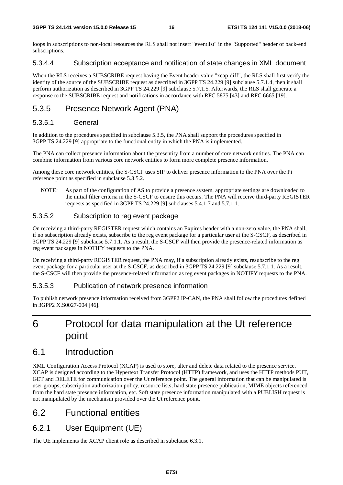loops in subscriptions to non-local resources the RLS shall not insert "eventlist" in the "Supported" header of back-end subscriptions.

## 5.3.4.4 Subscription acceptance and notification of state changes in XML document

When the RLS receives a SUBSCRIBE request having the Event header value "xcap-diff", the RLS shall first verify the identity of the source of the SUBSCRIBE request as described in 3GPP TS 24.229 [9] subclause 5.7.1.4, then it shall perform authorization as described in 3GPP TS 24.229 [9] subclause 5.7.1.5. Afterwards, the RLS shall generate a response to the SUBSCRIBE request and notifications in accordance with RFC 5875 [43] and RFC 6665 [19].

## 5.3.5 Presence Network Agent (PNA)

## 5.3.5.1 General

In addition to the procedures specified in subclause 5.3.5, the PNA shall support the procedures specified in 3GPP TS 24.229 [9] appropriate to the functional entity in which the PNA is implemented.

The PNA can collect presence information about the presentity from a number of core network entities. The PNA can combine information from various core network entities to form more complete presence information.

Among these core network entities, the S-CSCF uses SIP to deliver presence information to the PNA over the Pi reference point as specified in subclause 5.3.5.2.

NOTE: As part of the configuration of AS to provide a presence system, appropriate settings are downloaded to the initial filter criteria in the S-CSCF to ensure this occurs. The PNA will receive third-party REGISTER requests as specified in 3GPP TS 24.229 [9] subclauses 5.4.1.7 and 5.7.1.1.

## 5.3.5.2 Subscription to reg event package

On receiving a third-party REGISTER request which contains an Expires header with a non-zero value, the PNA shall, if no subscription already exists, subscribe to the reg event package for a particular user at the S-CSCF, as described in 3GPP TS 24.229 [9] subclause 5.7.1.1. As a result, the S-CSCF will then provide the presence-related information as reg event packages in NOTIFY requests to the PNA.

On receiving a third-party REGISTER request, the PNA may, if a subscription already exists, resubscribe to the reg event package for a particular user at the S-CSCF, as described in 3GPP TS 24.229 [9] subclause 5.7.1.1. As a result, the S-CSCF will then provide the presence-related information as reg event packages in NOTIFY requests to the PNA.

## 5.3.5.3 Publication of network presence information

To publish network presence information received from 3GPP2 IP-CAN, the PNA shall follow the procedures defined in 3GPP2 X.S0027-004 [46].

## 6 Protocol for data manipulation at the Ut reference point

## 6.1 Introduction

XML Configuration Access Protocol (XCAP) is used to store, alter and delete data related to the presence service. XCAP is designed according to the Hypertext Transfer Protocol (HTTP) framework, and uses the HTTP methods PUT, GET and DELETE for communication over the Ut reference point. The general information that can be manipulated is user groups, subscription authorization policy, resource lists, hard state presence publication, MIME objects referenced from the hard state presence information, etc. Soft state presence information manipulated with a PUBLISH request is not manipulated by the mechanism provided over the Ut reference point.

## 6.2 Functional entities

## 6.2.1 User Equipment (UE)

The UE implements the XCAP client role as described in subclause 6.3.1.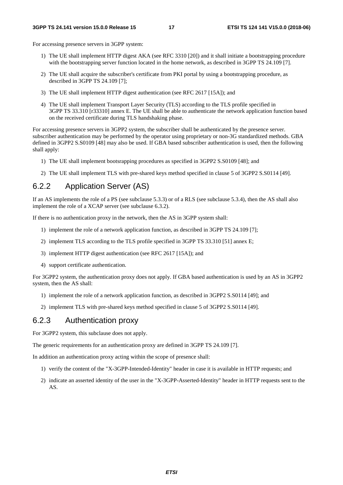For accessing presence servers in 3GPP system:

- 1) The UE shall implement HTTP digest AKA (see RFC 3310 [20]) and it shall initiate a bootstrapping procedure with the bootstrapping server function located in the home network, as described in 3GPP TS 24.109 [7].
- 2) The UE shall acquire the subscriber's certificate from PKI portal by using a bootstrapping procedure, as described in 3GPP TS 24.109 [7];
- 3) The UE shall implement HTTP digest authentication (see RFC 2617 [15A]); and
- 4) The UE shall implement Transport Layer Security (TLS) according to the TLS profile specified in 3GPP TS 33.310 [r33310] annex E. The UE shall be able to authenticate the network application function based on the received certificate during TLS handshaking phase.

For accessing presence servers in 3GPP2 system, the subscriber shall be authenticated by the presence server. subscriber authentication may be performed by the operator using proprietary or non-3G standardized methods. GBA defined in 3GPP2 S.S0109 [48] may also be used. If GBA based subscriber authentication is used, then the following shall apply:

- 1) The UE shall implement bootsrapping procedures as specified in 3GPP2 S.S0109 [48]; and
- 2) The UE shall implement TLS with pre-shared keys method specified in clause 5 of 3GPP2 S.S0114 [49].

## 6.2.2 Application Server (AS)

If an AS implements the role of a PS (see subclause 5.3.3) or of a RLS (see subclause 5.3.4), then the AS shall also implement the role of a XCAP server (see subclause 6.3.2).

If there is no authentication proxy in the network, then the AS in 3GPP system shall:

- 1) implement the role of a network application function, as described in 3GPP TS 24.109 [7];
- 2) implement TLS according to the TLS profile specified in 3GPP TS 33.310 [51] annex E;
- 3) implement HTTP digest authentication (see RFC 2617 [15A]); and
- 4) support certificate authentication.

For 3GPP2 system, the authentication proxy does not apply. If GBA based authentication is used by an AS in 3GPP2 system, then the AS shall:

- 1) implement the role of a network application function, as described in 3GPP2 S.S0114 [49]; and
- 2) implement TLS with pre-shared keys method specified in clause 5 of 3GPP2 S.S0114 [49].

## 6.2.3 Authentication proxy

For 3GPP2 system, this subclause does not apply.

The generic requirements for an authentication proxy are defined in 3GPP TS 24.109 [7].

In addition an authentication proxy acting within the scope of presence shall:

- 1) verify the content of the "X-3GPP-Intended-Identity" header in case it is available in HTTP requests; and
- 2) indicate an asserted identity of the user in the "X-3GPP-Asserted-Identity" header in HTTP requests sent to the AS.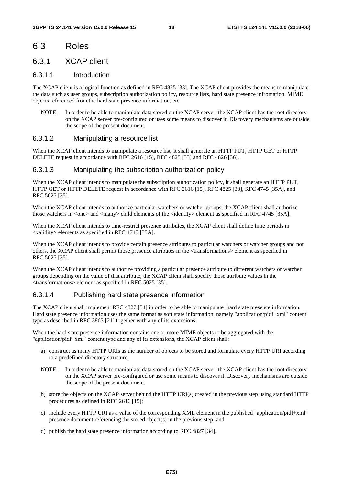## 6.3 Roles

## 6.3.1 XCAP client

## 6.3.1.1 Introduction

The XCAP client is a logical function as defined in RFC 4825 [33]. The XCAP client provides the means to manipulate the data such as user groups, subscription authorization policy, resource lists, hard state presence infromation, MIME objects referenced from the hard state presence information, etc.

NOTE: In order to be able to manipulate data stored on the XCAP server, the XCAP client has the root directory on the XCAP server pre-configured or uses some means to discover it. Discovery mechanisms are outside the scope of the present document.

## 6.3.1.2 Manipulating a resource list

When the XCAP client intends to manipulate a resource list, it shall generate an HTTP PUT, HTTP GET or HTTP DELETE request in accordance with RFC 2616 [15], RFC 4825 [33] and RFC 4826 [36].

### 6.3.1.3 Manipulating the subscription authorization policy

When the XCAP client intends to manipulate the subscription authorization policy, it shall generate an HTTP PUT, HTTP GET or HTTP DELETE request in accordance with RFC 2616 [15], RFC 4825 [33], RFC 4745 [35A], and RFC 5025 [35].

When the XCAP client intends to authorize particular watchers or watcher groups, the XCAP client shall authorize those watchers in <one> and <many> child elements of the <identity> element as specified in RFC 4745 [35A].

When the XCAP client intends to time-restrict presence attributes, the XCAP client shall define time periods in <validity> elements as specified in RFC 4745 [35A].

When the XCAP client intends to provide certain presence attributes to particular watchers or watcher groups and not others, the XCAP client shall permit those presence attributes in the <transformations> element as specified in RFC 5025 [35].

When the XCAP client intends to authorize providing a particular presence attribute to different watchers or watcher groups depending on the value of that attribute, the XCAP client shall specify those attribute values in the <transformations> element as specified in RFC 5025 [35].

## 6.3.1.4 Publishing hard state presence information

The XCAP client shall implement RFC 4827 [34] in order to be able to manipulate hard state presence information. Hard state presence information uses the same format as soft state information, namely "application/pidf+xml" content type as described in RFC 3863 [21] together with any of its extensions.

When the hard state presence information contains one or more MIME objects to be aggregated with the "application/pidf+xml" content type and any of its extensions, the XCAP client shall:

- a) construct as many HTTP URIs as the number of objects to be stored and formulate every HTTP URI according to a predefined directory structure;
- NOTE: In order to be able to manipulate data stored on the XCAP server, the XCAP client has the root directory on the XCAP server pre-configured or use some means to discover it. Discovery mechanisms are outside the scope of the present document.
- b) store the objects on the XCAP server behind the HTTP URI(s) created in the previous step using standard HTTP procedures as defined in RFC 2616 [15];
- c) include every HTTP URI as a value of the corresponding XML element in the published "application/pidf+xml" presence document referencing the stored object(s) in the previous step; and
- d) publish the hard state presence information according to RFC 4827 [34].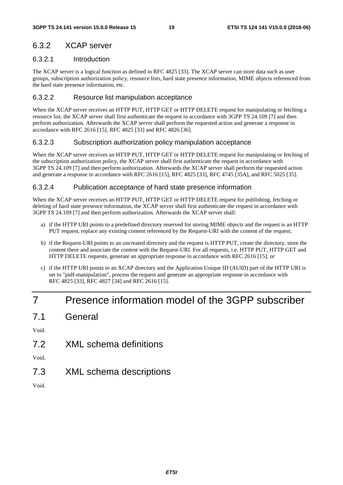## 6.3.2 XCAP server

## 6.3.2.1 Introduction

The XCAP server is a logical function as defined in RFC 4825 [33]. The XCAP server can store data such as user groups, subscription authorization policy, resource lists, hard state presence information, MIME objects referenced from the hard state presence information, etc.

## 6.3.2.2 Resource list manipulation acceptance

When the XCAP server receives an HTTP PUT, HTTP GET or HTTP DELETE request for manipulating or fetching a resource list, the XCAP server shall first authenticate the request in accordance with 3GPP TS 24.109 [7] and then perform authorization. Afterwards the XCAP server shall perform the requested action and generate a response in accordance with RFC 2616 [15], RFC 4825 [33] and RFC 4826 [36].

## 6.3.2.3 Subscription authorization policy manipulation acceptance

When the XCAP server receives an HTTP PUT, HTTP GET or HTTP DELETE request for manipulating or fetching of the subscription authorization policy, the XCAP server shall first authenticate the request in accordance with 3GPP TS 24.109 [7] and then perform authorization. Afterwards the XCAP server shall perform the requested action and generate a response in accordance with RFC 2616 [15], RFC 4825 [33], RFC 4745 [35A], and RFC 5025 [35].

## 6.3.2.4 Publication acceptance of hard state presence information

When the XCAP server receives an HTTP PUT, HTTP GET or HTTP DELETE request for publishing, fetching or deleting of hard state presence information, the XCAP server shall first authenticate the request in accordance with 3GPP TS 24.109 [7] and then perform authorization. Afterwards the XCAP server shall:

- a) if the HTTP URI points to a predefined directory reserved for storing MIME objects and the request is an HTTP PUT request, replace any existing content referenced by the Request-URI with the content of the request;
- b) if the Request-URI points to an uncreated directory and the request is HTTP PUT, create the directory, store the content there and associate the content with the Request-URI. For all requests, i.e. HTTP PUT, HTTP GET and HTTP DELETE requests, generate an appropriate response in accordance with RFC 2616 [15]; or
- c) if the HTTP URI points to an XCAP directory and the Application Unique ID (AUID) part of the HTTP URI is set to "pidf-manipulation", process the request and generate an appropriate response in accordance with RFC 4825 [33], RFC 4827 [34] and RFC 2616 [15].

## 7 Presence information model of the 3GPP subscriber

7.1 General

Void.

7.2 XML schema definitions

Void.

7.3 XML schema descriptions

Void.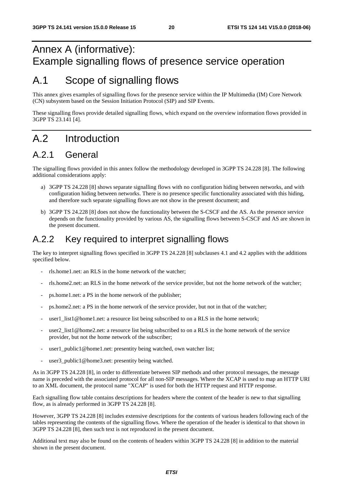## Annex A (informative): Example signalling flows of presence service operation

## A.1 Scope of signalling flows

This annex gives examples of signalling flows for the presence service within the IP Multimedia (IM) Core Network (CN) subsystem based on the Session Initiation Protocol (SIP) and SIP Events.

These signalling flows provide detailed signalling flows, which expand on the overview information flows provided in 3GPP TS 23.141 [4].

## A.2 Introduction

## A.2.1 General

The signalling flows provided in this annex follow the methodology developed in 3GPP TS 24.228 [8]. The following additional considerations apply:

- a) 3GPP TS 24.228 [8] shows separate signalling flows with no configuration hiding between networks, and with configuration hiding between networks. There is no presence specific functionality associated with this hiding, and therefore such separate signalling flows are not show in the present document; and
- b) 3GPP TS 24.228 [8] does not show the functionality between the S-CSCF and the AS. As the presence service depends on the functionality provided by various AS, the signalling flows between S-CSCF and AS are shown in the present document.

## A.2.2 Key required to interpret signalling flows

The key to interpret signalling flows specified in 3GPP TS 24.228 [8] subclauses 4.1 and 4.2 applies with the additions specified below.

- rls.home1.net: an RLS in the home network of the watcher;
- rls.home2.net: an RLS in the home network of the service provider, but not the home network of the watcher;
- ps.home1.net: a PS in the home network of the publisher;
- ps.home2.net: a PS in the home network of the service provider, but not in that of the watcher;
- user1 list1@home1.net: a resource list being subscribed to on a RLS in the home network;
- user2\_list1@home2.net: a resource list being subscribed to on a RLS in the home network of the service provider, but not the home network of the subscriber;
- user1\_public1@home1.net: presentity being watched, own watcher list;
- user3\_public1@home3.net: presentity being watched.

As in 3GPP TS 24.228 [8], in order to differentiate between SIP methods and other protocol messages, the message name is preceded with the associated protocol for all non-SIP messages. Where the XCAP is used to map an HTTP URI to an XML document, the protocol name "XCAP" is used for both the HTTP request and HTTP response.

Each signalling flow table contains descriptions for headers where the content of the header is new to that signalling flow, as is already performed in 3GPP TS 24.228 [8].

However, 3GPP TS 24.228 [8] includes extensive descriptions for the contents of various headers following each of the tables representing the contents of the signalling flows. Where the operation of the header is identical to that shown in 3GPP TS 24.228 [8], then such text is not reproduced in the present document.

Additional text may also be found on the contents of headers within 3GPP TS 24.228 [8] in addition to the material shown in the present document.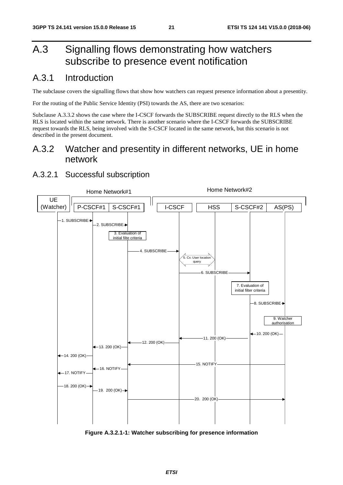## A.3 Signalling flows demonstrating how watchers subscribe to presence event notification

## A.3.1 Introduction

The subclause covers the signalling flows that show how watchers can request presence information about a presentity.

For the routing of the Public Service Identity (PSI) towards the AS, there are two scenarios:

Subclause A.3.3.2 shows the case where the I-CSCF forwards the SUBSCRIBE request directly to the RLS when the RLS is located within the same network. There is another scenario where the I-CSCF forwards the SUBSCRIBE request towards the RLS, being involved with the S-CSCF located in the same network, but this scenario is not described in the present document.

## A.3.2 Watcher and presentity in different networks, UE in home network

## A.3.2.1 Successful subscription



**Figure A.3.2.1-1: Watcher subscribing for presence information**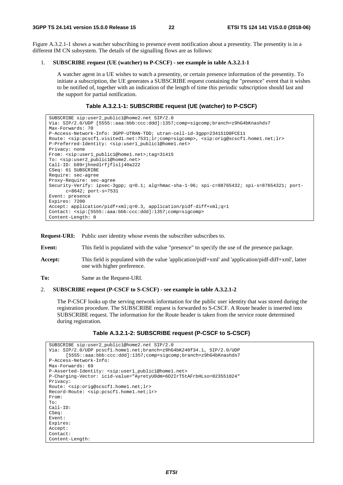Figure A.3.2.1-1 shows a watcher subscribing to presence event notification about a presentity. The presentity is in a different IM CN subsystem. The details of the signalling flows are as follows:

#### 1. **SUBSCRIBE request (UE (watcher) to P-CSCF) - see example in table A.3.2.1-1**

 A watcher agent in a UE wishes to watch a presentity, or certain presence information of the presentity. To initiate a subscription, the UE generates a SUBSCRIBE request containing the "presence" event that it wishes to be notified of, together with an indication of the length of time this periodic subscription should last and the support for partial notification.

### **Table A.3.2.1-1: SUBSCRIBE request (UE (watcher) to P-CSCF)**

```
SUBSCRIBE sip:user2_public1@home2.net SIP/2.0 
Via: SIP/2.0/UDP [5555::aaa:bbb:ccc:ddd]:1357;comp=sigcomp;branch=z9hG4bKnashds7 
Max-Forwards: 70 
P-Access-Network-Info: 3GPP-UTRAN-TDD; utran-cell-id-3gpp=234151D0FCE11 
Route: <sip:pcscf1.visited1.net:7531;lr;comp=sigcomp>, <sip:orig@scscf1.home1.net;lr> 
P-Preferred-Identity: <sip:user1_public1@home1.net> 
Privacy: none 
From: <sip:user1_public1@home1.net>;tag=31415 
To: <sip:user2_public1@home2.net> 
Call-ID: b89rjhnedlrfjflslj40a222 
CSeq: 61 SUBSCRIBE 
Require: sec-agree 
Proxy-Require: sec-agree 
Security-Verify: ipsec-3gpp; q=0.1; alg=hmac-sha-1-96; spi-c=98765432; spi-s=87654321; port-
     c=8642; port-s=7531 
Event: presence 
Expires: 7200 
Accept: application/pidf+xml;q=0.3, application/pidf-diff+xml;q=1 
Contact: <sip:[5555::aaa:bbb:ccc:ddd]:1357;comp=sigcomp> 
Content-Length: 0
```
**Request-URI:** Public user identity whose events the subscriber subscribes to.

**Event:** This field is populated with the value "presence" to specify the use of the presence package.

**Accept:** This field is populated with the value 'application/pidf+xml' and 'application/pidf-diff+xml', latter one with higher preference.

**To:** Same as the Request-URI.

#### 2. **SUBSCRIBE request (P-CSCF to S-CSCF) - see example in table A.3.2.1-2**

 The P-CSCF looks up the serving network information for the public user identity that was stored during the registration procedure. The SUBSCRIBE request is forwarded to S-CSCF. A Route header is inserted into SUBSCRIBE request. The information for the Route header is taken from the service route determined during registration.

### **Table A.3.2.1-2: SUBSCRIBE request (P-CSCF to S-CSCF)**

```
SUBSCRIBE sip:user2_public1@home2.net SIP/2.0 
Via: SIP/2.0/UDP pcscf1.home1.net;branch=z9hG4bK240f34.1, SIP/2.0/UDP 
      [5555::aaa:bbb:ccc:ddd]:1357;comp=sigcomp;branch=z9hG4bKnashds7 
P-Access-Network-Info: 
Max-Forwards: 69 
P-Asserted-Identity: <sip:user1_public1@home1.net> 
P-Charging-Vector: icid-value="AyretyU0dm+6O2IrT5tAFrbHLso=023551024" 
Privacy: 
Route: <sip:orig@scscf1.home1.net;lr> 
Record-Route: <sip:pcscf1.home1.net;lr> 
From: 
To: 
Call-ID: 
CSeq:
Event: 
Expires: 
Accept: 
Contact: 
Content-Length:
```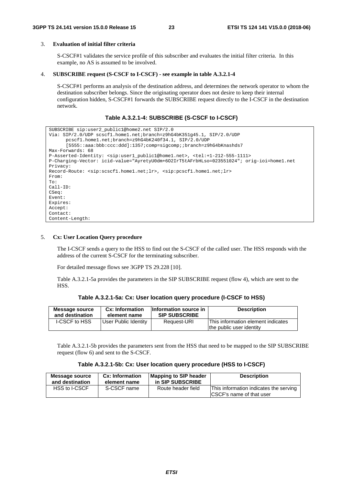### 3. **Evaluation of initial filter criteria**

 S-CSCF#1 validates the service profile of this subscriber and evaluates the initial filter criteria. In this example, no AS is assumed to be involved.

#### 4. **SUBSCRIBE request (S-CSCF to I-CSCF) - see example in table A.3.2.1-4**

 S-CSCF#1 performs an analysis of the destination address, and determines the network operator to whom the destination subscriber belongs. Since the originating operator does not desire to keep their internal configuration hidden, S-CSCF#1 forwards the SUBSCRIBE request directly to the I-CSCF in the destination network.

#### **Table A.3.2.1-4: SUBSCRIBE (S-CSCF to I-CSCF)**

```
SUBSCRIBE sip:user2_public1@home2.net SIP/2.0 
Via: SIP/2.0/UDP scscf1.home1.net;branch=z9hG4bK351g45.1, SIP/2.0/UDP 
      pcscf1.home1.net;branch=z9hG4bK240f34.1, SIP/2.0/UDP 
      [5555::aaa:bbb:ccc:ddd]:1357;comp=sigcomp;;branch=z9hG4bKnashds7 
Max-Forwards: 68 
P-Asserted-Identity: <sip:user1_public1@home1.net>, <tel:+1-212-555-1111> 
P-Charging-Vector: icid-value="AyretyU0dm+6O2IrT5tAFrbHLso=023551024"; orig-ioi=home1.net 
Privacy: 
Record-Route: <sip:scscf1.home1.net;lr>, <sip:pcscf1.home1.net;lr> 
From: 
To:Call-ID: 
CSeq: 
Event: 
Expires: 
Accept: 
Contact: 
Content-Length:
```
#### 5. **Cx: User Location Query procedure**

 The I-CSCF sends a query to the HSS to find out the S-CSCF of the called user. The HSS responds with the address of the current S-CSCF for the terminating subscriber.

For detailed message flows see 3GPP TS 29.228 [10].

 Table A.3.2.1-5a provides the parameters in the SIP SUBSCRIBE request (flow 4), which are sent to the HSS.

| Table A.3.2.1-5a: Cx: User location query procedure (I-CSCF to HSS) |  |  |
|---------------------------------------------------------------------|--|--|
|---------------------------------------------------------------------|--|--|

| Message source<br>and destination | Cx: Information<br>element name | Information source in<br><b>SIP SUBSCRIBE</b> | <b>Description</b>                                             |
|-----------------------------------|---------------------------------|-----------------------------------------------|----------------------------------------------------------------|
| <b>I-CSCF to HSS</b>              | User Public Identity            | Request-URI                                   | This information element indicates<br>the public user identity |
|                                   |                                 |                                               |                                                                |

 Table A.3.2.1-5b provides the parameters sent from the HSS that need to be mapped to the SIP SUBSCRIBE request (flow 6) and sent to the S-CSCF.

#### **Table A.3.2.1-5b: Cx: User location query procedure (HSS to I-CSCF)**

| Message source  | <b>Cx: Information</b> | <b>Mapping to SIP header</b> | <b>Description</b>                                                  |
|-----------------|------------------------|------------------------------|---------------------------------------------------------------------|
| and destination | element name           | in SIP SUBSCRIBE             |                                                                     |
| HSS to I-CSCF   | S-CSCF name            | Route header field           | This information indicates the serving<br>ICSCF's name of that user |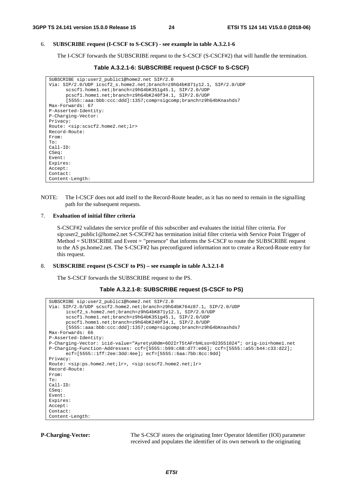### 6. **SUBSCRIBE request (I-CSCF to S-CSCF) - see example in table A.3.2.1-6**

The I-CSCF forwards the SUBSCRIBE request to the S-CSCF (S-CSCF#2) that will handle the termination.

```
Table A.3.2.1-6: SUBSCRIBE request (I-CSCF to S-CSCF)
```

```
SUBSCRIBE sip:user2_public1@home2.net SIP/2.0 
Via: SIP/2.0/UDP icscf2_s.home2.net;branch=z9hG4bK871y12.1, SIP/2.0/UDP 
      scscf1.home1.net;branch=z9hG4bK351g45.1, SIP/2.0/UDP 
      pcscf1.home1.net;branch=z9hG4bK240f34.1, SIP/2.0/UDP 
      [5555::aaa:bbb:ccc:ddd]:1357;comp=sigcomp;branch=z9hG4bKnashds7 
Max-Forwards: 67 
P-Asserted-Identity: 
P-Charging-Vector: 
Privacy: 
Route: <sip:scscf2.home2.net;lr> 
Record-Route: 
From: 
To: 
Call-ID: 
CSeq: 
Event: 
Expires: 
Accept: 
Contact: 
Content-Length:
```
NOTE: The I-CSCF does not add itself to the Record-Route header, as it has no need to remain in the signalling path for the subsequent requests.

#### 7. **Evaluation of initial filter criteria**

 S-CSCF#2 validates the service profile of this subscriber and evaluates the initial filter criteria. For sip:user2\_public1@home2.net S-CSCF#2 has termination initial filter criteria with Service Point Trigger of Method = SUBSCRIBE and Event = "presence" that informs the S-CSCF to route the SUBSCRIBE request to the AS ps.home2.net. The S-CSCF#2 has preconfigured information not to create a Record-Route entry for this request.

#### 8. **SUBSCRIBE request (S-CSCF to PS) – see example in table A.3.2.1-8**

The S-CSCF forwards the SUBSCRIBE request to the PS.

```
Table A.3.2.1-8: SUBSCRIBE request (S-CSCF to PS)
```

```
SUBSCRIBE sip:user2_public1@home2.net SIP/2.0 
Via: SIP/2.0/UDP scscf2.home2.net;branch=z9hG4bK764z87.1, SIP/2.0/UDP 
      icscf2_s.home2.net;branch=z9hG4bK871y12.1, SIP/2.0/UDP 
      scscf1.home1.net;branch=z9hG4bK351g45.1, SIP/2.0/UDP 
      pcscf1.home1.net;branch=z9hG4bK240f34.1, SIP/2.0/UDP 
      [5555::aaa:bbb:ccc:ddd]:1357;comp=sigcomp;branch=z9hG4bKnashds7 
Max-Forwards: 66 
P-Asserted-Identity: 
P-Charging-Vector: icid-value="AyretyU0dm+6O2IrT5tAFrbHLso=023551024"; orig-ioi=home1.net 
P-Charging-Function-Addresses: ccf=[5555::b99:c88:d77:e66]; ccf=[5555::a55:b44:c33:d22]; 
      ecf=[5555::1ff:2ee:3dd:4ee]; ecf=[5555::6aa:7bb:8cc:9dd] 
Privacy: 
Route: <sip:ps.home2.net;lr>, <sip:scscf2.home2.net;lr> 
Record-Route: 
From: 
To: 
Call-ID: 
CSeq: 
Event: 
Expires: 
Accept: 
Contact: 
Content-Length:
```
**P-Charging-Vector:** The S-CSCF stores the originating Inter Operator Identifier (IOI) parameter received and populates the identifier of its own network to the originating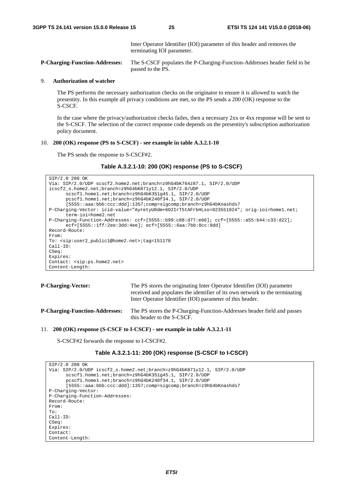Inter Operator Identifier (IOI) parameter of this header and removes the terminating IOI parameter.

**P-Charging-Function-Addresses:** The S-CSCF populates the P-Charging-Function-Addresses header field to be passed to the PS.

#### 9. **Authorization of watcher**

 The PS performs the necessary authorization checks on the originator to ensure it is allowed to watch the presentity. In this example all privacy conditions are met, so the PS sends a 200 (OK) response to the S-CSCF.

 In the case where the privacy/authorization checks failes, then a necessary 2xx or 4xx response will be sent to the S-CSCF. The selection of the correct response code depends on the presentity's subscription authorization policy document.

### 10. **200 (OK) response (PS to S-CSCF) - see example in table A.3.2.1-10**

The PS sends the response to S-CSCF#2.

**Table A.3.2.1-10: 200 (OK) response (PS to S-CSCF)** 

```
SIP/2.0 200 OK 
Via: SIP/2.0/UDP scscf2.home2.net;branch=z9hG4bK764z87.1, SIP/2.0/UDP 
icscf2_s.home2.net;branch=z9hG4bK871y12.1, SIP/2.0/UDP 
      scscf1.home1.net;branch=z9hG4bK351g45.1, SIP/2.0/UDP 
      pcscf1.home1.net;branch=z9hG4bK240f34.1, SIP/2.0/UDP 
      [5555::aaa:bbb:ccc:ddd]:1357;comp=sigcomp;branch=z9hG4bKnashds7 
P-Charging-Vector: icid-value="AyretyU0dm+6O2IrT5tAFrbHLso=023551024"; orig-ioi=home1.net; 
      term-ioi=home2.net 
P-Charging-Function-Addresses: ccf=[5555::b99:c88:d77:e66]; ccf=[5555::a55:b44:c33:d22]; 
      ecf=[5555::1ff:2ee:3dd:4ee]; ecf=[5555::6aa:7bb:8cc:9dd] 
Record-Route: 
From: 
To: <sip:user2_public1@home2.net>;tag=151170 
Call-ID: 
CSeq: 
Expires: 
Contact: <sip:ps.home2.net> 
Content-Length:
```

```
P-Charging-Vector: The PS stores the originating Inter Operator Identifier (IOI) parameter 
                                    received and populates the identifier of its own network to the terminating 
                                    Inter Operator Identifier (IOI) parameter of this header. 
P-Charging-Function-Addresses: The PS stores the P-Charging-Function-Addresses header field and passes
```
this header to the S-CSCF.

#### 11. **200 (OK) response (S-CSCF to I-CSCF) - see example in table A.3.2.1-11**

S-CSCF#2 forwards the response to I-CSCF#2.

```
Table A.3.2.1-11: 200 (OK) response (S-CSCF to I-CSCF)
```

| SIP/2.0 200 OK                                                          |
|-------------------------------------------------------------------------|
| Via: SIP/2.0/UDP icscf2 s.home2.net;branch=z9hG4bK871y12.1, SIP/2.0/UDP |
| scscf1.home1.net;branch=z9hG4bK351q45.1, SIP/2.0/UDP                    |
| pcscf1.home1.net;branch=z9hG4bK240f34.1, SIP/2.0/UDP                    |
| [5555::aaa:bbb:ccc:ddd]:1357;comp=sigcomp;branch=z9hG4bKnashds7         |
| P-Charging-Vector:                                                      |
| P-Charging-Function-Addresses:                                          |
| Record-Route:                                                           |
| From:                                                                   |
| To:                                                                     |
| $Call-ID:$                                                              |
| CSeq:                                                                   |
| Expires:                                                                |
| Contact:                                                                |
| Content-Length:                                                         |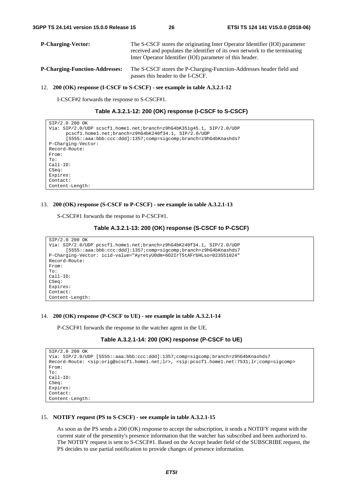| <b>P-Charging-Vector:</b>             | The S-CSCF stores the originating Inter Operator Identifier (IOI) parameter<br>received and populates the identifier of its own network to the terminating<br>Inter Operator Identifier (IOI) parameter of this header. |
|---------------------------------------|-------------------------------------------------------------------------------------------------------------------------------------------------------------------------------------------------------------------------|
| <b>P-Charging-Function-Addresses:</b> | The S-CSCF stores the P-Charging-Function-Addresses header field and<br>passes this header to the I-CSCF.                                                                                                               |

#### 12. **200 (OK) response (I-CSCF to S-CSCF) - see example in table A.3.2.1-12**

I-CSCF#2 forwards the response to S-CSCF#1.

| Table A.3.2.1-12: 200 (OK) response (I-CSCF to S-CSCF) |  |  |
|--------------------------------------------------------|--|--|
|--------------------------------------------------------|--|--|

```
SIP/2.0 200 OK 
Via: SIP/2.0/UDP scscf1.home1.net;branch=z9hG4bK351g45.1, SIP/2.0/UDP 
      pcscf1.home1.net;branch=z9hG4bK240f34.1, SIP/2.0/UDP 
      [5555::aaa:bbb:ccc:ddd]:1357;comp=sigcomp;branch=z9hG4bKnashds7 
P-Charging-Vector: 
Record-Route: 
From: 
To: 
Call-ID: 
CSeq: 
Expires: 
Contact: 
Content-Length:
```
#### 13. **200 (OK) response (S-CSCF to P-CSCF) - see example in table A.3.2.1-13**

S-CSCF#1 forwards the response to P-CSCF#1.

```
Table A.3.2.1-13: 200 (OK) response (S-CSCF to P-CSCF)
```

```
SIP/2.0 200 OK 
Via: SIP/2.0/UDP pcscf1.home1.net;branch=z9hG4bK240f34.1, SIP/2.0/UDP 
      [5555::aaa:bbb:ccc:ddd]:1357;comp=sigcomp;branch=z9hG4bKnashds7 
P-Charging-Vector: icid-value="AyretyU0dm+6O2IrT5tAFrbHLso=023551024" 
Record-Route: 
From: 
To: 
Call-ID: 
CSeq: 
Expires: 
Contact: 
Content-Length:
```
#### 14. **200 (OK) response (P-CSCF to UE) - see example in table A.3.2.1-14**

P-CSCF#1 forwards the response to the watcher agent in the UE.

**Table A.3.2.1-14: 200 (OK) response (P-CSCF to UE)** 

```
SIP/2.0 200 OK 
Via: SIP/2.0/UDP [5555::aaa:bbb:ccc:ddd]:1357;comp=sigcomp;branch=z9hG4bKnashds7 
Record-Route: <sip:orig@scscf1.home1.net;lr>, <sip:pcscf1.home1.net:7531;lr;comp=sigcomp> 
From: 
To: 
Call-ID: 
CSeq: 
Expires: 
Contact: 
Content-Length:
```
#### 15. **NOTIFY request (PS to S-CSCF) - see example in table A.3.2.1-15**

 As soon as the PS sends a 200 (OK) response to accept the subscription, it sends a NOTIFY request with the current state of the presentity's presence information that the watcher has subscribed and been authorized to. The NOTIFY request is sent to S-CSCF#1. Based on the Accept header field of the SUBSCRIBE request, the PS decides to use partial notification to provide changes of presence information.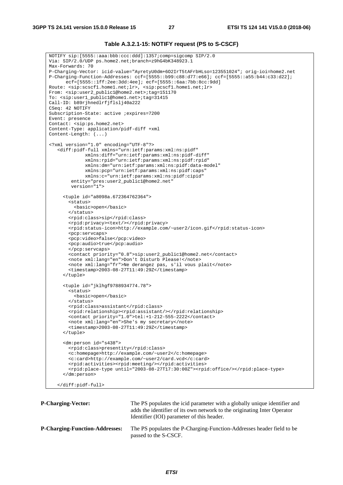| Table A.3.2.1-15: NOTIFY request (PS to S-CSCF) |  |  |
|-------------------------------------------------|--|--|
|-------------------------------------------------|--|--|

```
NOTIFY sip:[5555::aaa:bbb:ccc:ddd]:1357;comp=sigcomp SIP/2.0 
Via: SIP/2.0/UDP ps.home2.net;branch=z9hG4bK348923.1 
Max-Forwards: 70 
P-Charging-Vector: icid-value="AyretyU0dm+6O2IrT5tAFrbHLso=123551024"; orig-ioi=home2.net 
P-Charging-Function-Addresses: ccf=[5555::b99:c88:d77:e66]; ccf=[5555::a55:b44:c33:d22]; 
      ecf=[5555::1ff:2ee:3dd:4ee]; ecf=[5555::6aa:7bb:8cc:9dd] 
Route: <sip:scscf1.home1.net;lr>, <sip:pcscf1.home1.net;lr> 
From: <sip:user2_public1@home2.net>;tag=151170 
To: <sip:user1_public1@home1.net>;tag=31415 
Call-ID: b89rjhnedlrfjflslj40a222 
CSeq: 42 NOTIFY 
Subscription-State: active ;expires=7200 
Event: presence 
Contact: <sip:ps.home2.net> 
Content-Type: application/pidf-diff +xml 
Content-Length: (...) 
<?xml version="1.0" encoding="UTF-8"?> 
    <diff:pidf-full xmlns="urn:ietf:params:xml:ns:pidf" 
              xmlns:diff="urn:ietf:params:xml:ns:pidf-diff" 
              xmlns:rpid="urn:ietf:params:xml:ns:pidf:rpid" 
              xmlns:dm="urn:ietf:params:xml:ns:pidf:data-model" 
              xmlns:pcp="urn:ietf:params:xml:ns:pidf:caps" 
              xmlns:c="urn:ietf:params:xml:ns:pidf:cipid" 
        entity="pres:user2_public1@home2.net"
         version="1"> 
      <tuple id="a8098a.672364762364"> 
        <status> 
          <basic>open</basic> 
        </status> 
        <rpid:class>sip</rpid:class> 
        <rpid:privacy><text/></rpid:privacy> 
        <rpid:status-icon>http://example.com/~user2/icon.gif</rpid:status-icon> 
        <pcp:servcaps> 
        <pcp:video>false</pcp:video> 
        <pcp:audio>true</pcp:audio> 
        </pcp:servcaps> 
        <contact priority="0.8">sip:user2_public1@home2.net</contact> 
        <note xml:lang="en">Don't Disturb Please!</note> 
        <note xml:lang="fr">Ne derangez pas, s'il vous plait</note> 
        <timestamp>2003-08-27T11:49:29Z</timestamp> 
      </tuple> 
      <tuple id="jklhgf9788934774.78"> 
        <status> 
          <basic>open</basic> 
        </status> 
        <rpid:class>assistant</rpid:class> 
        <rpid:relationship><rpid:assistant/></rpid:relationship> 
        <contact priority="1.0">tel:+1-212-555-2222</contact> 
        <note xml:lang="en">She's my secretary</note> 
        <timestamp>2003-08-27T11:49:29Z</timestamp> 
      </tuple> 
      <dm:person id="s438"> 
        <rpid:class>presentity</rpid:class> 
        <c:homepage>http://example.com/~user2</c:homepage> 
        <c:card>http://example.com/~user2/card.vcd</c:card> 
        <rpid:activities><rpid:meeting/></rpid:activities> 
        <rpid:place-type until="2003-08-27T17:30:00Z"><rpid:office/></rpid:place-type> 
      </dm:person> 
    </diff:pidf-full>
```

| <b>P-Charging-Vector:</b>             | The PS populates the icid parameter with a globally unique identifier and<br>adds the identifier of its own network to the originating Inter Operator<br>Identifier (IOI) parameter of this header. |
|---------------------------------------|-----------------------------------------------------------------------------------------------------------------------------------------------------------------------------------------------------|
| <b>P-Charging-Function-Addresses:</b> | The PS populates the P-Charging-Function-Addresses header field to be<br>passed to the S-CSCF.                                                                                                      |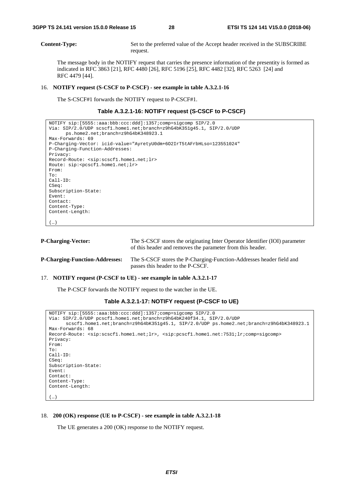**Content-Type:** Set to the preferred value of the Accept header received in the SUBSCRIBE request.

 The message body in the NOTIFY request that carries the presence information of the presentity is formed as indicated in RFC 3863 [21], RFC 4480 [26], RFC 5196 [25], RFC 4482 [32], RFC 5263 [24] and RFC 4479 [44].

#### 16. **NOTIFY request (S-CSCF to P-CSCF) - see example in table A.3.2.1-16**

The S-CSCF#1 forwards the NOTIFY request to P-CSCF#1.

#### **Table A.3.2.1-16: NOTIFY request (S-CSCF to P-CSCF)**

```
NOTIFY sip:[5555::aaa:bbb:ccc:ddd]:1357;comp=sigcomp SIP/2.0 
Via: SIP/2.0/UDP scscf1.home1.net;branch=z9hG4bK351g45.1, SIP/2.0/UDP 
      ps.home2.net;branch=z9hG4bK348923.1 
Max-Forwards: 69 
P-Charging-Vector: icid-value="AyretyU0dm+6O2IrT5tAFrbHLso=123551024" 
P-Charging-Function-Addresses: 
Privacy: 
Record-Route: <sip:scscf1.home1.net;lr> 
Route: sip:<pcscf1.home1.net;lr> 
From: 
To: 
Call-ID: 
CSeq: 
Subscription-State: 
Event: 
Contact: 
Content-Type: 
Content-Length: 
(…)
```
(…)

| <b>P-Charging-Vector:</b>             | The S-CSCF stores the originating Inter Operator Identifier (IOI) parameter<br>of this header and removes the parameter from this header. |
|---------------------------------------|-------------------------------------------------------------------------------------------------------------------------------------------|
| <b>P-Charging-Function-Addresses:</b> | The S-CSCF stores the P-Charging-Function-Addresses header field and<br>passes this header to the P-CSCF.                                 |

#### 17. **NOTIFY request (P-CSCF to UE) - see example in table A.3.2.1-17**

The P-CSCF forwards the NOTIFY request to the watcher in the UE.

#### **Table A.3.2.1-17: NOTIFY request (P-CSCF to UE)**

```
NOTIFY sip:[5555::aaa:bbb:ccc:ddd]:1357;comp=sigcomp SIP/2.0 
Via: SIP/2.0/UDP pcscf1.home1.net;branch=z9hG4bK240f34.1, SIP/2.0/UDP 
      scscf1.home1.net;branch=z9hG4bK351g45.1, SIP/2.0/UDP ps.home2.net;branch=z9hG4bK348923.1 
Max-Forwards: 68 
Record-Route: <sip:scscf1.home1.net;lr>, <sip:pcscf1.home1.net:7531;lr;comp=sigcomp> 
Privacy: 
From: 
To: 
Call-ID: 
CSeq: 
Subscription-State: 
Event: 
Contact: 
Content-Type: 
Content-Length:
```
### 18. **200 (OK) response (UE to P-CSCF) - see example in table A.3.2.1-18**

The UE generates a 200 (OK) response to the NOTIFY request.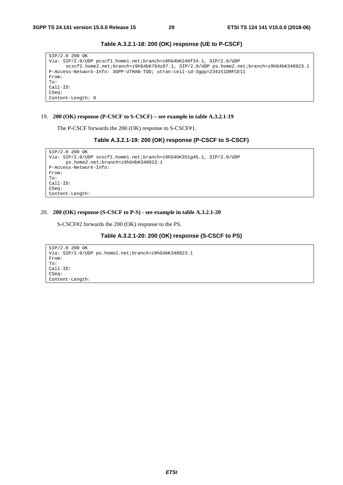| SIP/2.0 200 OK                                                                           |
|------------------------------------------------------------------------------------------|
| Via: SIP/2.0/UDP pcscf1.home1.net;branch=z9hG4bK240f34.1, SIP/2.0/UDP                    |
| scscf2.home2.net;branch=z9hG4bK764z87.1, SIP/2.0/UDP ps.home2.net;branch=z9hG4bK348923.1 |
| P-Access-Network-Info: 3GPP-UTRAN-TDD; utran-cell-id-3qpp=234151D0FCE11                  |
| From:                                                                                    |
| To:                                                                                      |
| $Call-ID:$                                                                               |
| CSeq:                                                                                    |
| Content-Length: 0                                                                        |

**Table A.3.2.1-18: 200 (OK) response (UE to P-CSCF)** 

### 19. **200 (OK) response (P-CSCF to S-CSCF) – see example in table A.3.2.1-19**

The P-CSCF forwards the 200 (OK) response to S-CSCF#1.

```
Table A.3.2.1-19: 200 (OK) response (P-CSCF to S-CSCF)
```

```
SIP/2.0 200 OK 
Via: SIP/2.0/UDP scscf1.home1.net;branch=z9hG4bK351g45.1, SIP/2.0/UDP 
     ps.home2.net;branch=z9hG4bK348923.1 
P-Access-Network-Info: 
From: 
To: 
Call-ID: 
CSeq: 
Content-Length:
```
#### 20. **200 (OK) response (S-CSCF to P-S) - see example in table A.3.2.1-20**

S-CSCF#2 forwards the 200 (OK) response to the PS.

### **Table A.3.2.1-20: 200 (OK) response (S-CSCF to PS)**

```
SIP/2.0 200 OK 
Via: SIP/2.0/UDP ps.home2.net;branch=z9hG4bK348923.1 
From: 
To: 
Call-ID: 
CSeq: 
Content-Length:
```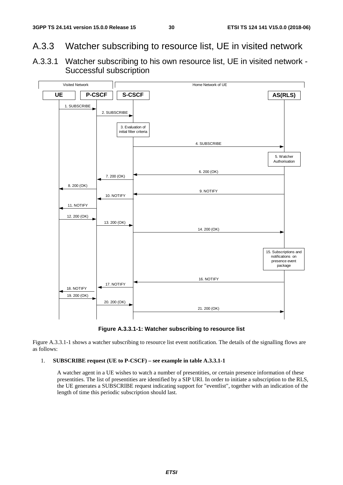- A.3.3 Watcher subscribing to resource list, UE in visited network
- A.3.3.1 Watcher subscribing to his own resource list, UE in visited network Successful subscription





Figure A.3.3.1-1 shows a watcher subscribing to resource list event notification. The details of the signalling flows are as follows:

## 1. **SUBSCRIBE request (UE to P-CSCF) – see example in table A.3.3.1-1**

 A watcher agent in a UE wishes to watch a number of presentities, or certain presence information of these presentities. The list of presentities are identified by a SIP URI. In order to initiate a subscription to the RLS, the UE generates a SUBSCRIBE request indicating support for "eventlist", together with an indication of the length of time this periodic subscription should last.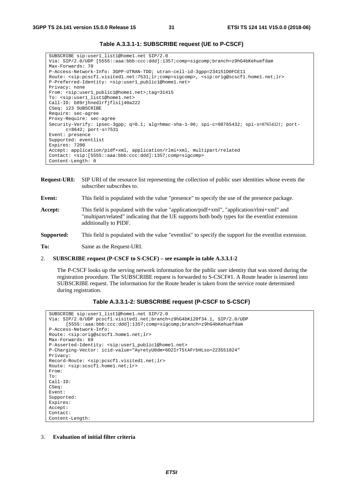| SUBSCRIBE sip:user1 list1@home1.net SIP/2.0                                                                                                                         |  |  |  |  |
|---------------------------------------------------------------------------------------------------------------------------------------------------------------------|--|--|--|--|
| Via: SIP/2.0/UDP [5555::aaa:bbb:ccc:ddd]:1357;comp=sigcomp;branch=z9hG4bKehuefdam                                                                                   |  |  |  |  |
| Max-Forwards: 70                                                                                                                                                    |  |  |  |  |
| P-Access-Network-Info: 3GPP-UTRAN-TDD; utran-cell-id-3qpp=234151D0FCE11                                                                                             |  |  |  |  |
| Route: <sip:pcscfl.visitedl.net:7531;lr;comp=sigcomp>, <sip:orig@scscfl.homel.net;lr></sip:orig@scscfl.homel.net;lr></sip:pcscfl.visitedl.net:7531;lr;comp=sigcomp> |  |  |  |  |
| P-Preferred-Identity: <sip:user1 public1@home1.net=""></sip:user1>                                                                                                  |  |  |  |  |
| Privacy: none                                                                                                                                                       |  |  |  |  |
| From: <sip:user1 public1@home1.net="">;taq=31415</sip:user1>                                                                                                        |  |  |  |  |
| To: <sip:user1_list1@home1.net></sip:user1_list1@home1.net>                                                                                                         |  |  |  |  |
| Call-ID: b89rjhnedlrfjflslj40a222                                                                                                                                   |  |  |  |  |
| CSeq: 123 SUBSCRIBE                                                                                                                                                 |  |  |  |  |
| Require: sec-agree                                                                                                                                                  |  |  |  |  |
| Proxy-Require: sec-agree                                                                                                                                            |  |  |  |  |
| Security-Verify: ipsec-3qpp; q=0.1; alq=hmac-sha-1-96; spi-c=98765432; spi-s=87654321; port-                                                                        |  |  |  |  |
| $c = 8642;$ port-s=7531                                                                                                                                             |  |  |  |  |
| Event: presence                                                                                                                                                     |  |  |  |  |
| Supported: eventlist                                                                                                                                                |  |  |  |  |
| Expires: 7200                                                                                                                                                       |  |  |  |  |
| Accept: application/pidf+xml, application/rlmi+xml, multipart/related                                                                                               |  |  |  |  |
| Contact: $\langle$ sip:[5555::aaa:bbb:ccc:ddd]:1357;comp=sigcomp>                                                                                                   |  |  |  |  |
| Content-Length: 0                                                                                                                                                   |  |  |  |  |

**Table A.3.3.1-1: SUBSCRIBE request (UE to P-CSCF)** 

**Request-URI:** SIP URI of the resource list representing the collection of public user identities whose events the subscriber subscribes to.

**Event:** This field is populated with the value "presence" to specify the use of the presence package.

- **Accept:** This field is populated with the value "application/pidf+xml", "application/rlmi+xml" and "multipart/related" indicating that the UE supports both body types for the eventlist extension additionally to PIDF.
- **Supported:** This field is populated with the value "eventlist" to specify the support for the eventlist extension.

**To:** Same as the Request-URI.

#### 2. **SUBSCRIBE request (P-CSCF to S-CSCF) – see example in table A.3.3.1-2**

 The P-CSCF looks up the serving network information for the public user identity that was stored during the registration procedure. The SUBSCRIBE request is forwarded to S-CSCF#1. A Route header is inserted into SUBSCRIBE request. The information for the Route header is taken from the service route determined during registration.

### **Table A.3.3.1-2: SUBSCRIBE request (P-CSCF to S-CSCF)**

```
SUBSCRIBE sip:user1_list1@home1.net SIP/2.0 
Via: SIP/2.0/UDP pcscf1.visited1.net;branch=z9hG4bK120f34.1, SIP/2.0/UDP 
      [5555::aaa:bbb:ccc:ddd]:1357;comp=sigcomp;branch=z9hG4bKehuefdam 
P-Access-Network-Info: 
Route: <sip:orig@scscf1.home1.net;lr> 
Max-Forwards: 69 
P-Asserted-Identity: <sip:user1_public1@home1.net> 
P-Charging-Vector: icid-value="AyretyU0dm+6O2IrT5tAFrbHLso=223551024" 
Privacy: 
Record-Route: <sip:pcscf1.visited1.net;lr> 
Route: <sip:scscf1.home1.net;lr> 
From: 
To: 
Call-ID: 
CSeq: 
Event: 
Supported: 
Expires: 
Accept: 
Contact: 
Content-Length:
```
3. **Evaluation of initial filter criteria**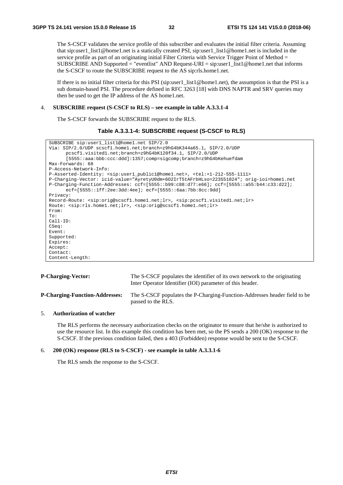The S-CSCF validates the service profile of this subscriber and evaluates the initial filter criteria. Assuming that sip:user1\_list1@home1.net is a statically created PSI, sip:user1\_list1@home1.net is included in the service profile as part of an originating initial Filter Criteria with Service Trigger Point of Method = SUBSCRIBE AND Supported = "eventlist" AND Request-URI = sip:user1\_list1@home1.net that informs the S-CSCF to route the SUBSCRIBE request to the AS sip:rls.home1.net.

If there is no initial filter criteria for this PSI (sip:user1  $list1@home1.net$ ), the assumption is that the PSI is a sub domain-based PSI. The procedure defined in RFC 3263 [18] with DNS NAPTR and SRV queries may then be used to get the IP address of the AS home1.net.

#### 4. **SUBSCRIBE request (S-CSCF to RLS) – see example in table A.3.3.1-4**

The S-CSCF forwards the SUBSCRIBE request to the RLS.

```
Table A.3.3.1-4: SUBSCRIBE request (S-CSCF to RLS)
```

```
SUBSCRIBE sip:user1_list1@home1.net SIP/2.0 
Via: SIP/2.0/UDP scscf1.home1.net;branch=z9hG4bK344a65.1, SIP/2.0/UDP 
      pcscf1.visited1.net;branch=z9hG4bK120f34.1, SIP/2.0/UDP 
      [5555::aaa:bbb:ccc:ddd]:1357;comp=sigcomp;branch=z9hG4bKehuefdam 
Max-Forwards: 68 
P-Access-Network-Info: 
P-Asserted-Identity: <sip:user1_public1@home1.net>, <tel:+1-212-555-1111> 
P-Charging-Vector: icid-value="AyretyU0dm+6O2IrT5tAFrbHLso=223551024"; orig-ioi=home1.net 
P-Charging-Function-Addresses: ccf=[5555::b99:c88:d77:e66]; ccf=[5555::a55:b44:c33:d22]; 
      ecf=[5555::1ff:2ee:3dd:4ee]; ecf=[5555::6aa:7bb:8cc:9dd] 
Privacy: 
Record-Route: <sip:orig@scscf1.home1.net;lr>, <sip:pcscf1.visited1.net;lr> 
Route: <sip:rls.home1.net;lr>, <sip:orig@scscf1.home1.net;lr> 
From: 
To: 
Call-ID: 
CSeq: 
Event: 
Supported: 
Expires: 
Accept: 
Contact: 
Content-Length:
```

| <b>P-Charging-Vector:</b>             | The S-CSCF populates the identifier of its own network to the originating<br>Inter Operator Identifier (IOI) parameter of this header. |
|---------------------------------------|----------------------------------------------------------------------------------------------------------------------------------------|
| <b>P-Charging-Function-Addresses:</b> | The S-CSCF populates the P-Charging-Function-Addresses header field to be<br>passed to the RLS.                                        |

#### 5. **Authorization of watcher**

 The RLS performs the necessary authorization checks on the originator to ensure that he/she is authorized to use the resource list. In this example this condition has been met, so the PS sends a 200 (OK) response to the S-CSCF. If the previous condition failed, then a 403 (Forbidden) response would be sent to the S-CSCF.

### 6. **200 (OK) response (RLS to S-CSCF) - see example in table A.3.3.1-6**

The RLS sends the response to the S-CSCF.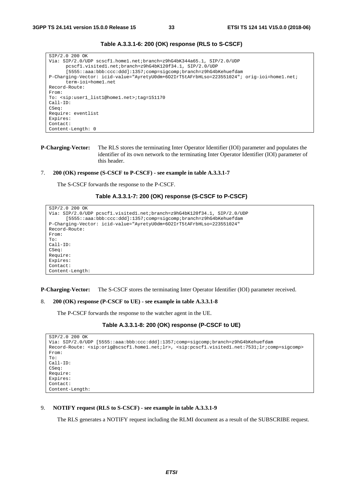```
SIP/2.0 200 OK 
Via: SIP/2.0/UDP scscf1.home1.net;branch=z9hG4bK344a65.1, SIP/2.0/UDP 
      pcscf1.visited1.net;branch=z9hG4bK120f34.1, SIP/2.0/UDP 
      [5555::aaa:bbb:ccc:ddd]:1357;comp=sigcomp;branch=z9hG4bKehuefdam 
P-Charging-Vector: icid-value="AyretyU0dm+6O2IrT5tAFrbHLso=223551024"; orig-ioi=home1.net; 
      term-ioi=home1.net 
Record-Route: 
From: 
To: <sip:user1_list1@home1.net>;tag=151170 
Call-ID: 
CSeq: 
Require: eventlist 
Expires: 
Contact: 
Content-Length: 0
```
**Table A.3.3.1-6: 200 (OK) response (RLS to S-CSCF)** 

**P-Charging-Vector:** The RLS stores the terminating Inter Operator Identifier (IOI) parameter and populates the identifier of its own network to the terminating Inter Operator Identifier (IOI) parameter of this header.

#### 7. **200 (OK) response (S-CSCF to P-CSCF) - see example in table A.3.3.1-7**

The S-CSCF forwards the response to the P-CSCF.

```
Table A.3.3.1-7: 200 (OK) response (S-CSCF to P-CSCF)
```

```
SIP/2.0 200 OK 
Via: SIP/2.0/UDP pcscf1.visited1.net;branch=z9hG4bK120f34.1, SIP/2.0/UDP 
      [5555::aaa:bbb:ccc:ddd]:1357;comp=sigcomp;branch=z9hG4bKehuefdam 
P-Charging-Vector: icid-value="AyretyU0dm+6O2IrT5tAFrbHLso=223551024" 
Record-Route: 
From: 
To: 
Call-ID: 
CSeq: 
Require: 
Expires: 
Contact: 
Content-Length:
```
**P-Charging-Vector:** The S-CSCF stores the terminating Inter Operator Identifier (IOI) parameter received.

```
8. 200 (OK) response (P-CSCF to UE) - see example in table A.3.3.1-8
```
The P-CSCF forwards the response to the watcher agent in the UE.

#### **Table A.3.3.1-8: 200 (OK) response (P-CSCF to UE)**

```
SIP/2.0 200 OK 
Via: SIP/2.0/UDP [5555::aaa:bbb:ccc:ddd]:1357;comp=sigcomp;branch=z9hG4bKehuefdam 
Record-Route: <sip:orig@scscf1.home1.net;lr>, <sip:pcscf1.visited1.net:7531;lr;comp=sigcomp> 
From: 
T<sub>O</sub>:
Call-ID: 
CSeq: 
Require: 
Expires: 
Contact:
Content-Length:
```
#### 9. **NOTIFY request (RLS to S-CSCF) - see example in table A.3.3.1-9**

The RLS generates a NOTIFY request including the RLMI document as a result of the SUBSCRIBE request.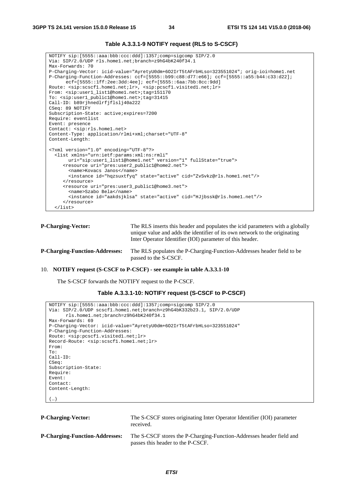```
NOTIFY sip:[5555::aaa:bbb:ccc:ddd]:1357;comp=sigcomp SIP/2.0 
Via: SIP/2.0/UDP rls.home1.net;branch=z9hG4bK240f34.1 
Max-Forwards: 70 
P-Charging-Vector: icid-value="AyretyU0dm+6O2IrT5tAFrbHLso=323551024"; orig-ioi=home1.net 
P-Charging-Function-Addresses: ccf=[5555::b99:c88:d77:e66]; ccf=[5555::a55:b44:c33:d22]; 
      ecf=[5555::1ff:2ee:3dd:4ee]; ecf=[5555::6aa:7bb:8cc:9dd] 
Route: <sip:scscf1.home1.net;lr>, <sip:pcscf1.visited1.net;lr> 
From: <sip:user1_list1@home1.net>;tag=151170 
To: <sip:user1_public1@home1.net>;tag=31415 
Call-ID: b89rjhnedlrfjflslj40a222 
CSeq: 89 NOTIFY 
Subscription-State: active;expires=7200 
Require: eventlist 
Event: presence 
Contact: <sip:rls.home1.net> 
Content-Type: application/rlmi+xml;charset="UTF-8" 
Content-Length: 
<?xml version="1.0" encoding="UTF-8"?> 
   <list xmlns="urn:ietf:params:xml:ns:rmli" 
       uri="sip:user1_list1@home1.net" version="1" fullState="true"> 
      <resource uri="pres:user2_public1@home2.net"> 
        <name>Kovacs Janos</name> 
        <instance id="hqzsuxtfyq" state="active" cid="ZvSvkz@rls.home1.net"/> 
      </resource> 
      <resource uri="pres:user3_public1@home3.net"> 
        <name>Szabo Bela</name> 
        <instance id="aakdsjklsa" state="active" cid="HJjbssk@rls.home1.net"/> 
      </resource> 
   </list>
```

| Table A.3.3.1-9 NOTIFY request (RLS to S-CSCF) |  |
|------------------------------------------------|--|
|------------------------------------------------|--|

```
P-Charging-Vector: The RLS inserts this header and populates the icid parameters with a globally
                                    unique value and adds the identifier of its own network to the originating 
                                    Inter Operator Identifier (IOI) parameter of this header. 
P-Charging-Function-Addresses: The RLS populates the P-Charging-Function-Addresses header field to be 
                                    passed to the S-CSCF.
```
#### 10. **NOTIFY request (S-CSCF to P-CSCF) - see example in table A.3.3.1-10**

The S-CSCF forwards the NOTIFY request to the P-CSCF.

```
Table A.3.3.1-10: NOTIFY request (S-CSCF to P-CSCF)
```

```
NOTIFY sip:[5555::aaa:bbb:ccc:ddd]:1357;comp=sigcomp SIP/2.0 
Via: SIP/2.0/UDP scscf1.home1.net;branch=z9hG4bK332b23.1, SIP/2.0/UDP 
     rls.home1.net;branch=z9hG4bK240f34.1 
Max-Forwards: 69 
P-Charging-Vector: icid-value="AyretyU0dm+6O2IrT5tAFrbHLso=323551024" 
P-Charging-Function-Addresses: 
Route: <sip:pcscf1.visited1.net;lr> 
Record-Route: <sip:scscf1.home1.net;lr> 
From: 
T<sub>O</sub>:
Call-ID: 
CSeq: 
Subscription-State: 
Require: 
Event: 
Contact: 
Content-Length:
```

| × | <br>۰. |
|---|--------|

**P-Charging-Vector:** The S-CSCF stores originating Inter Operator Identifier (IOI) parameter received. **P-Charging-Function-Addresses:** The S-CSCF stores the P-Charging-Function-Addresses header field and passes this header to the P-CSCF.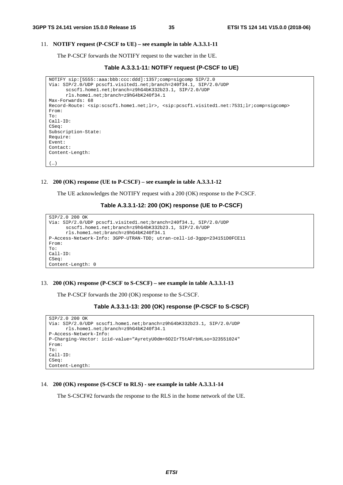$(\ldots)$ 

### 11. **NOTIFY request (P-CSCF to UE) – see example in table A.3.3.1-11**

The P-CSCF forwards the NOTIFY request to the watcher in the UE.

**Table A.3.3.1-11: NOTIFY request (P-CSCF to UE)** 

```
NOTIFY sip:[5555::aaa:bbb:ccc:ddd]:1357;comp=sigcomp SIP/2.0 
Via: SIP/2.0/UDP pcscf1.visited1.net;branch=240f34.1, SIP/2.0/UDP 
      scscf1.home1.net;branch=z9hG4bK332b23.1, SIP/2.0/UDP 
      rls.home1.net;branch=z9hG4bK240f34.1 
Max-Forwards: 68 
Record-Route: <sip:scscf1.home1.net;lr>, <sip:pcscf1.visited1.net:7531;lr;comp=sigcomp> 
From: 
To: 
Call-ID: 
CSeq:
Subscription-State: 
Require: 
Event: 
Contact: 
Content-Length:
```
#### 12. **200 (OK) response (UE to P-CSCF) – see example in table A.3.3.1-12**

The UE acknowledges the NOTIFY request with a 200 (OK) response to the P-CSCF.

**Table A.3.3.1-12: 200 (OK) response (UE to P-CSCF)** 

```
SIP/2.0 200 OK 
Via: SIP/2.0/UDP pcscf1.visited1.net;branch=240f34.1, SIP/2.0/UDP 
      scscf1.home1.net;branch=z9hG4bK332b23.1, SIP/2.0/UDP 
      rls.home1.net;branch=z9hG4bK240f34.1 
P-Access-Network-Info: 3GPP-UTRAN-TDD; utran-cell-id-3gpp=234151D0FCE11 
From: 
To: 
Call-ID: 
CSeq: 
Content-Length: 0
```
#### 13. **200 (OK) response (P-CSCF to S-CSCF) – see example in table A.3.3.1-13**

The P-CSCF forwards the 200 (OK) response to the S-CSCF.

```
Table A.3.3.1-13: 200 (OK) response (P-CSCF to S-CSCF)
```

```
SIP/2.0 200 OK 
Via: SIP/2.0/UDP scscf1.home1.net;branch=z9hG4bK332b23.1, SIP/2.0/UDP 
      rls.home1.net;branch=z9hG4bK240f34.1 
P-Access-Network-Info: 
P-Charging-Vector: icid-value="AyretyU0dm+6O2IrT5tAFrbHLso=323551024" 
From: 
To: 
Call-ID: 
CSeq: 
Content-Length:
```
#### 14. **200 (OK) response (S-CSCF to RLS) - see example in table A.3.3.1-14**

The S-CSCF#2 forwards the response to the RLS in the home network of the UE.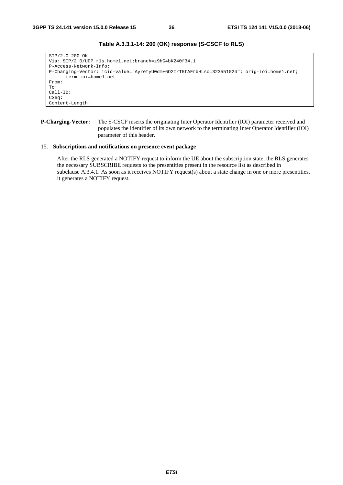```
SIP/2.0 200 OK 
Via: SIP/2.0/UDP rls.home1.net;branch=z9hG4bK240f34.1 
P-Access-Network-Info: 
P-Charging-Vector: icid-value="AyretyU0dm+6O2IrT5tAFrbHLso=323551024"; orig-ioi=home1.net; 
      term-ioi=home1.net 
From: 
To: 
Call-ID: 
CSeq: 
Content-Length:
```
# **Table A.3.3.1-14: 200 (OK) response (S-CSCF to RLS)**

**P-Charging-Vector:** The S-CSCF inserts the originating Inter Operator Identifier (IOI) parameter received and populates the identifier of its own network to the terminating Inter Operator Identifier (IOI) parameter of this header.

#### 15. **Subscriptions and notifications on presence event package**

 After the RLS generated a NOTIFY request to inform the UE about the subscription state, the RLS generates the necessary SUBSCRIBE requests to the presentities present in the resource list as described in subclause A.3.4.1. As soon as it receives NOTIFY request(s) about a state change in one or more presentities, it generates a NOTIFY request.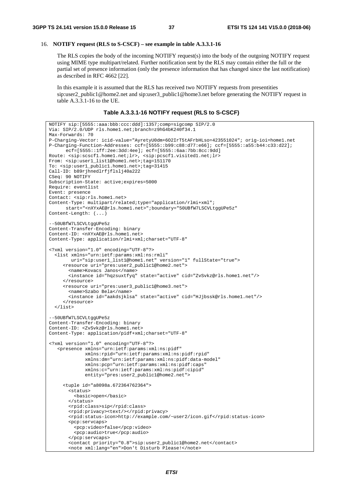## 16. **NOTIFY request (RLS to S-CSCF) – see example in table A.3.3.1-16**

 The RLS copies the body of the incoming NOTIFY request(s) into the body of the outgoing NOTIFY request using MIME type multipart/related. Further notification sent by the RLS may contain either the full or the partial set of presence information (only the presence information that has changed since the last notification) as described in RFC 4662 [22].

 In this example it is assumed that the RLS has received two NOTIFY requests from presentities sip:user2\_public1@home2.net and sip:user3\_public1@home3.net before generating the NOTIFY request in table A.3.3.1-16 to the UE.

**Table A.3.3.1-16 NOTIFY request (RLS to S-CSCF)** 

```
NOTIFY sip:[5555::aaa:bbb:ccc:ddd]:1357;comp=sigcomp SIP/2.0 
Via: SIP/2.0/UDP rls.home1.net;branch=z9hG4bK240f34.1 
Max-Forwards: 70 
P-Charging-Vector: icid-value="AyretyU0dm+6O2IrT5tAFrbHLso=423551024"; orig-ioi=home1.net 
P-Charging-Function-Addresses: ccf=[5555::b99:c88:d77:e66]; ccf=[5555::a55:b44:c33:d22]; 
     ecf=[5555::1ff:2ee:3dd:4ee]; ecf=[5555::6aa:7bb:8cc:9dd] 
Route: <sip:scscf1.home1.net;lr>, <sip:pcscf1.visited1.net;lr> 
From: <sip:user1_list1@home1.net>;tag=151170 
To: <sip:user1_public1.home1.net>;tag=31415 
Call-ID: b89rjhnedlrfjflslj40a222 
CSeq: 90 NOTIFY 
Subscription-State: active;expires=5000 
Require: eventlist 
Event: presence 
Contact: <sip:rls.home1.net> 
Content-Type: multipart/related;type="application/rlmi+xml"; 
      start="<nXYxAE@rls.home1.net>";boundary="50UBfW7LSCVLtggUPe5z" 
Content-Length: (...) 
--50UBfW7LSCVLtggUPe5z 
Content-Transfer-Encoding: binary 
Content-ID: <nXYxAE@rls.home1.net> 
Content-Type: application/rlmi+xml;charset="UTF-8" 
<?xml version="1.0" encoding="UTF-8"?> 
   <list xmlns="urn:ietf:params:xml:ns:rmli" 
        uri="sip:user1_list1@home1.net" version="1" fullState="true"> 
      <resource uri="pres:user2_public1@home2.net"> 
        <name>Kovacs Janos</name> 
        <instance id="hqzsuxtfyq" state="active" cid="ZvSvkz@rls.home1.net"/> 
      </resource> 
      <resource uri="pres:user3_public1@home3.net"> 
        <name>Szabo Bela</name> 
        <instance id="aakdsjklsa" state="active" cid="HJjbssk@rls.home1.net"/> 
      </resource> 
   </list> 
--50UBfW7LSCVLtggUPe5z 
Content-Transfer-Encoding: binary 
Content-ID: <ZvSvkz@rls.home1.net> 
Content-Type: application/pidf+xml;charset="UTF-8" 
<?xml version="1.0" encoding="UTF-8"?> 
    <presence xmlns="urn:ietf:params:xml:ns:pidf" 
              xmlns:rpid="urn:ietf:params:xml:ns:pidf:rpid" 
              xmlns:dm="urn:ietf:params:xml:ns:pidf:data-model" 
              xmlns:pcp="urn:ietf:params:xml:ns:pidf:caps" 
              xmlns:c="urn:ietf:params:xml:ns:pidf:cipid" 
              entity="pres:user2_public1@home2.net"> 
      <tuple id="a8098a.672364762364"> 
        <status> 
          <basic>open</basic> 
        </status> 
        <rpid:class>sip</rpid:class> 
        <rpid:privacy><text/></rpid:privacy> 
        <rpid:status-icon>http://example.com/~user2/icon.gif</rpid:status-icon> 
        <pcp:servcaps> 
          <pcp:video>false</pcp:video> 
          <pcp:audio>true</pcp:audio> 
        </pcp:servcaps> 
        <contact priority="0.8">sip:user2_public1@home2.net</contact> 
        <note xml:lang="en">Don't Disturb Please!</note>
```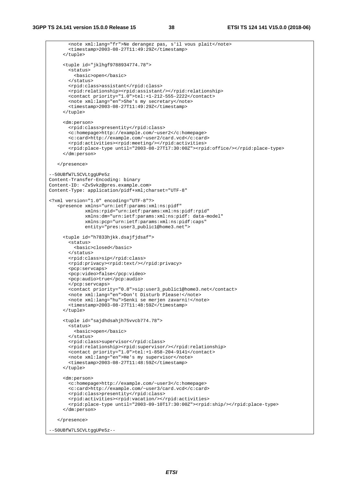```
 <note xml:lang="fr">Ne derangez pas, s'il vous plait</note> 
        <timestamp>2003-08-27T11:49:29Z</timestamp> 
      </tuple> 
      <tuple id="jklhgf9788934774.78"> 
        <status> 
          <basic>open</basic> 
        </status> 
        <rpid:class>assistant</rpid:class> 
        <rpid:relationship><rpid:assistant/></rpid:relationship> 
        <contact priority="1.0">tel:+1-212-555-2222</contact> 
        <note xml:lang="en">She's my secretary</note> 
        <timestamp>2003-08-27T11:49:29Z</timestamp> 
      </tuple> 
      <dm:person> 
        <rpid:class>presentity</rpid:class> 
        <c:homepage>http://example.com/~user2</c:homepage> 
        <c:card>http://example.com/~user2/card.vcd</c:card> 
        <rpid:activities><rpid:meeting/></rpid:activities> 
        <rpid:place-type until="2003-08-27T17:30:00Z"><rpid:office/></rpid:place-type> 
      </dm:person> 
    </presence> 
--50UBfW7LSCVLtggUPe5z 
Content-Transfer-Encoding: binary 
Content-ID: <ZvSvkz@pres.example.com> 
Content-Type: application/pidf+xml;charset="UTF-8" 
<?xml version="1.0" encoding="UTF-8"?> 
 <presence xmlns="urn:ietf:params:xml:ns:pidf" 
              xmlns:rpid="urn:ietf:params:xml:ns:pidf:rpid" 
              xmlns:dm="urn:ietf:params:xml:ns:pidf: data-model" 
              xmlns:pcp="urn:ietf:params:xml:ns:pidf:caps" 
               entity="pres:user3_public1@home3.net"> 
      <tuple id="h7833hjkk.dsajfjdsaf"> 
        <status> 
          <basic>closed</basic> 
        </status> 
        <rpid:class>sip</rpid:class> 
        <rpid:privacy><rpid:text/></rpid:privacy> 
        <pcp:servcaps> 
        <pcp:video>false</pcp:video> 
        <pcp:audio>true</pcp:audio> 
        </pcp:servcaps> 
        <contact priority="0.8">sip:user3_public1@home3.net</contact> 
        <note xml:lang="en">Don't Disturb Please!</note> 
        <note xml:lang="hu">Senki se merjen zavarni!</note> 
        <timestamp>2003-08-27T11:48:59Z</timestamp> 
      </tuple> 
      <tuple id="sajdhdsahjh75vvcb774.78"> 
        <status> 
          <basic>open</basic> 
        </status> 
        <rpid:class>supervisor</rpid:class> 
        <rpid:relationship><rpid:supervisor/></rpid:relationship> 
        <contact priority="1.0">tel:+1-858-204-9141</contact> 
        <note xml:lang="en">He's my supervisor</note> 
       \timestimestamp>2003-08-27T11:48:59Z</timestamp>
      </tuple> 
      <dm:person> 
        <c:homepage>http://example.com/~user3</c:homepage> 
        <c:card>http://example.com/~user3/card.vcd</c:card> 
        <rpid:class>presentity</rpid:class> 
       <rpid:activities><rpid:wacation/></rpid:activities>
        <rpid:place-type until="2003-09-10T17:30:00Z"><rpid:ship/></rpid:place-type> 
      </dm:person> 
    </presence>
```
--50UBfW7LSCVLtggUPe5z--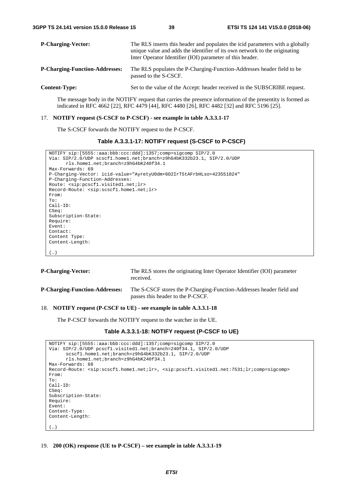| <b>P-Charging-Vector:</b>             | The RLS inserts this header and populates the icid parameters with a globally<br>unique value and adds the identifier of its own network to the originating<br>Inter Operator Identifier (IOI) parameter of this header. |  |  |
|---------------------------------------|--------------------------------------------------------------------------------------------------------------------------------------------------------------------------------------------------------------------------|--|--|
| <b>P-Charging-Function-Addresses:</b> | The RLS populates the P-Charging-Function-Addresses header field to be<br>passed to the S-CSCF.                                                                                                                          |  |  |
| <b>Content-Type:</b>                  | Set to the value of the Accept: header received in the SUBSCRIBE request.                                                                                                                                                |  |  |
|                                       |                                                                                                                                                                                                                          |  |  |

 The message body in the NOTIFY request that carries the presence information of the presentity is formed as indicated in RFC 4662 [22], RFC 4479 [44], RFC 4480 [26], RFC 4482 [32] and RFC 5196 [25].

#### 17. **NOTIFY request (S-CSCF to P-CSCF) - see example in table A.3.3.1-17**

The S-CSCF forwards the NOTIFY request to the P-CSCF.

```
Table A.3.3.1-17: NOTIFY request (S-CSCF to P-CSCF)
```

```
NOTIFY sip:[5555::aaa:bbb:ccc:ddd]:1357;comp=sigcomp SIP/2.0 
Via: SIP/2.0/UDP scscf1.home1.net;branch=z9hG4bK332b23.1, SIP/2.0/UDP 
      rls.home1.net;branch=z9hG4bK240f34.1 
Max-Forwards: 69 
P-Charging-Vector: icid-value="AyretyU0dm+6O2IrT5tAFrbHLso=423551024" 
P-Charging-Function-Addresses: 
Route: <sip:pcscf1.visited1.net;lr> 
Record-Route: <sip:scscf1.home1.net;lr> 
From: 
To: 
Call-ID: 
CSeq:
Subscription-State: 
Require: 
Event: 
Contact: 
Content Type: 
Content-Length: 
(…)
```

| <b>P-Charging-Vector:</b>             | The RLS stores the originating Inter Operator Identifier (IOI) parameter<br>received.                     |
|---------------------------------------|-----------------------------------------------------------------------------------------------------------|
| <b>P-Charging-Function-Addresses:</b> | The S-CSCF stores the P-Charging-Function-Addresses header field and<br>passes this header to the P-CSCF. |

#### 18. **NOTIFY request (P-CSCF to UE) - see example in table A.3.3.1-18**

The P-CSCF forwards the NOTIFY request to the watcher in the UE.

# **Table A.3.3.1-18: NOTIFY request (P-CSCF to UE)**

```
NOTIFY sip:[5555::aaa:bbb:ccc:ddd]:1357;comp=sigcomp SIP/2.0 
Via: SIP/2.0/UDP pcscf1.visited1.net;branch=240f34.1, SIP/2.0/UDP 
      scscf1.home1.net;branch=z9hG4bK332b23.1, SIP/2.0/UDP 
      rls.home1.net;branch=z9hG4bK240f34.1 
Max-Forwards: 68 
Record-Route: <sip:scscf1.home1.net;lr>, <sip:pcscf1.visited1.net:7531;lr;comp=sigcomp> 
From: 
To: 
Call-ID: 
CSeq: 
Subscription-State: 
Require: 
Event: 
Content-Type: 
Content-Length: 
(\ldots)
```
19. **200 (OK) response (UE to P-CSCF) – see example in table A.3.3.1-19**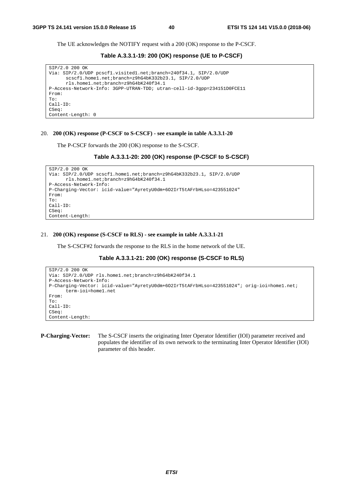The UE acknowledges the NOTIFY request with a 200 (OK) response to the P-CSCF.

**Table A.3.3.1-19: 200 (OK) response (UE to P-CSCF)** 

```
SIP/2.0 200 OK 
Via: SIP/2.0/UDP pcscf1.visited1.net;branch=240f34.1, SIP/2.0/UDP 
      scscf1.home1.net;branch=z9hG4bK332b23.1, SIP/2.0/UDP 
      rls.home1.net;branch=z9hG4bK240f34.1 
P-Access-Network-Info: 3GPP-UTRAN-TDD; utran-cell-id-3gpp=234151D0FCE11 
From: 
To: 
Call-ID: 
CSeq: 
Content-Length: 0
```
#### 20. **200 (OK) response (P-CSCF to S-CSCF) - see example in table A.3.3.1-20**

The P-CSCF forwards the 200 (OK) response to the S-CSCF.

```
Table A.3.3.1-20: 200 (OK) response (P-CSCF to S-CSCF)
```

```
SIP/2.0 200 OK 
Via: SIP/2.0/UDP scscf1.home1.net;branch=z9hG4bK332b23.1, SIP/2.0/UDP 
     rls.home1.net;branch=z9hG4bK240f34.1 
P-Access-Network-Info: 
P-Charging-Vector: icid-value="AyretyU0dm+6O2IrT5tAFrbHLso=423551024" 
From: 
To: 
Call-ID: 
CSeq: 
Content-Length:
```
#### 21. **200 (OK) response (S-CSCF to RLS) - see example in table A.3.3.1-21**

The S-CSCF#2 forwards the response to the RLS in the home network of the UE.

## **Table A.3.3.1-21: 200 (OK) response (S-CSCF to RLS)**

```
SIP/2.0 200 OK 
Via: SIP/2.0/UDP rls.home1.net;branch=z9hG4bK240f34.1 
P-Access-Network-Info: 
P-Charging-Vector: icid-value="AyretyU0dm+6O2IrT5tAFrbHLso=423551024"; orig-ioi=home1.net; 
      term-ioi=home1.net 
From: 
To: 
Call-ID: 
CSeq: 
Content-Length:
```
**P-Charging-Vector:** The S-CSCF inserts the originating Inter Operator Identifier (IOI) parameter received and populates the identifier of its own network to the terminating Inter Operator Identifier (IOI) parameter of this header.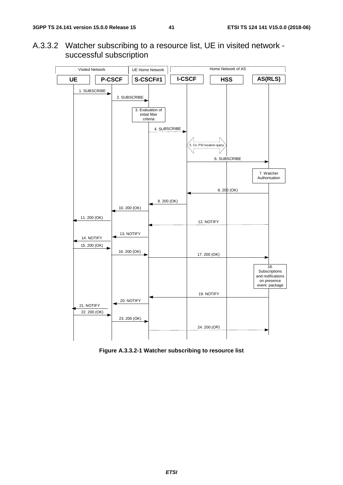A.3.3.2 Watcher subscribing to a resource list, UE in visited network successful subscription



**Figure A.3.3.2-1 Watcher subscribing to resource list**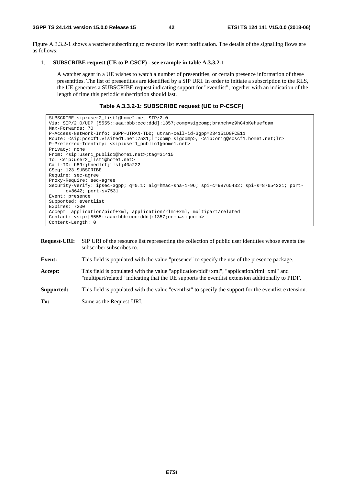Figure A.3.3.2-1 shows a watcher subscribing to resource list event notification. The details of the signalling flows are as follows:

## 1. **SUBSCRIBE request (UE to P-CSCF) - see example in table A.3.3.2-1**

 A watcher agent in a UE wishes to watch a number of presentities, or certain presence information of these presentities. The list of presentities are identified by a SIP URI. In order to initiate a subscription to the RLS, the UE generates a SUBSCRIBE request indicating support for "eventlist", together with an indication of the length of time this periodic subscription should last.

## **Table A.3.3.2-1: SUBSCRIBE request (UE to P-CSCF)**

```
SUBSCRIBE sip:user2_list1@home2.net SIP/2.0 
Via: SIP/2.0/UDP [5555::aaa:bbb:ccc:ddd]:1357;comp=sigcomp;branch=z9hG4bKehuefdam 
Max-Forwards: 70 
P-Access-Network-Info: 3GPP-UTRAN-TDD; utran-cell-id-3gpp=234151D0FCE11 
Route: <sip:pcscf1.visited1.net:7531;lr;comp=sigcomp>, <sip:orig@scscf1.home1.net;lr> 
P-Preferred-Identity: <sip:user1_public1@home1.net> 
Privacy: none 
From: <sip:user1_public1@home1.net>;tag=31415 
To: <sip:user2_list1@home1.net> 
Call-ID: b89rjhnedlrfjflslj40a222 
CSeq: 123 SUBSCRIBE 
Require: sec-agree 
Proxy-Require: sec-agree 
Security-Verify: ipsec-3gpp; q=0.1; alg=hmac-sha-1-96; spi-c=98765432; spi-s=87654321; port-
     c=8642; port-s=7531 
Event: presence 
Supported: eventlist 
Expires: 7200 
Accept: application/pidf+xml, application/rlmi+xml, multipart/related 
Contact: <sip:[5555::aaa:bbb:ccc:ddd]:1357;comp=sigcomp> 
Content-Length: 0
```

| <b>Request-URI:</b> | SIP URI of the resource list representing the collection of public user identities whose events the<br>subscriber subscribes to.                                                                   |
|---------------------|----------------------------------------------------------------------------------------------------------------------------------------------------------------------------------------------------|
| Event:              | This field is populated with the value "presence" to specify the use of the presence package.                                                                                                      |
| Accept:             | This field is populated with the value "application/pidf+xml", "application/ $r$ lmi+xml" and<br>"multipart/related" indicating that the UE supports the eventlist extension additionally to PIDF. |
| Supported:          | This field is populated with the value "eventilist" to specify the support for the eventilist extension.                                                                                           |
| To:                 | Same as the Request-URI.                                                                                                                                                                           |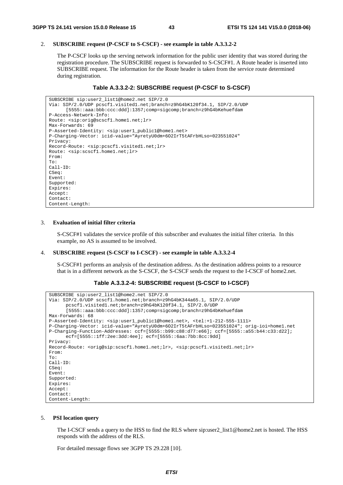## 2. **SUBSCRIBE request (P-CSCF to S-CSCF) - see example in table A.3.3.2-2**

 The P-CSCF looks up the serving network information for the public user identity that was stored during the registration procedure. The SUBSCRIBE request is forwarded to S-CSCF#1. A Route header is inserted into SUBSCRIBE request. The information for the Route header is taken from the service route determined during registration.

# **Table A.3.3.2-2: SUBSCRIBE request (P-CSCF to S-CSCF)**

```
SUBSCRIBE sip:user2_list1@home2.net SIP/2.0 
Via: SIP/2.0/UDP pcscf1.visited1.net;branch=z9hG4bK120f34.1, SIP/2.0/UDP 
      [5555::aaa:bbb:ccc:ddd]:1357;comp=sigcomp;branch=z9hG4bKehuefdam 
P-Access-Network-Info: 
Route: <sip:orig@scscf1.home1.net;lr> 
Max-Forwards: 69 
P-Asserted-Identity: <sip:user1_public1@home1.net> 
P-Charging-Vector: icid-value="AyretyU0dm+6O2IrT5tAFrbHLso=023551024" 
Privacy: 
Record-Route: <sip:pcscf1.visited1.net;lr> 
Route: <sip:scscf1.home1.net;lr> 
From: 
To: 
Call-ID: 
CSeq: 
Event: 
Supported: 
Expires: 
Accept: 
Contact: 
Content-Length:
```
# 3. **Evaluation of initial filter criteria**

 S-CSCF#1 validates the service profile of this subscriber and evaluates the initial filter criteria. In this example, no AS is assumed to be involved.

# 4. **SUBSCRIBE request (S-CSCF to I-CSCF) - see example in table A.3.3.2-4**

 S-CSCF#1 performs an analysis of the destination address. As the destination address points to a resource that is in a different network as the S-CSCF, the S-CSCF sends the request to the I-CSCF of home2.net.

```
Table A.3.3.2-4: SUBSCRIBE request (S-CSCF to I-CSCF)
```

```
SUBSCRIBE sip:user2_list1@home2.net SIP/2.0 
Via: SIP/2.0/UDP scscf1.home1.net;branch=z9hG4bK344a65.1, SIP/2.0/UDP 
      pcscf1.visited1.net;branch=z9hG4bK120f34.1, SIP/2.0/UDP 
      [5555::aaa:bbb:ccc:ddd]:1357;comp=sigcomp;branch=z9hG4bKehuefdam 
Max-Forwards: 68 
P-Asserted-Identity: <sip:user1_public1@home1.net>, <tel:+1-212-555-1111> 
P-Charging-Vector: icid-value="AyretyU0dm+6O2IrT5tAFrbHLso=023551024"; orig-ioi=home1.net 
P-Charging-Function-Addresses: ccf=[5555::b99:c88:d77:e66]; ccf=[5555::a55:b44:c33:d22]; 
      ecf=[5555::1ff:2ee:3dd:4ee]; ecf=[5555::6aa:7bb:8cc:9dd] 
Privacy: 
Record-Route: <orig@sip:scscf1.home1.net;lr>, <sip:pcscf1.visited1.net;lr> 
From: 
To: 
Call-ID: 
CSeq: 
Event: 
Supported: 
Expires: 
Accept: 
Contact: 
Content-Length:
```
# 5. **PSI location query**

 The I-CSCF sends a query to the HSS to find the RLS where sip:user2\_list1@home2.net is hosted. The HSS responds with the address of the RLS.

For detailed message flows see 3GPP TS 29.228 [10].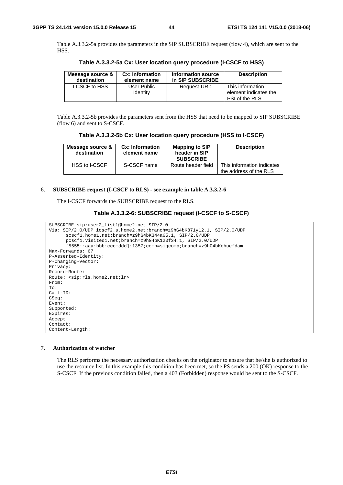Table A.3.3.2-5a provides the parameters in the SIP SUBSCRIBE request (flow 4), which are sent to the HSS.

| Message source & | Cx: Information                | Information source | <b>Description</b>                                          |
|------------------|--------------------------------|--------------------|-------------------------------------------------------------|
| destination      | element name                   | in SIP SUBSCRIBE   |                                                             |
| I-CSCF to HSS    | User Public<br><b>Identity</b> | Request-URI:       | This information<br>element indicates the<br>PSI of the RLS |

**Table A.3.3.2-5a Cx: User location query procedure (I-CSCF to HSS)** 

 Table A.3.3.2-5b provides the parameters sent from the HSS that need to be mapped to SIP SUBSCRIBE (flow 6) and sent to S-CSCF.

| Table A.3.3.2-5b Cx: User location query procedure (HSS to I-CSCF) |  |  |  |
|--------------------------------------------------------------------|--|--|--|
|--------------------------------------------------------------------|--|--|--|

| Message source &<br>destination | Cx: Information<br>element name | <b>Mapping to SIP</b><br>header in SIP<br><b>SUBSCRIBE</b> | <b>Description</b>                                   |
|---------------------------------|---------------------------------|------------------------------------------------------------|------------------------------------------------------|
| HSS to I-CSCF                   | S-CSCF name                     | Route header field                                         | This information indicates<br>the address of the RLS |

## 6. **SUBSCRIBE request (I-CSCF to RLS) - see example in table A.3.3.2-6**

The I-CSCF forwards the SUBSCRIBE request to the RLS.

```
Table A.3.3.2-6: SUBSCRIBE request (I-CSCF to S-CSCF)
```

```
SUBSCRIBE sip:user2_list1@home2.net SIP/2.0 
Via: SIP/2.0/UDP icscf2_s.home2.net;branch=z9hG4bK871y12.1, SIP/2.0/UDP 
      scscf1.home1.net;branch=z9hG4bK344a65.1, SIP/2.0/UDP 
      pcscf1.visited1.net;branch=z9hG4bK120f34.1, SIP/2.0/UDP 
      [5555::aaa:bbb:ccc:ddd]:1357;comp=sigcomp;branch=z9hG4bKehuefdam 
Max-Forwards: 67 
P-Asserted-Identity: 
P-Charging-Vector: 
Privacy: 
Record-Route: 
Route: <sip:rls.home2.net;lr> 
From: 
To: 
Call-ID: 
CSeq: 
Event: 
Supported: 
Expires: 
Accept: 
Contact: 
Content-Length:
```
#### 7. **Authorization of watcher**

 The RLS performs the necessary authorization checks on the originator to ensure that he/she is authorized to use the resource list. In this example this condition has been met, so the PS sends a 200 (OK) response to the S-CSCF. If the previous condition failed, then a 403 (Forbidden) response would be sent to the S-CSCF.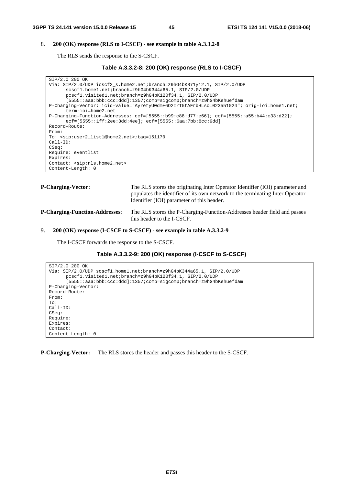# 8. **200 (OK) response (RLS to I-CSCF) - see example in table A.3.3.2-8**

The RLS sends the response to the S-CSCF.

```
Table A.3.3.2-8: 200 (OK) response (RLS to I-CSCF)
```

```
SIP/2.0 200 OK 
Via: SIP/2.0/UDP icscf2_s.home2.net;branch=z9hG4bK871y12.1, SIP/2.0/UDP 
      scscf1.home1.net;branch=z9hG4bK344a65.1, SIP/2.0/UDP 
      pcscf1.visited1.net;branch=z9hG4bK120f34.1, SIP/2.0/UDP 
      [5555::aaa:bbb:ccc:ddd]:1357;comp=sigcomp;branch=z9hG4bKehuefdam 
P-Charging-Vector: icid-value="AyretyU0dm+6O2IrT5tAFrbHLso=023551024"; orig-ioi=home1.net; 
      term-ioi=home2.net 
P-Charging-Function-Addresses: ccf=[5555::b99:c88:d77:e66]; ccf=[5555::a55:b44:c33:d22]; 
      ecf=[5555::1ff:2ee:3dd:4ee]; ecf=[5555::6aa:7bb:8cc:9dd] 
Record-Route: 
From: 
To: <sip:user2_list1@home2.net>;tag=151170 
Call-ID: 
CSeq: 
Require: eventlist 
Expires: 
Contact: <sip:rls.home2.net> 
Content-Length: 0
```

| <b>P-Charging-Vector:</b>             | The RLS stores the originating Inter Operator Identifier (IOI) parameter and<br>populates the identifier of its own network to the terminating Inter Operator<br>Identifier (IOI) parameter of this header. |
|---------------------------------------|-------------------------------------------------------------------------------------------------------------------------------------------------------------------------------------------------------------|
| <b>P-Charging-Function-Addresses:</b> | The RLS stores the P-Charging-Function-Addresses header field and passes<br>this header to the I-CSCF.                                                                                                      |

# 9. **200 (OK) response (I-CSCF to S-CSCF) - see example in table A.3.3.2-9**

The I-CSCF forwards the response to the S-CSCF.

# **Table A.3.3.2-9: 200 (OK) response (I-CSCF to S-CSCF)**

```
SIP/2.0 200 OK 
Via: SIP/2.0/UDP scscf1.home1.net;branch=z9hG4bK344a65.1, SIP/2.0/UDP 
      pcscf1.visited1.net;branch=z9hG4bK120f34.1, SIP/2.0/UDP 
      [5555::aaa:bbb:ccc:ddd]:1357;comp=sigcomp;branch=z9hG4bKehuefdam 
P-Charging-Vector: 
Record-Route: 
From: 
To: 
Call-ID: 
CSeq: 
Require: 
Expires: 
Contact:
Content-Length: 0
```
**P-Charging-Vector:** The RLS stores the header and passes this header to the S-CSCF.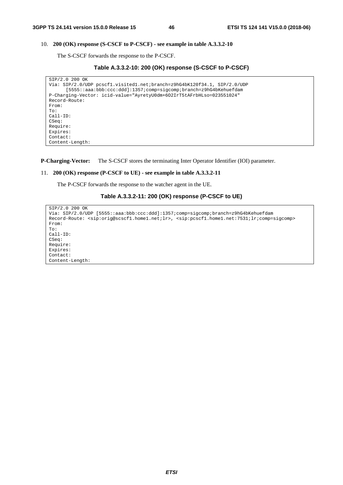## 10. **200 (OK) response (S-CSCF to P-CSCF) - see example in table A.3.3.2-10**

The S-CSCF forwards the response to the P-CSCF.

```
Table A.3.3.2-10: 200 (OK) response (S-CSCF to P-CSCF)
```

```
SIP/2.0 200 OK 
Via: SIP/2.0/UDP pcscf1.visited1.net;branch=z9hG4bK120f34.1, SIP/2.0/UDP 
      [5555::aaa:bbb:ccc:ddd]:1357;comp=sigcomp;branch=z9hG4bKehuefdam 
P-Charging-Vector: icid-value="AyretyU0dm+6O2IrT5tAFrbHLso=023551024" 
Record-Route: 
From: 
To: 
Call-ID: 
CSeq: 
Require: 
Expires: 
Contact: 
Content-Length:
```
**P-Charging-Vector:** The S-CSCF stores the terminating Inter Operator Identifier (IOI) parameter.

## 11. **200 (OK) response (P-CSCF to UE) - see example in table A.3.3.2-11**

The P-CSCF forwards the response to the watcher agent in the UE.

```
Table A.3.3.2-11: 200 (OK) response (P-CSCF to UE)
```

```
SIP/2.0 200 OK 
Via: SIP/2.0/UDP [5555::aaa:bbb:ccc:ddd]:1357;comp=sigcomp;branch=z9hG4bKehuefdam 
Record-Route: <sip:orig@scscf1.home1.net;lr>, <sip:pcscf1.home1.net:7531;lr;comp=sigcomp> 
From: 
To: 
Call-ID: 
CSeq: 
Require: 
Expires: 
Contact: 
Content-Length:
```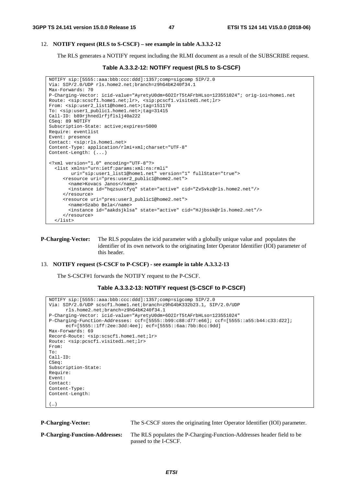## 12. **NOTIFY request (RLS to S-CSCF) – see example in table A.3.3.2-12**

The RLS generates a NOTIFY request including the RLMI document as a result of the SUBSCRIBE request.

```
Table A.3.3.2-12: NOTIFY request (RLS to S-CSCF)
```

```
NOTIFY sip:[5555::aaa:bbb:ccc:ddd]:1357;comp=sigcomp SIP/2.0 
Via: SIP/2.0/UDP rls.home2.net;branch=z9hG4bK240f34.1 
Max-Forwards: 70 
P-Charging-Vector: icid-value="AyretyU0dm+6O2IrT5tAFrbHLso=123551024"; orig-ioi=home1.net 
Route: <sip:scscf1.home1.net;lr>, <sip:pcscf1.visited1.net;lr>
From: <sip:user2_list1@home1.net>;tag=151170 
To: <sip:user1_public1.home1.net>;tag=31415 
Call-ID: b89rjhnedlrfjflslj40a222 
CSeq: 89 NOTIFY 
Subscription-State: active;expires=5000 
Require: eventlist 
Event: presence 
Contact: <sip:rls.home1.net> 
Content-Type: application/rlmi+xml;charset="UTF-8" 
Content-Length: (...) 
<?xml version="1.0" encoding="UTF-8"?> 
   <list xmlns="urn:ietf:params:xml:ns:rmli" 
        uri="sip:user1_list1@home1.net" version="1" fullState="true"> 
      <resource uri="pres:user2_public1@home2.net"> 
        <name>Kovacs Janos</name> 
        <instance id="hqzsuxtfyq" state="active" cid="ZvSvkz@rls.home2.net"/> 
      </resource> 
      <resource uri="pres:user3_public1@home2.net"> 
        <name>Szabo Bela</name> 
        <instance id="aakdsjklsa" state="active" cid="HJjbssk@rls.home2.net"/> 
      </resource> 
   </list>
```
**P-Charging-Vector:** The RLS populates the icid parameter with a globally unique value and populates the identifier of its own network to the originating Inter Operator Identifier (IOI) parameter of this header.

#### 13. **NOTIFY request (S-CSCF to P-CSCF) - see example in table A.3.3.2-13**

The S-CSCF#1 forwards the NOTIFY request to the P-CSCF.

```
Table A.3.3.2-13: NOTIFY request (S-CSCF to P-CSCF)
```

```
NOTIFY sip:[5555::aaa:bbb:ccc:ddd]:1357;comp=sigcomp SIP/2.0 
Via: SIP/2.0/UDP scscf1.home1.net;branch=z9hG4bK332b23.1, SIP/2.0/UDP 
      rls.home2.net;branch=z9hG4bK240f34.1 
P-Charging-Vector: icid-value="AyretyU0dm+6O2IrT5tAFrbHLso=123551024" 
P-Charging-Function-Addresses: ccf=[5555::b99:c88:d77:e66]; ccf=[5555::a55:b44:c33:d22]; 
      ecf=[5555::1ff:2ee:3dd:4ee]; ecf=[5555::6aa:7bb:8cc:9dd] 
Max-Forwards: 69 
Record-Route: <sip:scscf1.home1.net;lr> 
Route: <sip:pcscf1.visited1.net;lr> 
From: 
To: 
Call-ID: 
CSeq: 
Subscription-State: 
Require: 
Event: 
Contact: 
Content-Type: 
Content-Length: 
(…)
```
**P-Charging-Vector:** The S-CSCF stores the originating Inter Operator Identifier (IOI) parameter.

**P-Charging-Function-Addresses:** The RLS populates the P-Charging-Function-Addresses header field to be passed to the I-CSCF.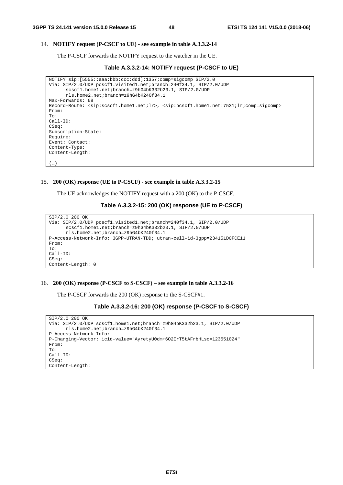$(\ldots)$ 

## 14. **NOTIFY request (P-CSCF to UE) - see example in table A.3.3.2-14**

The P-CSCF forwards the NOTIFY request to the watcher in the UE.

```
Table A.3.3.2-14: NOTIFY request (P-CSCF to UE)
```

```
NOTIFY sip:[5555::aaa:bbb:ccc:ddd]:1357;comp=sigcomp SIP/2.0 
Via: SIP/2.0/UDP pcscf1.visited1.net;branch=240f34.1, SIP/2.0/UDP 
      scscf1.home1.net;branch=z9hG4bK332b23.1, SIP/2.0/UDP 
      rls.home2.net;branch=z9hG4bK240f34.1 
Max-Forwards: 68 
Record-Route: <sip:scscf1.home1.net;lr>, <sip:pcscf1.home1.net:7531;lr;comp=sigcomp> 
From: 
To: 
Call-ID: 
CSeq:
Subscription-State: 
Require: 
Event: Contact: 
Content-Type: 
Content-Length:
```
#### 15. **200 (OK) response (UE to P-CSCF) - see example in table A.3.3.2-15**

The UE acknowledges the NOTIFY request with a 200 (OK) to the P-CSCF.

**Table A.3.3.2-15: 200 (OK) response (UE to P-CSCF)** 

```
SIP/2.0 200 OK 
Via: SIP/2.0/UDP pcscf1.visited1.net;branch=240f34.1, SIP/2.0/UDP 
      scscf1.home1.net;branch=z9hG4bK332b23.1, SIP/2.0/UDP 
      rls.home2.net;branch=z9hG4bK240f34.1 
P-Access-Network-Info: 3GPP-UTRAN-TDD; utran-cell-id-3gpp=234151D0FCE11 
From: 
To: 
Call-ID: 
CSeq: 
Content-Length: 0
```
## 16. **200 (OK) response (P-CSCF to S-CSCF) – see example in table A.3.3.2-16**

The P-CSCF forwards the 200 (OK) response to the S-CSCF#1.

```
Table A.3.3.2-16: 200 (OK) response (P-CSCF to S-CSCF)
```

```
SIP/2.0 200 OK 
Via: SIP/2.0/UDP scscf1.home1.net;branch=z9hG4bK332b23.1, SIP/2.0/UDP 
      rls.home2.net;branch=z9hG4bK240f34.1 
P-Access-Network-Info: 
P-Charging-Vector: icid-value="AyretyU0dm+6O2IrT5tAFrbHLso=123551024" 
From: 
To: 
Call-ID: 
CSeq: 
Content-Length:
```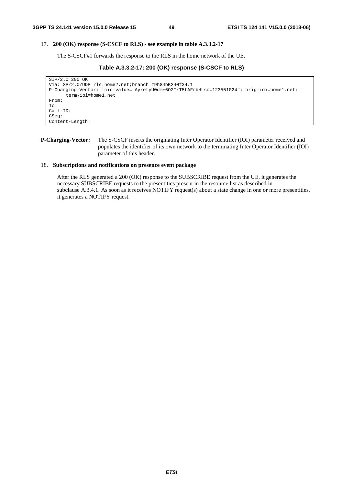#### 17. **200 (OK) response (S-CSCF to RLS) - see example in table A.3.3.2-17**

The S-CSCF#1 forwards the response to the RLS in the home network of the UE.

**Table A.3.3.2-17: 200 (OK) response (S-CSCF to RLS)** 

```
SIP/2.0 200 OK 
Via: SP/2.0/UDP rls.home2.net;branch=z9hG4bK240f34.1 
P-Charging-Vector: icid-value="AyretyU0dm+6O2IrT5tAFrbHLso=123551024"; orig-ioi=home1.net: 
      term-ioi=home1.net 
From: 
To: 
Call-ID: 
CSeq: 
Content-Length:
```
## **P-Charging-Vector:** The S-CSCF inserts the originating Inter Operator Identifier (IOI) parameter received and populates the identifier of its own network to the terminating Inter Operator Identifier (IOI) parameter of this header.

## 18. **Subscriptions and notifications on presence event package**

 After the RLS generated a 200 (OK) response to the SUBSCRIBE request from the UE, it generates the necessary SUBSCRIBE requests to the presentities present in the resource list as described in subclause A.3.4.1. As soon as it receives NOTIFY request(s) about a state change in one or more presentities, it generates a NOTIFY request.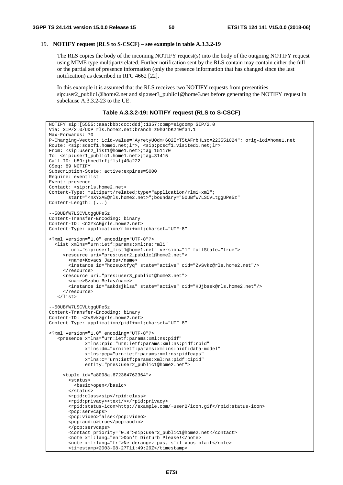# 19. **NOTIFY request (RLS to S-CSCF) – see example in table A.3.3.2-19**

 The RLS copies the body of the incoming NOTIFY request(s) into the body of the outgoing NOTIFY request using MIME type multipart/related. Further notification sent by the RLS contain may contain either the full or the partial set of presence information (only the presence information that has changed since the last notification) as described in RFC 4662 [22].

 In this example it is assumed that the RLS receives two NOTIFY requests from presentities sip:user2\_public1@home2.net and sip:user3\_public1@home3.net before generating the NOTIFY request in subclause A.3.3.2-23 to the UE.

**Table A.3.3.2-19: NOTIFY request (RLS to S-CSCF)** 

```
NOTIFY sip:[5555::aaa:bbb:ccc:ddd]:1357;comp=sigcomp SIP/2.0 
Via: SIP/2.0/UDP rls.home2.net;branch=z9hG4bK240f34.1 
Max-Forwards: 70 
P-Charging-Vector: icid-value="AyretyU0dm+6O2IrT5tAFrbHLso=223551024"; orig-ioi=home1.net 
Route: <sip:scscf1.home1.net;lr>, <sip:pcscf1.visited1.net;lr> 
From: <sip:user2_list1@home1.net>;tag=151170 
To: <sip:user1_public1.home1.net>;tag=31415 
Call-ID: b89rjhnedlrfjflslj40a222 
CSeq: 89 NOTIFY 
Subscription-State: active;expires=5000 
Require: eventlist 
Event: presence 
Contact: <sip:rls.home2.net> 
Content-Type: multipart/related;type="application/rlmi+xml"; 
        start="<nXYxAE@rls.home2.net>";boundary="50UBfW7LSCVLtggUPe5z" 
Content-Length: (...) 
--50UBfW7LSCVLtggUPe5z 
Content-Transfer-Encoding: binary 
Content-ID: <nXYxAE@rls.home2.net> 
Content-Type: application/rlmi+xml;charset="UTF-8" 
<?xml version="1.0" encoding="UTF-8"?> 
   <list xmlns="urn:ietf:params:xml:ns:rmli" 
         uri="sip:user1_list1@home1.net" version="1" fullState="true"> 
      <resource uri="pres:user2_public1@home2.net"> 
        <name>Kovacs Janos</name> 
        <instance id="hqzsuxtfyq" state="active" cid="ZvSvkz@rls.home2.net"/> 
      </resource> 
      <resource uri="pres:user3_public1@home3.net"> 
        <name>Szabo Bela</name> 
        <instance id="aakdsjklsa" state="active" cid="HJjbssk@rls.home2.net"/> 
      </resource> 
    </list> 
--50UBfW7LSCVLtggUPe5z 
Content-Transfer-Encoding: binary 
Content-ID: <ZvSvkz@rls.home2.net> 
Content-Type: application/pidf+xml;charset="UTF-8" 
<?xml version="1.0" encoding="UTF-8"?> 
    <presence xmlns="urn:ietf:params:xml:ns:pidf" 
              xmlns:rpid="urn:ietf:params:xml:ns:pidf:rpid" 
              xmlns:dm="urn:ietf:params:xml:ns:pidf:data-model" 
              xmlns:pcp="urn:ietf:params:xml:ns:pidfcaps" 
              xmlns:c="urn:ietf:params:xml:ns:pidf:cipid" 
              entity="pres:user2_public1@home2.net"> 
      <tuple id="a8098a.672364762364"> 
        <status> 
          <basic>open</basic> 
        </status> 
        <rpid:class>sip</rpid:class> 
        <rpid:privacy><text/></rpid:privacy> 
        <rpid:status-icon>http://example.com/~user2/icon.gif</rpid:status-icon> 
        <pcp:servcaps> 
        <pcp:video>false</pcp:video> 
        <pcp:audio>true</pcp:audio> 
        </pcp:servcaps> 
        <contact priority="0.8">sip:user2_public1@home2.net</contact> 
        <note xml:lang="en">Don't Disturb Please!</note> 
        <note xml:lang="fr">Ne derangez pas, s'il vous plait</note> 
       \timestimestamp>2003-08-27T11:49:29Z</timestamp>
```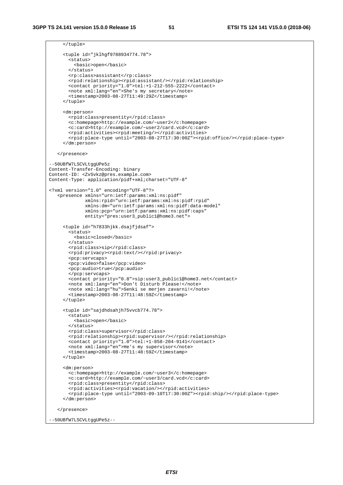| <tuple id="jklhgf9788934774.78"></tuple>                                                                              |  |
|-----------------------------------------------------------------------------------------------------------------------|--|
| <status></status>                                                                                                     |  |
| <basic>open</basic>                                                                                                   |  |
|                                                                                                                       |  |
| <rp:class>assistant</rp:class>                                                                                        |  |
| <rpid:relationship><rpid:assistant></rpid:assistant></rpid:relationship>                                              |  |
| <contact priority="1.0">tel:+1-212-555-2222</contact>                                                                 |  |
| <note xml:lang="en">She's my secretary</note>                                                                         |  |
| <timestamp>2003-08-27T11:49:29Z</timestamp>                                                                           |  |
|                                                                                                                       |  |
| <dm:person></dm:person>                                                                                               |  |
| <rpid:class>presentity</rpid:class>                                                                                   |  |
| <c:homepage>http://example.com/~user2</c:homepage>                                                                    |  |
| <c:card>http://example.com/~user2/card.vcd</c:card>                                                                   |  |
| <rpid:activities><rpid:meeting></rpid:meeting></rpid:activities>                                                      |  |
| <rpid:place-type until="2003-08-27T17:30:00Z"><rpid:office></rpid:office></rpid:place-type>                           |  |
|                                                                                                                       |  |
|                                                                                                                       |  |
|                                                                                                                       |  |
| --50UBfW7LSCVLtggUPe5z                                                                                                |  |
| Content-Transfer-Encoding: binary                                                                                     |  |
| Content-ID: <zvsvkz@pres.example.com></zvsvkz@pres.example.com>                                                       |  |
| Content-Type: application/pidf+xml;charset="UTF-8"                                                                    |  |
| xml version="1.0" encoding="UTF-8"?                                                                                   |  |
| <presence <="" td="" xmlns="urn:ietf:params:xml:ns:pidf"><td></td></presence>                                         |  |
| xmlns: rpid="urn: ietf: params: xml: ns: pidf: rpid"                                                                  |  |
| xmlns:dm="urn:ietf:params:xml:ns:pidf:data-model"                                                                     |  |
| xmlns: pcp="urn: ietf: params: xml: ns: pidf: caps"                                                                   |  |
| entity="pres:user3_public1@home3.net">                                                                                |  |
|                                                                                                                       |  |
| <tuple id="h7833hjkk.dsajfjdsaf"></tuple>                                                                             |  |
| <status><br/><basic>closed</basic></status>                                                                           |  |
|                                                                                                                       |  |
| <rpid:class>sip</rpid:class>                                                                                          |  |
| <rpid:privacy><rpid:text></rpid:text></rpid:privacy>                                                                  |  |
| <pcp:servcaps></pcp:servcaps>                                                                                         |  |
| <pcp:video>false</pcp:video>                                                                                          |  |
| <pcp:audio>true</pcp:audio>                                                                                           |  |
|                                                                                                                       |  |
| <contact priority="0.8">sip:user3_public1@home3.net</contact>                                                         |  |
| <note xml:lang="en">Don't Disturb Please!</note><br><note xml:lang="hu">Senki se merjen zavarni!</note>               |  |
| <timestamp>2003-08-27T11:48:59Z</timestamp>                                                                           |  |
|                                                                                                                       |  |
|                                                                                                                       |  |
| <tuple id="sajdhdsahjh75vvcb774.78"></tuple>                                                                          |  |
| <status></status>                                                                                                     |  |
| <basic>open</basic>                                                                                                   |  |
|                                                                                                                       |  |
| <rpid:class>supervisor</rpid:class><br><rpid:relationship><rpid:supervisor></rpid:supervisor>&gt;</rpid:relationship> |  |
| <contact priority="1.0">tel:+1-858-204-9141</contact>                                                                 |  |
| <note lang="en" xml:="">He's my supervisor</note>                                                                     |  |
| <timestamp>2003-08-27T11:48:59Z</timestamp>                                                                           |  |
|                                                                                                                       |  |
|                                                                                                                       |  |
| <dm:person></dm:person>                                                                                               |  |
| <c:homepage>http://example.com/~user3</c:homepage><br><c:card>http://example.com/~user3/card.vcd</c:card>             |  |
| <rpid:class>presentity</rpid:class>                                                                                   |  |
| <rpid:activities><rpid:vacation></rpid:vacation></rpid:activities>                                                    |  |
| <rpid:place-type until="2003-09-10T17:30:00Z"><rpid:ship></rpid:ship></rpid:place-type>                               |  |
|                                                                                                                       |  |
|                                                                                                                       |  |
|                                                                                                                       |  |
| --50UBfW7LSCVLtggUPe5z--                                                                                              |  |
|                                                                                                                       |  |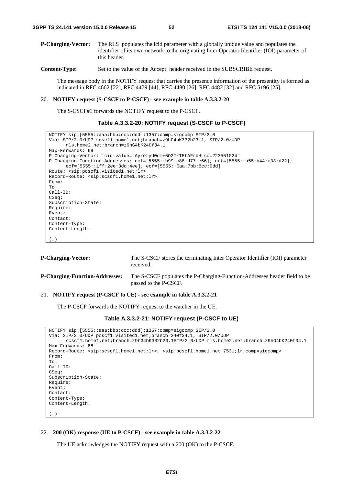**P-Charging-Vector:** The RLS populates the icid parameter with a globally unique value and populates the identifier of its own network to the originating Inter Operator Identifier (IOI) parameter of this header.

**Content-Type:** Set to the value of the Accept: header received in the SUBSCRIBE request.

 The message body in the NOTIFY request that carries the presence information of the presentity is formed as indicated in RFC 4662 [22], RFC 4479 [44], RFC 4480 [26], RFC 4482 [32] and RFC 5196 [25].

#### 20. **NOTIFY request (S-CSCF to P-CSCF) - see example in table A.3.3.2-20**

The S-CSCF#1 forwards the NOTIFY request to the P-CSCF.

## **Table A.3.3.2-20: NOTIFY request (S-CSCF to P-CSCF)**

```
NOTIFY sip:[5555::aaa:bbb:ccc:ddd]:1357;comp=sigcomp SIP/2.0 
Via: SIP/2.0/UDP scscf1.home1.net;branch=z9hG4bK332b23.1, SIP/2.0/UDP 
      rls.home2.net;branch=z9hG4bK240f34.1 
Max-Forwards: 69 
P-Charging-Vector: icid-value="AyretyU0dm+6O2IrT5tAFrbHLso=223551024" 
P-Charging-Function-Addresses: ccf=[5555::b99:c88:d77:e66]; ccf=[5555::a55:b44:c33:d22]; 
      ecf=[5555::1ff:2ee:3dd:4ee]; ecf=[5555::6aa:7bb:8cc:9dd] 
Route: <sip:pcscf1.visited1.net;lr> 
Record-Route: <sip:scscf1.home1.net;lr> 
From: 
To: 
Call-ID: 
CSeq: 
Subscription-State: 
Require: 
Event: 
Contact: 
Content-Type: 
Content-Length: 
(…)
```

| <b>P-Charging-Vector:</b>             | The S-CSCF stores the terminating Inter Operator Identifier (IOI) parameter<br>received.           |
|---------------------------------------|----------------------------------------------------------------------------------------------------|
| <b>P-Charging-Function-Addresses:</b> | The S-CSCF populates the P-Charging-Function-Addresses header field to be<br>passed to the P-CSCF. |

# 21. **NOTIFY request (P-CSCF to UE) - see example in table A.3.3.2-21**

The P-CSCF forwards the NOTIFY request to the watcher in the UE.

#### **Table A.3.3.2-21: NOTIFY request (P-CSCF to UE)**

```
NOTIFY sip:[5555::aaa:bbb:ccc:ddd]:1357;comp=sigcomp SIP/2.0 
Via: SIP/2.0/UDP pcscf1.visited1.net;branch=240f34.1, SIP/2.0/UDP 
      scscf1.home1.net;branch=z9hG4bK332b23.1SIP/2.0/UDP rls.home2.net;branch=z9hG4bK240f34.1 
Max-Forwards: 68 
Record-Route: <sip:scscf1.home1.net;lr>, <sip:pcscf1.home1.net:7531;lr;comp=sigcomp> 
From: 
To: 
Call-ID: 
CSeq: 
Subscription-State: 
Require: 
Event: 
Contact: 
Content-Type: 
Content-Length: 
(…)
```
#### 22. **200 (OK) response (UE to P-CSCF) - see example in table A.3.3.2-22**

The UE acknowledges the NOTIFY request with a 200 (OK) to the P-CSCF.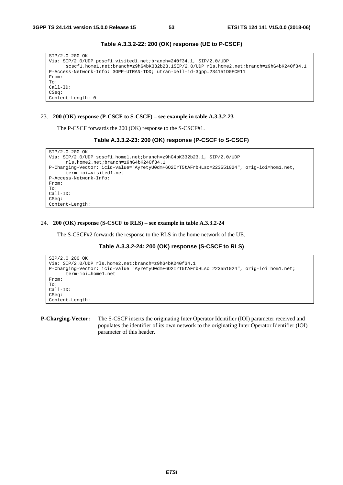| SIP/2.0 200 OK                                                                         |
|----------------------------------------------------------------------------------------|
| Via: SIP/2.0/UDP pcscf1.visited1.net;branch=240f34.1, SIP/2.0/UDP                      |
| scscfl.homel.net;branch=z9hG4bK332b23.1SIP/2.0/UDPrls.home2.net;branch=z9hG4bK240f34.1 |
| P-Access-Network-Info: 3GPP-UTRAN-TDD; utran-cell-id-3qpp=234151D0FCE11                |
| From:                                                                                  |
| To:                                                                                    |
| $Call-ID:$                                                                             |
| CSeq:                                                                                  |
| Content-Length: 0                                                                      |

**Table A.3.3.2-22: 200 (OK) response (UE to P-CSCF)** 

## 23. **200 (OK) response (P-CSCF to S-CSCF) – see example in table A.3.3.2-23**

The P-CSCF forwards the 200 (OK) response to the S-CSCF#1.

```
Table A.3.3.2-23: 200 (OK) response (P-CSCF to S-CSCF)
```

```
SIP/2.0 200 OK 
Via: SIP/2.0/UDP scscf1.home1.net;branch=z9hG4bK332b23.1, SIP/2.0/UDP 
      rls.home2.net;branch=z9hG4bK240f34.1 
P-Charging-Vector: icid-value="AyretyU0dm+6O2IrT5tAFrbHLso=223551024", orig-ioi=hom1.net, 
      term-ioi=visited1.net 
P-Access-Network-Info: 
From: 
To: 
Call-ID: 
CSeq: 
Content-Length:
```
#### 24. **200 (OK) response (S-CSCF to RLS) – see example in table A.3.3.2-24**

The S-CSCF#2 forwards the response to the RLS in the home network of the UE.

## **Table A.3.3.2-24: 200 (OK) response (S-CSCF to RLS)**

```
SIP/2.0 200 OK 
Via: SIP/2.0/UDP rls.home2.net;branch=z9hG4bK240f34.1 
P-Charging-Vector: icid-value="AyretyU0dm+6O2IrT5tAFrbHLso=223551024", orig-ioi=hom1.net; 
      term-ioi=home1.net 
From: 
To: 
Call-ID: 
CSeq: 
Content-Length:
```
**P-Charging-Vector:** The S-CSCF inserts the originating Inter Operator Identifier (IOI) parameter received and populates the identifier of its own network to the originating Inter Operator Identifier (IOI) parameter of this header.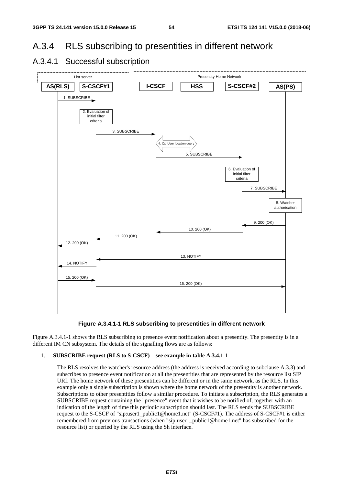# A.3.4 RLS subscribing to presentities in different network



# A.3.4.1 Successful subscription

**Figure A.3.4.1-1 RLS subscribing to presentities in different network** 

Figure A.3.4.1-1 shows the RLS subscribing to presence event notification about a presentity. The presentity is in a different IM CN subsystem. The details of the signalling flows are as follows:

# 1. **SUBSCRIBE request (RLS to S-CSCF) – see example in table A.3.4.1-1**

 The RLS resolves the watcher's resource address (the address is received according to subclause A.3.3) and subscribes to presence event notification at all the presentities that are represented by the resource list SIP URI. The home network of these presentities can be different or in the same network, as the RLS. In this example only a single subscription is shown where the home network of the presentity is another network. Subscriptions to other presentities follow a similar procedure. To initiate a subscription, the RLS generates a SUBSCRIBE request containing the "presence" event that it wishes to be notified of, together with an indication of the length of time this periodic subscription should last. The RLS sends the SUBSCRIBE request to the S-CSCF of "sip:user1\_public1@home1.net" (S-CSCF#1). The address of S-CSCF#1 is either remembered from previous transactions (when "sip:user1\_public1@home1.net" has subscribed for the resource list) or queried by the RLS using the Sh interface.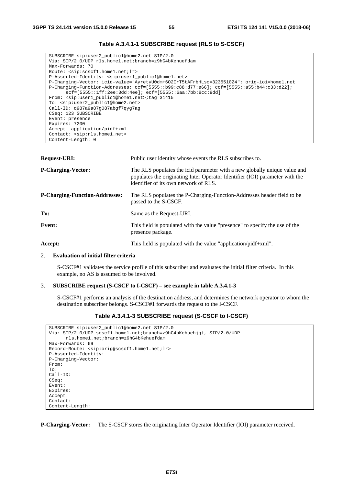# **Table A.3.4.1-1 SUBSCRIBE request (RLS to S-CSCF)**

```
SUBSCRIBE sip:user2_public1@home2.net SIP/2.0 
Via: SIP/2.0/UDP rls.home1.net;branch=z9hG4bKehuefdam 
Max-Forwards: 70 
Route: <sip:scscf1.home1.net;lr> 
P-Asserted-Identity: <sip:user1_public1@home1.net> 
P-Charging-Vector: icid-value="AyretyU0dm+6O2IrT5tAFrbHLso=323551024"; orig-ioi=home1.net 
P-Charging-Function-Addresses: ccf=[5555::b99:c88:d77:e66]; ccf=[5555::a55:b44:c33:d22]; 
      ecf=[5555::1ff:2ee:3dd:4ee]; ecf=[5555::6aa:7bb:8cc:9dd] 
From: <sip:user1_public1@home1.net>;tag=31415 
To: <sip:user2_public1@home2.net> 
Call-ID: q987a9a87g087abgf7qyg7ag 
CSeq: 123 SUBSCRIBE 
Event: presence 
Expires: 7200 
Accept: application/pidf+xml 
Contact: <sip:rls.home1.net> 
Content-Length: 0
```

| <b>Request-URI:</b>                   | Public user identity whose events the RLS subscribes to.                                                                                                                                           |  |
|---------------------------------------|----------------------------------------------------------------------------------------------------------------------------------------------------------------------------------------------------|--|
| <b>P-Charging-Vector:</b>             | The RLS populates the icid parameter with a new globally unique value and<br>populates the originating Inter Operator Identifier (IOI) parameter with the<br>identifier of its own network of RLS. |  |
| <b>P-Charging-Function-Addresses:</b> | The RLS populates the P-Charging-Function-Addresses header field to be<br>passed to the S-CSCF.                                                                                                    |  |
| To:                                   | Same as the Request-URI.                                                                                                                                                                           |  |
| Event:                                | This field is populated with the value "presence" to specify the use of the<br>presence package.                                                                                                   |  |
| Accept:                               | This field is populated with the value "application/pidf+xml".                                                                                                                                     |  |

### 2. **Evaluation of initial filter criteria**

 S-CSCF#1 validates the service profile of this subscriber and evaluates the initial filter criteria. In this example, no AS is assumed to be involved.

#### 3. **SUBSCRIBE request (S-CSCF to I-CSCF) – see example in table A.3.4.1-3**

 S-CSCF#1 performs an analysis of the destination address, and determines the network operator to whom the destination subscriber belongs. S-CSCF#1 forwards the request to the I-CSCF.

## **Table A.3.4.1-3 SUBSCRIBE request (S-CSCF to I-CSCF)**

```
SUBSCRIBE sip:user2_public1@home2.net SIP/2.0 
Via: SIP/2.0/UDP scscf1.home1.net;branch=z9hG4bKehuehjgt, SIP/2.0/UDP 
      rls.home1.net;branch=z9hG4bKehuefdam 
Max-Forwards: 69 
Record-Route: <sip:orig@scscf1.home1.net;lr> 
P-Asserted-Identity: 
P-Charging-Vector: 
From: 
To: 
Call-ID: 
CSeq: 
Event: 
Expires: 
Accept: 
Contact: 
Content-Length:
```
**P-Charging-Vector:** The S-CSCF stores the originating Inter Operator Identifier (IOI) parameter received.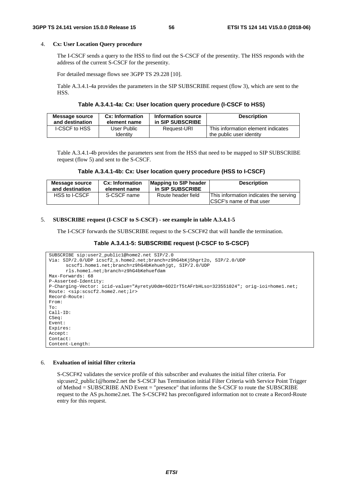## 4. **Cx: User Location Query procedure**

 The I-CSCF sends a query to the HSS to find out the S-CSCF of the presentity. The HSS responds with the address of the current S-CSCF for the presentity.

For detailed message flows see 3GPP TS 29.228 [10].

 Table A.3.4.1-4a provides the parameters in the SIP SUBSCRIBE request (flow 3), which are sent to the HSS.

#### **Table A.3.4.1-4a: Cx: User location query procedure (I-CSCF to HSS)**

| <b>Message source</b> | Cx: Information         | Information source | <b>Description</b>                                             |
|-----------------------|-------------------------|--------------------|----------------------------------------------------------------|
| and destination       | element name            | in SIP SUBSCRIBE   |                                                                |
| I-CSCF to HSS         | User Public<br>Identitv | Request-URI        | This information element indicates<br>the public user identity |

 Table A.3.4.1-4b provides the parameters sent from the HSS that need to be mapped to SIP SUBSCRIBE request (flow 5) and sent to the S-CSCF.

**Table A.3.4.1-4b: Cx: User location query procedure (HSS to I-CSCF)** 

| Message source  | <b>Cx: Information</b> | <b>Mapping to SIP header</b> | <b>Description</b>                                                  |
|-----------------|------------------------|------------------------------|---------------------------------------------------------------------|
| and destination | element name           | in SIP SUBSCRIBE             |                                                                     |
| HSS to I-CSCF   | S-CSCF name            | Route header field           | This information indicates the serving<br>ICSCF's name of that user |

#### 5. **SUBSCRIBE request (I-CSCF to S-CSCF) - see example in table A.3.4.1-5**

The I-CSCF forwards the SUBSCRIBE request to the S-CSCF#2 that will handle the termination.

## **Table A.3.4.1-5: SUBSCRIBE request (I-CSCF to S-CSCF)**

```
SUBSCRIBE sip:user2_public1@home2.net SIP/2.0 
Via: SIP/2.0/UDP icscf2_s.home2.net;branch=z9hG4bKj5hgrt2o, SIP/2.0/UDP 
      scscf1.home1.net;branch=z9hG4bKehuehjgt, SIP/2.0/UDP
      rls.home1.net;branch=z9hG4bKehuefdam 
Max-Forwards: 68 
P-Asserted-Identity: 
P-Charging-Vector: icid-value="AyretyU0dm+6O2IrT5tAFrbHLso=323551024"; orig-ioi=home1.net; 
Route: <sip:scscf2.home2.net;lr> 
Record-Route: 
From: 
To: 
Call-ID: 
CSeq: 
Event: 
Expires: 
Accept: 
Contact:
Content-Length:
```
# 6. **Evaluation of initial filter criteria**

 S-CSCF#2 validates the service profile of this subscriber and evaluates the initial filter criteria. For sip:user2\_public1@home2.net the S-CSCF has Termination initial Filter Criteria with Service Point Trigger of Method = SUBSCRIBE AND Event = "presence" that informs the S-CSCF to route the SUBSCRIBE request to the AS ps.home2.net. The S-CSCF#2 has preconfigured information not to create a Record-Route entry for this request.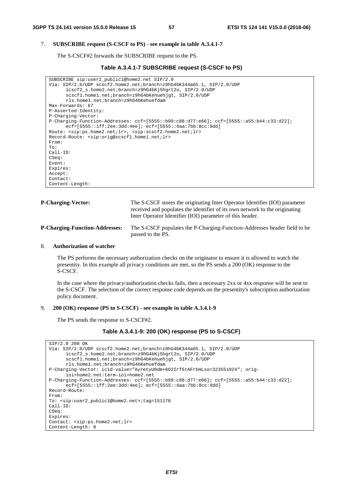## 7. **SUBSCRIBE request (S-CSCF to PS) - see example in table A.3.4.1-7**

The S-CSCF#2 forwards the SUBSCRIBE request to the PS.

### **Table A.3.4.1-7 SUBSCRIBE request (S-CSCF to PS)**

```
SUBSCRIBE sip:user2_public1@home2.net SIP/2.0 
Via: SIP/2.0/UDP scscf2.home2.net;branch=z9hG4bK344a65.1, SIP/2.0/UDP 
      icscf2_s.home2.net;branch=z9hG4bKj5hgrt2o, SIP/2.0/UDP 
      scscf1.home1.net;branch=z9hG4bKehuehjgt, SIP/2.0/UDP 
      rls.home1.net;branch=z9hG4bKehuefdam 
Max-Forwards: 67 
P-Asserted-Identity: 
P-Charging-Vector: 
P-Charging-Function-Addresses: ccf=[5555::b99:c88:d77:e66]; ccf=[5555::a55:b44:c33:d22]; 
      ecf=[5555::1ff:2ee:3dd:4ee]; ecf=[5555::6aa:7bb:8cc:9dd] 
Route: <sip:ps.home2.net;lr>, <sip:scscf2.home2.net;lr> 
Record-Route: <sip:orig@scscf1.home1.net;lr> 
From: 
To: 
Call-ID: 
CSeq: 
Event: 
Expires: 
Accept: 
Contact: 
Content-Length:
```

| <b>P-Charging-Vector:</b>             | The S-CSCF stores the originating Inter Operator Identifier (IOI) parameter<br>received and populates the identifier of its own network to the originating<br>Inter Operator Identifier (IOI) parameter of this header. |
|---------------------------------------|-------------------------------------------------------------------------------------------------------------------------------------------------------------------------------------------------------------------------|
| <b>P-Charging-Function-Addresses:</b> | The S-CSCF populates the P-Charging-Function-Addresses header field to be<br>passed to the PS.                                                                                                                          |

### 8. **Authorization of watcher**

 The PS performs the necessary authorization checks on the originator to ensure it is allowed to watch the presentity. In this example all privacy conditions are met, so the PS sends a 200 (OK) response to the S-CSCF.

 In the case where the privacy/authorization checks fails, then a necessary 2xx or 4xx response will be sent to the S-CSCF. The selection of the correct response code depends on the presentity's subscription authorization policy document.

#### 9. **200 (OK) response (PS to S-CSCF) - see example in table A.3.4.1-9**

The PS sends the response to S-CSCF#2.

```
Table A.3.4.1-9: 200 (OK) response (PS to S-CSCF)
```

```
SIP/2.0 200 OK 
Via: SIP/2.0/UDP scscf2.home2.net;branch=z9hG4bK344a65.1, SIP/2.0/UDP 
      icscf2_s.home2.net;branch=z9hG4bKj5hgrt2o, SIP/2.0/UDP 
      scscf1.home1.net;branch=z9hG4bKehuehjgt, SIP/2.0/UDP 
      rls.home1.net;branch=z9hG4bKehuefdam 
P-Charging-Vector: icid-value="AyretyU0dm+6O2IrT5tAFrbHLso=323551024"; orig-
      ioi=home2.net:term-ioi=home2.net 
P-Charging-Function-Addresses: ccf=[5555::b99:c88:d77:e66]; ccf=[5555::a55:b44:c33:d22]; 
      ecf=[5555::1ff:2ee:3dd:4ee]; ecf=[5555::6aa:7bb:8cc:9dd] 
Record-Route: 
From: 
To: <sip:user2_public1@home2.net>;tag=151170 
Call-ID: 
CSeq: 
Expires: 
Contact: <sip:ps.home2.net;lr> 
Content-Length: 0
```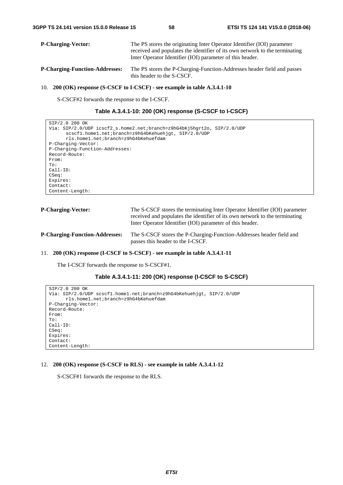| <b>P-Charging-Vector:</b>             | The PS stores the originating Inter Operator Identifier (IOI) parameter<br>received and populates the identifier of its own network to the terminating<br>Inter Operator Identifier (IOI) parameter of this header. |
|---------------------------------------|---------------------------------------------------------------------------------------------------------------------------------------------------------------------------------------------------------------------|
| <b>P-Charging-Function-Addresses:</b> | The PS stores the P-Charging-Function-Addresses header field and passes<br>this header to the S-CSCF.                                                                                                               |

#### 10. **200 (OK) response (S-CSCF to I-CSCF) - see example in table A.3.4.1-10**

S-CSCF#2 forwards the response to the I-CSCF.

| Table A.3.4.1-10: 200 (OK) response (S-CSCF to I-CSCF) |  |  |  |
|--------------------------------------------------------|--|--|--|
|--------------------------------------------------------|--|--|--|

```
SIP/2.0 200 OK 
Via: SIP/2.0/UDP icscf2_s.home2.net;branch=z9hG4bKj5hgrt2o, SIP/2.0/UDP 
      scscf1.home1.net;branch=z9hG4bKehuehjgt, SIP/2.0/UDP 
      rls.home1.net;branch=z9hG4bKehuefdam 
P-Charging-Vector: 
P-Charging-Function-Addresses: 
Record-Route: 
From: 
To: 
Call-ID: 
CSeq: 
Expires: 
Contact: 
Content-Length:
```

| <b>P-Charging-Vector:</b>             | The S-CSCF stores the terminating Inter Operator Identifier (IOI) parameter<br>received and populates the identifier of its own network to the terminating<br>Inter Operator Identifier (IOI) parameter of this header. |
|---------------------------------------|-------------------------------------------------------------------------------------------------------------------------------------------------------------------------------------------------------------------------|
| <b>P-Charging-Function-Addresses:</b> | The S-CSCF stores the P-Charging-Function-Addresses header field and<br>passes this header to the I-CSCF.                                                                                                               |

# 11. **200 (OK) response (I-CSCF to S-CSCF) - see example in table A.3.4.1-11**

The I-CSCF forwards the response to S-CSCF#1.

```
Table A.3.4.1-11: 200 (OK) response (I-CSCF to S-CSCF)
```

```
SIP/2.0 200 OK 
Via: SIP/2.0/UDP scscf1.home1.net;branch=z9hG4bKehuehjgt, SIP/2.0/UDP 
     rls.home1.net;branch=z9hG4bKehuefdam 
P-Charging-Vector: 
Record-Route: 
From: 
To: 
Call-ID: 
CSeq: 
Expires: 
Contact: 
Content-Length:
```
## 12. **200 (OK) response (S-CSCF to RLS) - see example in table A.3.4.1-12**

S-CSCF#1 forwards the response to the RLS.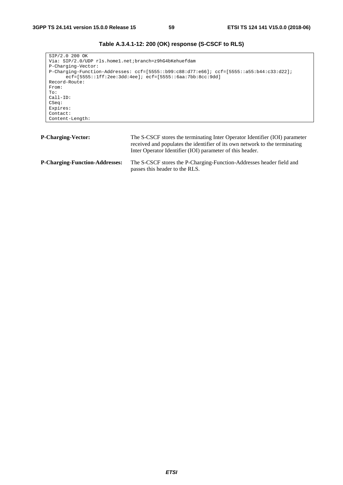```
SIP/2.0 200 OK 
Via: SIP/2.0/UDP rls.home1.net;branch=z9hG4bKehuefdam 
P-Charging-Vector: 
P-Charging-Function-Addresses: ccf=[5555::b99:c88:d77:e66]; ccf=[5555::a55:b44:c33:d22]; 
      ecf=[5555::1ff:2ee:3dd:4ee]; ecf=[5555::6aa:7bb:8cc:9dd] 
Record-Route: 
From: 
To: 
Call-ID: 
CSeq: 
Expires: 
Contact: 
Content-Length:
```

| <b>P-Charging-Vector:</b>             | The S-CSCF stores the terminating Inter Operator Identifier (IOI) parameter<br>received and populates the identifier of its own network to the terminating<br>Inter Operator Identifier (IOI) parameter of this header. |
|---------------------------------------|-------------------------------------------------------------------------------------------------------------------------------------------------------------------------------------------------------------------------|
| <b>P-Charging-Function-Addresses:</b> | The S-CSCF stores the P-Charging-Function-Addresses header field and<br>passes this header to the RLS.                                                                                                                  |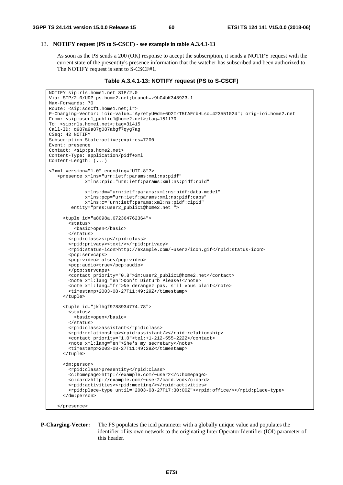#### 13. **NOTIFY request (PS to S-CSCF) - see example in table A.3.4.1-13**

 As soon as the PS sends a 200 (OK) response to accept the subscription, it sends a NOTIFY request with the current state of the presentity's presence information that the watcher has subscribed and been authorized to. The NOTIFY request is sent to S-CSCF#1.

#### **Table A.3.4.1-13: NOTIFY request (PS to S-CSCF)**

```
NOTIFY sip:rls.home1.net SIP/2.0 
Via: SIP/2.0/UDP ps.home2.net;branch=z9hG4bK348923.1 
Max-Forwards: 70 
Route: <sip:scscf1.home1.net;lr> 
P-Charging-Vector: icid-value="AyretyU0dm+6O2IrT5tAFrbHLso=423551024"; orig-ioi=home2.net 
From: <sip:user1_public1@home2.net>;tag=151170 
To: <sip:rls.home1.net>;tag=31415 
Call-ID: q987a9a87g087abgf7qyg7ag 
CSeq: 42 NOTIFY 
Subscription-State:active;expires=7200 
Event: presence 
Contact: <sip:ps.home2.net> 
Content-Type: application/pidf+xml 
Content-Length: (...) 
<?xml version="1.0" encoding="UTF-8"?> 
    <presence xmlns="urn:ietf:params:xml:ns:pidf" 
              xmlns:rpid="urn:ietf:params:xml:ns:pidf:rpid" 
              xmlns:dm="urn:ietf:params:xml:ns:pidf:data-model" 
              xmlns:pcp="urn:ietf:params:xml:ns:pidf:caps" 
              xmlns:c="urn:ietf:params:xml:ns:pidf:cipid" 
         entity="pres:user2_public1@home2.net "> 
      <tuple id="a8098a.672364762364"> 
        <status> 
          <basic>open</basic> 
        </status> 
        <rpid:class>sip</rpid:class> 
        <rpid:privacy><text/></rpid:privacy> 
        <rpid:status-icon>http://example.com/~user2/icon.gif</rpid:status-icon> 
        <pcp:servcaps> 
        <pcp:video>false</pcp:video> 
        <pcp:audio>true</pcp:audio> 
        </pcp:servcaps> 
        <contact priority="0.8">im:user2_public1@home2.net</contact> 
        <note xml:lang="en">Don't Disturb Please!</note> 
        <note xml:lang="fr">Ne derangez pas, s'il vous plait</note> 
        <timestamp>2003-08-27T11:49:29Z</timestamp> 
      </tuple> 
      <tuple id="jklhgf9788934774.78"> 
        <status> 
          <basic>open</basic> 
        </status> 
        <rpid:class>assistant</rpid:class> 
        <rpid:relationship><rpid:assistant/></rpid:relationship> 
        <contact priority="1.0">tel:+1-212-555-2222</contact> 
        <note xml:lang="en">She's my secretary</note> 
        <timestamp>2003-08-27T11:49:29Z</timestamp> 
      </tuple> 
      <dm:person> 
        <rpid:class>presentity</rpid:class> 
        <c:homepage>http://example.com/~user2</c:homepage> 
        <c:card>http://example.com/~user2/card.vcd</c:card> 
        <rpid:activities><rpid:meeting/></rpid:activities> 
        <rpid:place-type until="2003-08-27T17:30:00Z"><rpid:office/></rpid:place-type> 
      </dm:person> 
    </presence>
```
**P-Charging-Vector:** The PS populates the icid parameter with a globally unique value and populates the identifier of its own network to the originating Inter Operator Identifier (IOI) parameter of this header.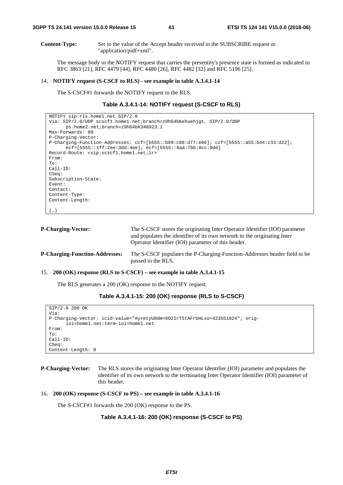**Content-Type:** Set to the value of the Accept header received in the SUBSCRIBE request or "application/pidf+xml".

 The message body in the NOTIFY request that carries the presentity's presence state is formed as indicated in RFC 3863 [21], RFC 4479 [44], RFC 4480 [26], RFC 4482 [32] and RFC 5196 [25].

#### 14. **NOTIFY request (S-CSCF to RLS) - see example in table A.3.4.1-14**

The S-CSCF#1 forwards the NOTIFY request to the RLS.

#### **Table A.3.4.1-14: NOTIFY request (S-CSCF to RLS)**

```
NOTIFY sip:rls.home1.net SIP/2.0 
Via: SIP/2.0/UDP scscf1.home1.net;branch=z9hG4bKehuehjgt, SIP/2.0/UDP 
      ps.home2.net;branch=z9hG4bK348923.1 
Max-Forwards: 69 
P-Charging-Vector: 
P-Charging-Function-Addresses: ccf=[5555::b99:c88:d77:e66]; ccf=[5555::a55:b44:c33:d22]; 
      ecf=[5555::1ff:2ee:3dd:4ee]; ecf=[5555::6aa:7bb:8cc:9dd] 
Record-Route: <sip:scscf1.home1.net;lr> 
From: 
To: 
Call-ID: 
CSeq: 
Subscription-State: 
Event: 
Contact: 
Content-Type: 
Content-Length: 
(…)
```

| <b>P-Charging-Vector:</b>             | The S-CSCF stores the originating Inter Operator Identifier (IOI) parameter<br>and populates the identifier of its own network to the originating Inter<br>Operator Identifier (IOI) parameter of this header. |  |
|---------------------------------------|----------------------------------------------------------------------------------------------------------------------------------------------------------------------------------------------------------------|--|
| <b>P-Charging-Function-Addresses:</b> | The S-CSCF populates the P-Charging-Function-Addresses header field to be<br>passed to the RLS.                                                                                                                |  |

#### 15. **200 (OK) response (RLS to S-CSCF) – see example in table A.3.4.1-15**

The RLS generates a 200 (OK) response to the NOTIFY request.

```
Table A.3.4.1-15: 200 (OK) response (RLS to S-CSCF)
```

```
SIP/2.0 200 OK 
Via: 
P-Charging-Vector: icid-value="AyretyU0dm+6O2IrT5tAFrbHLso=423551024"; orig-
      ioi=home1.net:term-ioi=home1.net 
From: 
To: 
Call-ID: 
CSeq: 
Content-Length: 0
```

```
P-Charging-Vector: The RLS stores the originating Inter Operator Identifier (IOI) parameter and populates the 
                        identifier of its own network to the terminating Inter Operator Identifier (IOI) parameter of 
                        this header.
```

```
16. 200 (OK) response (S-CSCF to PS) – see example in table A.3.4.1-16
```
The S-CSCF#1 forwards the 200 (OK) response to the PS.

## **Table A.3.4.1-16: 200 (OK) response (S-CSCF to PS)**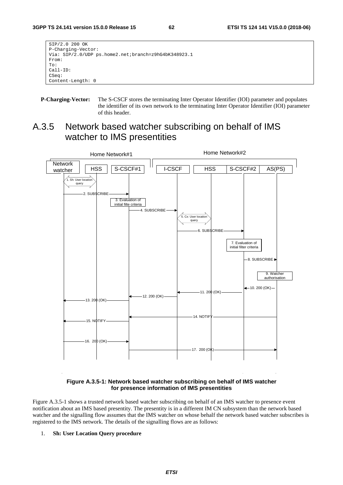| SIP/2.0 200 OK                                       |
|------------------------------------------------------|
| P-Charging-Vector:                                   |
| Via: SIP/2.0/UDP ps.home2.net;branch=z9hG4bK348923.1 |
| From:                                                |
| To:                                                  |
| $Call-ID:$                                           |
| CSeq:                                                |
| Content-Length: 0                                    |
|                                                      |

**P-Charging-Vector:** The S-CSCF stores the terminating Inter Operator Identifier (IOI) parameter and populates the identifier of its own network to the terminating Inter Operator Identifier (IOI) parameter of this header.

# A.3.5 Network based watcher subscribing on behalf of IMS watcher to IMS presentities



# **Figure A.3.5-1: Network based watcher subscribing on behalf of IMS watcher for presence information of IMS presentities**

Figure A.3.5-1 shows a trusted network based watcher subscribing on behalf of an IMS watcher to presence event notification about an IMS based presentity. The presentity is in a different IM CN subsystem than the network based watcher and the signalling flow assumes that the IMS watcher on whose behalf the network based watcher subscribes is registered to the IMS network. The details of the signalling flows are as follows:

# 1. **Sh: User Location Query procedure**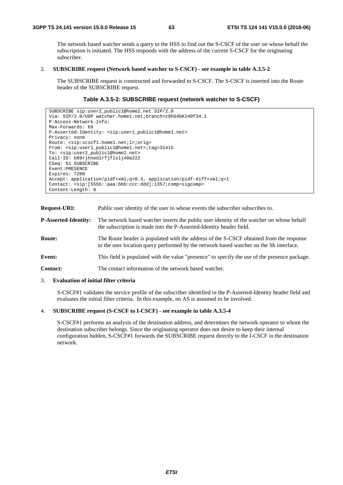The network based watcher sends a query to the HSS to find out the S-CSCF of the user on whose behalf the subscription is initiated. The HSS responds with the address of the current S-CSCF for the originating subscriber.

## 2. **SUBSCRIBE request (Network based watcher to S-CSCF) - see example in table A.3.5-2**

 The SUBSCRIBE request is constructed and forwarded to S-CSCF. The S-CSCF is inserted into the Route header of the SUBSCRIBE request.

## **Table A.3.5-2: SUBSCRIBE request (network watcher to S-CSCF)**

```
SUBSCRIBE sip:user2_public1@home2.net SIP/2.0 
Via: SIP/2.0/UDP watcher.home1.net;branch=z9hG4bK240f34.1 
P-Access-Network-Info: 
Max-Forwards: 69 
P-Asserted-Identity: <sip:user1_public1@home1.net> 
Privacy: none 
Route: <sip:scscf1.home1.net;lr;orig> 
From: <sip:user1_public1@home1.net>;tag=31415 
To: <sip:user2_public1@home2.net> 
Call-ID: b89rjhnedlrfjflslj40a222 
CSeq: 61 SUBSCRIBE 
Event:PRESENCE 
Expires: 7200 
Accept: application/pidf+xml;q=0.3, application/pidf-diff+xml;q=1 
Contact: <sip:[5555::aaa:bbb:ccc:ddd]:1357;comp=sigcomp> 
Content-Length: 0
```
**Request-URI:** Public user identity of the user to whose events the subscriber subscribes to.

**P-Asserted-Identity:** The network based watcher inserts the public user identity of the watcher on whose behalf the subscription is made into the P-Asserted-Identity header field.

- **Route:** The Route header is populated with the address of the S-CSCF obtained from the response to the user location query performed by the network based watcher on the Sh interface.
- **Event:** This field is populated with the value "presence" to specify the use of the presence package.

**Contact:** The contact information of the network based watcher.

## 3. **Evaluation of initial filter criteria**

 S-CSCF#1 validates the service profile of the subscriber identified in the P-Asserted-Identity header field and evaluates the initial filter criteria. In this example, no AS is assumed to be involved.

### 4. **SUBSCRIBE request (S-CSCF to I-CSCF) - see example in table A.3.5-4**

 S-CSCF#1 performs an analysis of the destination address, and determines the network operator to whom the destination subscriber belongs. Since the originating operator does not desire to keep their internal configuration hidden, S-CSCF#1 forwards the SUBSCRIBE request directly to the I-CSCF in the destination network.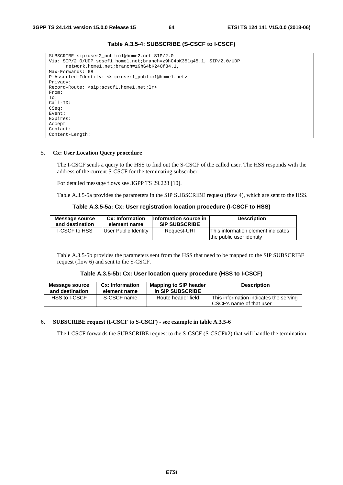```
SUBSCRIBE sip:user2_public1@home2.net SIP/2.0 
Via: SIP/2.0/UDP scscf1.home1.net;branch=z9hG4bK351g45.1, SIP/2.0/UDP 
      network.home1.net;branch=z9hG4bK240f34.1, 
Max-Forwards: 68 
P-Asserted-Identity: <sip:user1_public1@home1.net> 
Privacy: 
Record-Route: <sip:scscf1.home1.net;lr> 
From: 
To: 
Call-ID: 
CSeq: 
Event: 
Expires: 
Accept: 
Contact: 
Content-Length:
```
# **Table A.3.5-4: SUBSCRIBE (S-CSCF to I-CSCF)**

#### 5. **Cx: User Location Query procedure**

 The I-CSCF sends a query to the HSS to find out the S-CSCF of the called user. The HSS responds with the address of the current S-CSCF for the terminating subscriber.

For detailed message flows see 3GPP TS 29.228 [10].

Table A.3.5-5a provides the parameters in the SIP SUBSCRIBE request (flow 4), which are sent to the HSS.

|  | Table A.3.5-5a: Cx: User registration location procedure (I-CSCF to HSS) |  |
|--|--------------------------------------------------------------------------|--|
|--|--------------------------------------------------------------------------|--|

| Message source       | Cx: Information      | Information source in | <b>Description</b>                                             |
|----------------------|----------------------|-----------------------|----------------------------------------------------------------|
| and destination      | element name         | <b>SIP SUBSCRIBE</b>  |                                                                |
| <b>I-CSCF to HSS</b> | User Public Identity | Request-URI           | This information element indicates<br>the public user identity |

 Table A.3.5-5b provides the parameters sent from the HSS that need to be mapped to the SIP SUBSCRIBE request (flow 6) and sent to the S-CSCF.

## **Table A.3.5-5b: Cx: User location query procedure (HSS to I-CSCF)**

| Message source  | Cx: Information | <b>Mapping to SIP header</b> | <b>Description</b>                                                         |
|-----------------|-----------------|------------------------------|----------------------------------------------------------------------------|
| and destination | element name    | in SIP SUBSCRIBE             |                                                                            |
| HSS to I-CSCF   | S-CSCF name     | Route header field           | This information indicates the serving<br><b>ICSCF's name of that user</b> |

## 6. **SUBSCRIBE request (I-CSCF to S-CSCF) - see example in table A.3.5-6**

The I-CSCF forwards the SUBSCRIBE request to the S-CSCF (S-CSCF#2) that will handle the termination.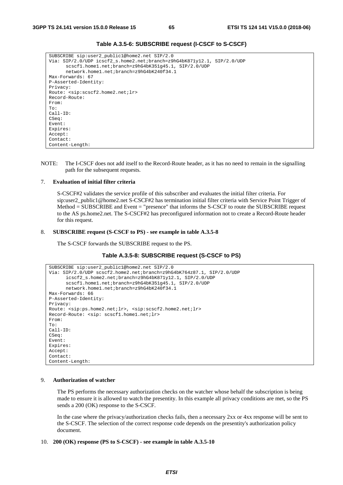| SUBSCRIBE sip:user2 publicl@home2.net SIP/2.0                           |
|-------------------------------------------------------------------------|
| Via: SIP/2.0/UDP icscf2_s.home2.net;branch=z9hG4bK871y12.1, SIP/2.0/UDP |
| scscf1.home1.net;branch=z9hG4bK351q45.1, SIP/2.0/UDP                    |
| network.home1.net;branch=z9hG4bK240f34.1                                |
| Max-Forwards: 67                                                        |
| P-Asserted-Identity:                                                    |
| Privacy:                                                                |
| Route: <sip:scscf2.home2.net;lr></sip:scscf2.home2.net;lr>              |
| Record-Route:                                                           |
| From:                                                                   |
| To:                                                                     |
| $Call-ID:$                                                              |
| CSeq:                                                                   |
| Event:                                                                  |
| Expires:                                                                |
| Accept:                                                                 |
| Contact:                                                                |
| Content-Length:                                                         |

**Table A.3.5-6: SUBSCRIBE request (I-CSCF to S-CSCF)** 

NOTE: The I-CSCF does not add itself to the Record-Route header, as it has no need to remain in the signalling path for the subsequent requests.

## 7. **Evaluation of initial filter criteria**

 S-CSCF#2 validates the service profile of this subscriber and evaluates the initial filter criteria. For sip:user2\_public1@home2.net S-CSCF#2 has termination initial filter criteria with Service Point Trigger of Method = SUBSCRIBE and Event = "presence" that informs the S-CSCF to route the SUBSCRIBE request to the AS ps.home2.net. The S-CSCF#2 has preconfigured information not to create a Record-Route header for this request.

#### 8. **SUBSCRIBE request (S-CSCF to PS) - see example in table A.3.5-8**

The S-CSCF forwards the SUBSCRIBE request to the PS.

```
Table A.3.5-8: SUBSCRIBE request (S-CSCF to PS)
```

```
SUBSCRIBE sip:user2_public1@home2.net SIP/2.0 
Via: SIP/2.0/UDP scscf2.home2.net;branch=z9hG4bK764z87.1, SIP/2.0/UDP 
      icscf2_s.home2.net;branch=z9hG4bK871y12.1, SIP/2.0/UDP 
      scscf1.home1.net;branch=z9hG4bK351g45.1, SIP/2.0/UDP 
      network.home1.net;branch=z9hG4bK240f34.1 
Max-Forwards: 66 
P-Asserted-Identity: 
Privacy: 
Route: <sip:ps.home2.net;lr>, <sip:scscf2.home2.net;lr> 
Record-Route: <sip: scscf1.home1.net;lr> 
From: 
To: 
Call-ID: 
CSeq: 
Event: 
Expires: 
Accept: 
Contact: 
Content-Length:
```
#### 9. **Authorization of watcher**

 The PS performs the necessary authorization checks on the watcher whose behalf the subscription is being made to ensure it is allowed to watch the presentity. In this example all privacy conditions are met, so the PS sends a 200 (OK) response to the S-CSCF.

 In the case where the privacy/authorization checks fails, then a necessary 2xx or 4xx response will be sent to the S-CSCF. The selection of the correct response code depends on the presentity's authorization policy document.

#### 10. **200 (OK) response (PS to S-CSCF) - see example in table A.3.5-10**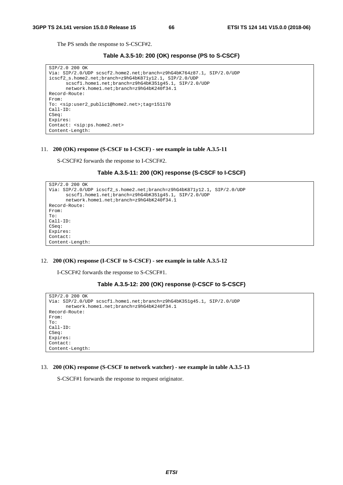The PS sends the response to S-CSCF#2.

**Table A.3.5-10: 200 (OK) response (PS to S-CSCF)** 

```
SIP/2.0 200 OK 
Via: SIP/2.0/UDP scscf2.home2.net;branch=z9hG4bK764z87.1, SIP/2.0/UDP 
icscf2_s.home2.net;branch=z9hG4bK871y12.1, SIP/2.0/UDP 
      scscf1.home1.net;branch=z9hG4bK351g45.1, SIP/2.0/UDP 
      network.home1.net;branch=z9hG4bK240f34.1 
Record-Route: 
From: 
To: <sip:user2_public1@home2.net>;tag=151170 
Call-ID: 
CSeq: 
Expires: 
Contact: <sip:ps.home2.net> 
Content-Length:
```
#### 11. **200 (OK) response (S-CSCF to I-CSCF) - see example in table A.3.5-11**

S-CSCF#2 forwards the response to I-CSCF#2.

## **Table A.3.5-11: 200 (OK) response (S-CSCF to I-CSCF)**

```
SIP/2.0 200 OK 
Via: SIP/2.0/UDP icscf2_s.home2.net;branch=z9hG4bK871y12.1, SIP/2.0/UDP 
      scscf1.home1.net;branch=z9hG4bK351g45.1, SIP/2.0/UDP 
      network.home1.net;branch=z9hG4bK240f34.1 
Record-Route: 
From: 
To: 
Call-ID: 
CSeq: 
Expires: 
Contact: 
Content-Length:
```
## 12. **200 (OK) response (I-CSCF to S-CSCF) - see example in table A.3.5-12**

I-CSCF#2 forwards the response to S-CSCF#1.

#### **Table A.3.5-12: 200 (OK) response (I-CSCF to S-CSCF)**

```
SIP/2.0 200 OK 
Via: SIP/2.0/UDP scscf1.home1.net;branch=z9hG4bK351g45.1, SIP/2.0/UDP 
      network.home1.net;branch=z9hG4bK240f34.1 
Record-Route: 
From: 
To: 
Call-ID: 
CSeq: 
Expires: 
Contact: 
Content-Length:
```
#### 13. **200 (OK) response (S-CSCF to network watcher) - see example in table A.3.5-13**

S-CSCF#1 forwards the response to request originator.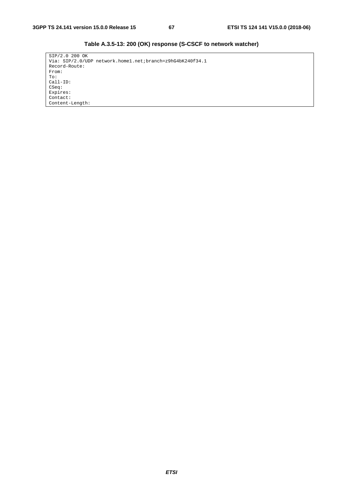| SIP/2.0 200 OK                                            |
|-----------------------------------------------------------|
| Via: SIP/2.0/UDP network.home1.net;branch=z9hG4bK240f34.1 |
| Record-Route:                                             |
| From:                                                     |
| To:                                                       |
| $Call-ID:$                                                |
| CSeq:                                                     |
| Expires:                                                  |
| Contact:                                                  |
| Content-Length:                                           |

**Table A.3.5-13: 200 (OK) response (S-CSCF to network watcher)**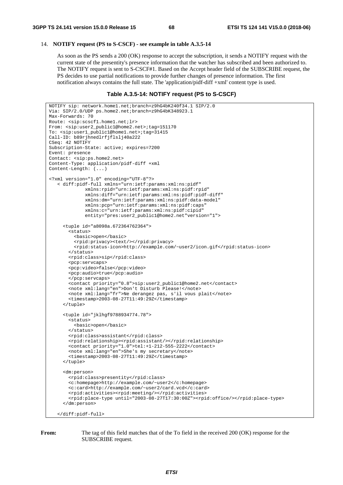#### 14. **NOTIFY request (PS to S-CSCF) - see example in table A.3.5-14**

 As soon as the PS sends a 200 (OK) response to accept the subscription, it sends a NOTIFY request with the current state of the presentity's presence information that the watcher has subscribed and been authorized to. The NOTIFY request is sent to S-CSCF#1. Based on the Accept header field of the SUBSCRIBE request, the PS decides to use partial notifications to provide further changes of presence information. The first notification always contains the full state. The 'application/pidf-diff +xml' content type is used.

## **Table A.3.5-14: NOTIFY request (PS to S-CSCF)**

```
NOTIFY sip: network.home1.net;branch=z9hG4bK240f34.1 SIP/2.0 
Via: SIP/2.0/UDP ps.home2.net;branch=z9hG4bK348923.1 
Max-Forwards: 70 
Route: <sip:scscf1.home1.net;lr> 
From: <sip:user2_public1@home2.net>;tag=151170 
To: <sip:user1_public1@home1.net>;tag=31415 
Call-ID: b89rjhnedlrfjflslj40a222 
CSeq: 42 NOTIFY 
Subscription-State: active; expires=7200 
Event: presence 
Contact: <sip:ps.home2.net> 
Content-Type: application/pidf-diff +xml 
Content-Length: (...) 
<?xml version="1.0" encoding="UTF-8"?> 
    < diff:pidf-full xmlns="urn:ietf:params:xml:ns:pidf" 
              xmlns:rpid="urn:ietf:params:xml:ns:pidf:rpid" 
               xmlns:diff="urn:ietf:params:xml:ns:pidf:pidf-diff" 
               xmlns:dm="urn:ietf:params:xml:ns:pidf:data-model" 
              xmlns:pcp="urn:ietf:params:xml:ns:pidf:caps" 
               xmlns:c="urn:ietf:params:xml:ns:pidf:cipid" 
               entity="pres:user2_public1@home2.net"version="1"> 
      <tuple id="a8098a.672364762364"> 
        <status> 
          <basic>open</basic> 
          <rpid:privacy><text/></rpid:privacy> 
          <rpid:status-icon>http://example.com/~user2/icon.gif</rpid:status-icon> 
        </status> 
        <rpid:class>sip</rpid:class> 
        <pcp:servcaps> 
        <pcp:video>false</pcp:video> 
        <pcp:audio>true</pcp:audio> 
        </pcp:servcaps> 
        <contact priority="0.8">sip:user2_public1@home2.net</contact> 
        <note xml:lang="en">Don't Disturb Please!</note> 
        <note xml:lang="fr">Ne derangez pas, s'il vous plait</note> 
        <timestamp>2003-08-27T11:49:29Z</timestamp> 
      </tuple> 
      <tuple id="jklhgf9788934774.78"> 
        <status> 
          <basic>open</basic> 
        </status> 
        <rpid:class>assistant</rpid:class> 
        <rpid:relationship><rpid:assistant/></rpid:relationship> 
        <contact priority="1.0">tel:+1-212-555-2222</contact> 
        <note xml:lang="en">She's my secretary</note> 
       \timestimestamp>2003-08-27T11:49:29Z</timestamp>
      </tuple> 
      <dm:person> 
        <rpid:class>presentity</rpid:class> 
        <c:homepage>http://example.com/~user2</c:homepage> 
        <c:card>http://example.com/~user2/card.vcd</c:card> 
        <rpid:activities><rpid:meeting/></rpid:activities> 
        <rpid:place-type until="2003-08-27T17:30:00Z"><rpid:office/></rpid:place-type> 
      </dm:person> 
    </diff:pidf-full>
```
**From:** The tag of this field matches that of the To field in the received 200 (OK) response for the SUBSCRIBE request.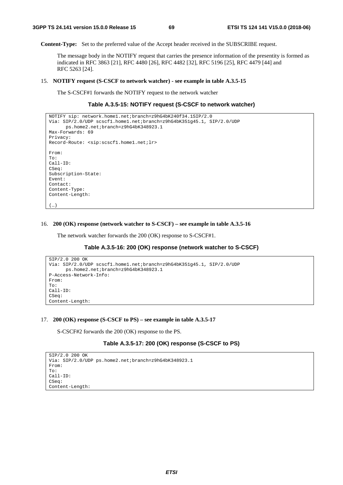**Content-Type:** Set to the preferred value of the Accept header received in the SUBSCRIBE request.

 The message body in the NOTIFY request that carries the presence information of the presentity is formed as indicated in RFC 3863 [21], RFC 4480 [26], RFC 4482 [32], RFC 5196 [25], RFC 4479 [44] and RFC 5263 [24].

#### 15. **NOTIFY request (S-CSCF to network watcher) - see example in table A.3.5-15**

The S-CSCF#1 forwards the NOTIFY request to the network watcher

## **Table A.3.5-15: NOTIFY request (S-CSCF to network watcher)**

```
NOTIFY sip: network.home1.net;branch=z9hG4bK240f34.1SIP/2.0 
Via: SIP/2.0/UDP scscf1.home1.net;branch=z9hG4bK351g45.1, SIP/2.0/UDP 
      ps.home2.net;branch=z9hG4bK348923.1 
Max-Forwards: 69 
Privacy: 
Record-Route: <sip:scscf1.home1.net;lr> 
From: 
To: 
Call-ID: 
CSeq:
Subscription-State: 
Event: 
Contact: 
Content-Type: 
Content-Length: 
(…)
```
## 16. **200 (OK) response (network watcher to S-CSCF) – see example in table A.3.5-16**

The network watcher forwards the 200 (OK) response to S-CSCF#1.

#### **Table A.3.5-16: 200 (OK) response (network watcher to S-CSCF)**

```
SIP/2.0 200 OK 
Via: SIP/2.0/UDP scscf1.home1.net;branch=z9hG4bK351g45.1, SIP/2.0/UDP 
      ps.home2.net;branch=z9hG4bK348923.1 
P-Access-Network-Info: 
From: 
To: 
Call-ID: 
CSeq: 
Content-Length:
```
#### 17. **200 (OK) response (S-CSCF to PS) – see example in table A.3.5-17**

S-CSCF#2 forwards the 200 (OK) response to the PS.

# **Table A.3.5-17: 200 (OK) response (S-CSCF to PS)**

```
SIP/2.0 200 OK 
Via: SIP/2.0/UDP ps.home2.net;branch=z9hG4bK348923.1 
From: 
To: 
Call-ID: 
CSeq: 
Content-Length:
```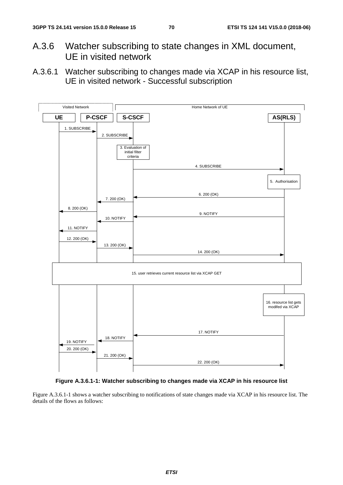- A.3.6 Watcher subscribing to state changes in XML document, UE in visited network
- A.3.6.1 Watcher subscribing to changes made via XCAP in his resource list, UE in visited network - Successful subscription





Figure A.3.6.1-1 shows a watcher subscribing to notifications of state changes made via XCAP in his resource list. The details of the flows as follows: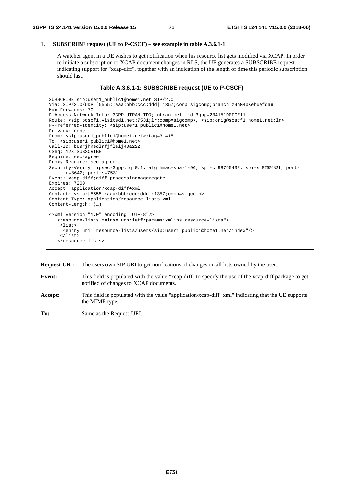# 1. **SUBSCRIBE request (UE to P-CSCF) – see example in table A.3.6.1-1**

 A watcher agent in a UE wishes to get notification when his resource list gets modified via XCAP. In order to initiate a subscription to XCAP document changes in RLS, the UE generates a SUBSCRIBE request indicating support for "xcap-diff", together with an indication of the length of time this periodic subscription should last.

# **Table A.3.6.1-1: SUBSCRIBE request (UE to P-CSCF)**

```
SUBSCRIBE sip:user1_public1@home1.net SIP/2.0 
Via: SIP/2.0/UDP [5555::aaa:bbb:ccc:ddd]:1357;comp=sigcomp;branch=z9hG4bKehuefdam 
Max-Forwards: 70 
P-Access-Network-Info: 3GPP-UTRAN-TDD; utran-cell-id-3gpp=234151D0FCE11 
Route: <sip:pcscf1.visited1.net:7531;lr;comp=sigcomp>, <sip:orig@scscf1.home1.net;lr> 
P-Preferred-Identity: <sip:user1_public1@home1.net> 
Privacy: none 
From: <sip:user1_public1@home1.net>;tag=31415 
To: <sip:user1_public1@home1.net> 
Call-ID: b89rjhnedlrfjflslj40a222 
CSeq: 123 SUBSCRIBE 
Require: sec-agree 
Proxy-Require: sec-agree 
Security-Verify: ipsec-3gpp; q=0.1; alg=hmac-sha-1-96; spi-c=98765432; spi-s=87654321; port-
     c=8642; port-s=7531 
Event: xcap-diff;diff-processing=aggregate
Expires: 7200 
Accept: application/xcap-diff+xml 
Contact: <sip:[5555::aaa:bbb:ccc:ddd]:1357;comp=sigcomp> 
Content-Type: application/resource-lists+xml 
Content-Length: (…) 
<?xml version="1.0" encoding="UTF-8"?> 
    <resource-lists xmlns="urn:ietf:params:xml:ns:resource-lists"> 
     <list> 
      <entry uri="resource-lists/users/sip:user1_public1@home1.net/index"/> 
     </list> 
    </resource-lists>
```
**Request-URI:** The users own SIP URI to get notifications of changes on all lists owned by the user.

- **Event:** This field is populated with the value "xcap-diff" to specify the use of the xcap-diff package to get notified of changes to XCAP documents.
- **Accept:** This field is populated with the value "application/xcap-diff+xml" indicating that the UE supports the MIME type.
- **To:** Same as the Request-URI.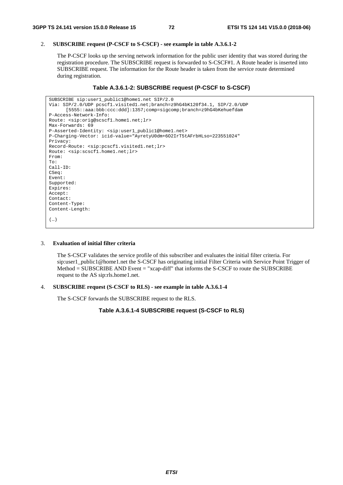# 2. **SUBSCRIBE request (P-CSCF to S-CSCF) - see example in table A.3.6.1-2**

 The P-CSCF looks up the serving network information for the public user identity that was stored during the registration procedure. The SUBSCRIBE request is forwarded to S-CSCF#1. A Route header is inserted into SUBSCRIBE request. The information for the Route header is taken from the service route determined during registration.

#### **Table A.3.6.1-2: SUBSCRIBE request (P-CSCF to S-CSCF)**

```
SUBSCRIBE sip:user1_public1@home1.net SIP/2.0 
Via: SIP/2.0/UDP pcscf1.visited1.net;branch=z9hG4bK120f34.1, SIP/2.0/UDP 
      [5555::aaa:bbb:ccc:ddd]:1357;comp=sigcomp;branch=z9hG4bKehuefdam 
P-Access-Network-Info: 
Route: <sip:orig@scscf1.home1.net;lr> 
Max-Forwards: 69 
P-Asserted-Identity: <sip:user1_public1@home1.net> 
P-Charging-Vector: icid-value="AyretyU0dm+6O2IrT5tAFrbHLso=223551024" 
Privacy: 
Record-Route: <sip:pcscf1.visited1.net;lr> 
Route: <sip:scscf1.home1.net;lr> 
From: 
To: 
Call-ID: 
CSeq: 
Event: 
Supported: 
Expires: 
Accept: 
Contact: 
Content-Type: 
Content-Length: 
(…)
```
#### 3. **Evaluation of initial filter criteria**

 The S-CSCF validates the service profile of this subscriber and evaluates the initial filter criteria. For sip:user1\_public1@home1.net the S-CSCF has originating initial Filter Criteria with Service Point Trigger of Method = SUBSCRIBE AND Event = "xcap-diff" that informs the S-CSCF to route the SUBSCRIBE request to the AS sip:rls.home1.net.

# 4. **SUBSCRIBE request (S-CSCF to RLS) - see example in table A.3.6.1-4**

The S-CSCF forwards the SUBSCRIBE request to the RLS.

### **Table A.3.6.1-4 SUBSCRIBE request (S-CSCF to RLS)**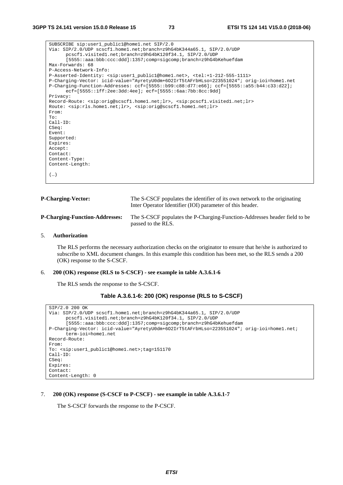| SUBSCRIBE sip:user1_public1@home1.net SIP/2.0                                                                                          |
|----------------------------------------------------------------------------------------------------------------------------------------|
| Via: SIP/2.0/UDP scscf1.home1.net;branch=z9hG4bK344a65.1, SIP/2.0/UDP                                                                  |
| pcscfl.visitedl.net;branch=z9hG4bK120f34.1, SIP/2.0/UDP                                                                                |
| [5555::aaa:bbb:ccc:ddd]:1357;comp=sigcomp;branch=z9hG4bKehuefdam                                                                       |
| Max-Forwards: 68                                                                                                                       |
| P-Access-Network-Info:                                                                                                                 |
| P-Asserted-Identity: <sip:user1_public1@home1.net>, <tel:+1-212-555-1111></tel:+1-212-555-1111></sip:user1_public1@home1.net>          |
| P-Charging-Vector: icid-value="AyretyU0dm+602IrT5tAFrbHLso=223551024"; orig-ioi=home1.net                                              |
| P-Charging-Function-Addresses: ccf=[5555::b99:c88:d77:e66]; ccf=[5555::a55:b44:c33:d22];                                               |
| $ect=[5555::1ff:2ee:3dd:4ee];ect=[5555::6aa:7bb:8cc:9dd]$                                                                              |
| Privacy:                                                                                                                               |
| Record-Route: <sip:orig@scscf1.home1.net;lr>, <sip:pcscf1.visited1.net;lr></sip:pcscf1.visited1.net;lr></sip:orig@scscf1.home1.net;lr> |
| Route: <sip:rls.home1.net;lr>, <sip:oriq@scscf1.home1.net;lr></sip:oriq@scscf1.home1.net;lr></sip:rls.home1.net;lr>                    |
| From:                                                                                                                                  |
| To:                                                                                                                                    |
| $Call-ID:$                                                                                                                             |
| CSeq:                                                                                                                                  |
| Event:                                                                                                                                 |
| Supported:                                                                                                                             |
| Expires:                                                                                                                               |
| Accept:                                                                                                                                |
| Contact:                                                                                                                               |
| Content-Type:                                                                                                                          |
| Content-Length:                                                                                                                        |
|                                                                                                                                        |
| ()                                                                                                                                     |
|                                                                                                                                        |

| <b>P-Charging-Vector:</b>             | The S-CSCF populates the identifier of its own network to the originating<br>Inter Operator Identifier (IOI) parameter of this header. |
|---------------------------------------|----------------------------------------------------------------------------------------------------------------------------------------|
| <b>P-Charging-Function-Addresses:</b> | The S-CSCF populates the P-Charging-Function-Addresses header field to be<br>passed to the RLS.                                        |

# 5. **Authorization**

 The RLS performs the necessary authorization checks on the originator to ensure that he/she is authorized to subscribe to XML document changes. In this example this condition has been met, so the RLS sends a 200 (OK) response to the S-CSCF.

# 6. **200 (OK) response (RLS to S-CSCF) - see example in table A.3.6.1-6**

The RLS sends the response to the S-CSCF.

# **Table A.3.6.1-6: 200 (OK) response (RLS to S-CSCF)**

```
SIP/2.0 200 OK 
Via: SIP/2.0/UDP scscf1.home1.net;branch=z9hG4bK344a65.1, SIP/2.0/UDP 
      pcscf1.visited1.net;branch=z9hG4bK120f34.1, SIP/2.0/UDP 
      [5555::aaa:bbb:ccc:ddd]:1357;comp=sigcomp;branch=z9hG4bKehuefdam 
P-Charging-Vector: icid-value="AyretyU0dm+6O2IrT5tAFrbHLso=223551024"; orig-ioi=home1.net; 
      term-ioi=home1.net 
Record-Route: 
From: 
To: <sip:user1_public1@home1.net>;tag=151170 
Call-ID: 
CSeq: 
Expires: 
Contact: 
Content-Length: 0
```
#### 7. **200 (OK) response (S-CSCF to P-CSCF) - see example in table A.3.6.1-7**

The S-CSCF forwards the response to the P-CSCF.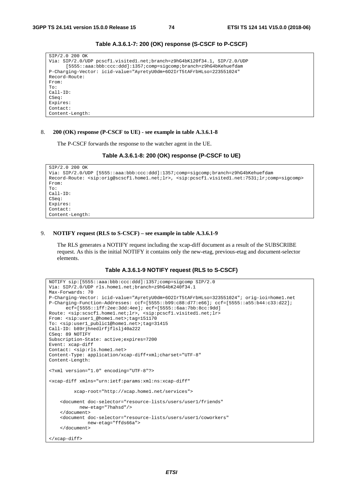| SIP/2.0 200 OK                                                           |
|--------------------------------------------------------------------------|
| Via: SIP/2.0/UDP pcscf1.visited1.net;branch=z9hG4bK120f34.1, SIP/2.0/UDP |
| [5555::aaa:bbb:ccc:ddd]:1357;comp=sigcomp;branch=z9hG4bKehuefdam         |
| P-Charging-Vector: icid-value="AyretyU0dm+602IrT5tAFrbHLso=223551024"    |
| Record-Route:                                                            |
| From:                                                                    |
| To:                                                                      |
| $Call-ID:$                                                               |
| CSeq:                                                                    |
| Expires:                                                                 |
| Contact:                                                                 |
| Content-Length:                                                          |

**Table A.3.6.1-7: 200 (OK) response (S-CSCF to P-CSCF)** 

#### 8. **200 (OK) response (P-CSCF to UE) - see example in table A.3.6.1-8**

The P-CSCF forwards the response to the watcher agent in the UE.

```
Table A.3.6.1-8: 200 (OK) response (P-CSCF to UE)
```

```
SIP/2.0 200 OK 
Via: SIP/2.0/UDP [5555::aaa:bbb:ccc:ddd]:1357;comp=sigcomp;branch=z9hG4bKehuefdam 
Record-Route: <sip:orig@scscf1.home1.net;lr>, <sip:pcscf1.visited1.net:7531;lr;comp=sigcomp> 
From: 
To: 
Call-ID: 
CSeq: 
Expires: 
Contact: 
Content-Length:
```
#### 9. **NOTIFY request (RLS to S-CSCF) – see example in table A.3.6.1-9**

 The RLS generates a NOTIFY request including the xcap-diff document as a result of the SUBSCRIBE request. As this is the initial NOTIFY it contains only the new-etag, previous-etag and document-selector elements.

#### **Table A.3.6.1-9 NOTIFY request (RLS to S-CSCF)**

```
NOTIFY sip:[5555::aaa:bbb:ccc:ddd]:1357;comp=sigcomp SIP/2.0 
Via: SIP/2.0/UDP rls.home1.net;branch=z9hG4bK240f34.1 
Max-Forwards: 70 
P-Charging-Vector: icid-value="AyretyU0dm+6O2IrT5tAFrbHLso=323551024"; orig-ioi=home1.net 
P-Charging-Function-Addresses: ccf=[5555::b99:c88:d77:e66]; ccf=[5555::a55:b44:c33:d22]; 
      ecf=[5555::1ff:2ee:3dd:4ee]; ecf=[5555::6aa:7bb:8cc:9dd] 
Route: <sip:scscf1.home1.net;lr>, <sip:pcscf1.visited1.net;lr> 
From: <sip:user1_@home1.net>;tag=151170 
To: <sip:user1_public1@home1.net>;tag=31415 
Call-ID: b89rjhnedlrfjflslj40a222 
CSeq: 89 NOTIFY 
Subscription-State: active;expires=7200 
Event: xcap-diff 
Contact: <sip:rls.home1.net> 
Content-Type: application/xcap-diff+xml;charset="UTF-8" 
Content-Length: 
<?xml version="1.0" encoding="UTF-8"?> 
<xcap-diff xmlns="urn:ietf:params:xml:ns:xcap-diff" 
          xcap-root="http://xcap.home1.net/services"> 
     <document doc-selector="resource-lists/users/user1/friends" 
            new-etag="7hahsd"/> 
     </document> 
     <document doc-selector="resource-lists/users/user1/coworkers" 
               new-etag="ffds66a"> 
     </document> 
</xcap-diff>
```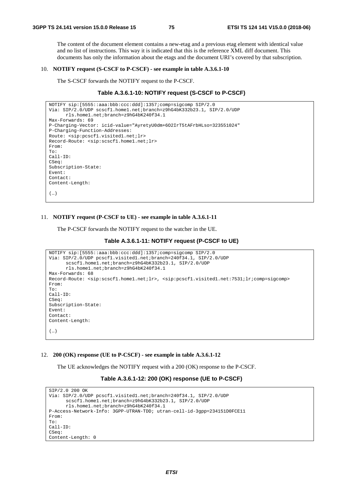The content of the document element contains a new-etag and a previous etag element with identical value and no list of instructions. This way it is indicated that this is the reference XML diff document. This documents has only the information about the etags and the document URI's covered by that subscription.

#### 10. **NOTIFY request (S-CSCF to P-CSCF) - see example in table A.3.6.1-10**

The S-CSCF forwards the NOTIFY request to the P-CSCF.

### **Table A.3.6.1-10: NOTIFY request (S-CSCF to P-CSCF)**

```
NOTIFY sip:[5555::aaa:bbb:ccc:ddd]:1357;comp=sigcomp SIP/2.0 
Via: SIP/2.0/UDP scscf1.home1.net;branch=z9hG4bK332b23.1, SIP/2.0/UDP 
      rls.home1.net;branch=z9hG4bK240f34.1 
Max-Forwards: 69 
P-Charging-Vector: icid-value="AyretyU0dm+6O2IrT5tAFrbHLso=323551024" 
P-Charging-Function-Addresses: 
Route: <sip:pcscf1.visited1.net;lr> 
Record-Route: <sip:scscf1.home1.net;lr> 
From: 
To: 
Call-ID: 
CSeq: 
Subscription-State: 
Event: 
Contact: 
Content-Length: 
(…)
```
#### 11. **NOTIFY request (P-CSCF to UE) - see example in table A.3.6.1-11**

The P-CSCF forwards the NOTIFY request to the watcher in the UE.

#### **Table A.3.6.1-11: NOTIFY request (P-CSCF to UE)**

```
NOTIFY sip:[5555::aaa:bbb:ccc:ddd]:1357;comp=sigcomp SIP/2.0 
Via: SIP/2.0/UDP pcscf1.visited1.net;branch=240f34.1, SIP/2.0/UDP 
      scscf1.home1.net;branch=z9hG4bK332b23.1, SIP/2.0/UDP 
      rls.home1.net;branch=z9hG4bK240f34.1 
Max-Forwards: 68 
Record-Route: <sip:scscf1.home1.net;lr>, <sip:pcscf1.visited1.net:7531;lr;comp=sigcomp> 
From: 
To: 
Call-ID: 
CSeq: 
Subscription-State: 
Event: 
Contact: 
Content-Length: 
(…)
```
#### 12. **200 (OK) response (UE to P-CSCF) - see example in table A.3.6.1-12**

The UE acknowledges the NOTIFY request with a 200 (OK) response to the P-CSCF.

# **Table A.3.6.1-12: 200 (OK) response (UE to P-CSCF)**

```
SIP/2.0 200 OK 
Via: SIP/2.0/UDP pcscf1.visited1.net;branch=240f34.1, SIP/2.0/UDP 
      scscf1.home1.net;branch=z9hG4bK332b23.1, SIP/2.0/UDP 
      rls.home1.net;branch=z9hG4bK240f34.1 
P-Access-Network-Info: 3GPP-UTRAN-TDD; utran-cell-id-3gpp=234151D0FCE11 
From: 
To: 
Call-ID: 
CSeq: 
Content-Length: 0
```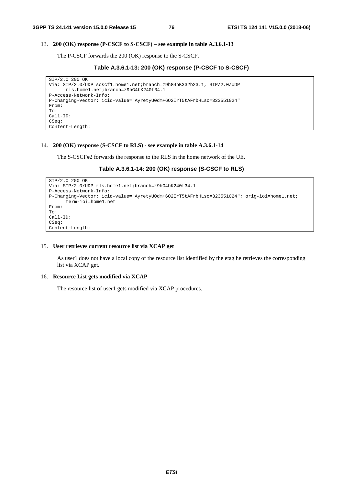# 13. **200 (OK) response (P-CSCF to S-CSCF) – see example in table A.3.6.1-13**

The P-CSCF forwards the 200 (OK) response to the S-CSCF.

# **Table A.3.6.1-13: 200 (OK) response (P-CSCF to S-CSCF)**

```
SIP/2.0 200 OK 
Via: SIP/2.0/UDP scscf1.home1.net;branch=z9hG4bK332b23.1, SIP/2.0/UDP 
      rls.home1.net;branch=z9hG4bK240f34.1 
P-Access-Network-Info: 
P-Charging-Vector: icid-value="AyretyU0dm+6O2IrT5tAFrbHLso=323551024" 
From: 
To: 
Call-ID: 
CSeq: 
Content-Length:
```
# 14. **200 (OK) response (S-CSCF to RLS) - see example in table A.3.6.1-14**

The S-CSCF#2 forwards the response to the RLS in the home network of the UE.

# **Table A.3.6.1-14: 200 (OK) response (S-CSCF to RLS)**

```
SIP/2.0 200 OK 
Via: SIP/2.0/UDP rls.home1.net;branch=z9hG4bK240f34.1 
P-Access-Network-Info: 
P-Charging-Vector: icid-value="AyretyU0dm+6O2IrT5tAFrbHLso=323551024"; orig-ioi=home1.net; 
      term-ioi=home1.net 
From: 
To: 
Call-ID: 
CSeq: 
Content-Length:
```
# 15. **User retrieves current resource list via XCAP get**

 As user1 does not have a local copy of the resource list identified by the etag he retrieves the corresponding list via XCAP get.

# 16. **Resource List gets modified via XCAP**

The resource list of user1 gets modified via XCAP procedures.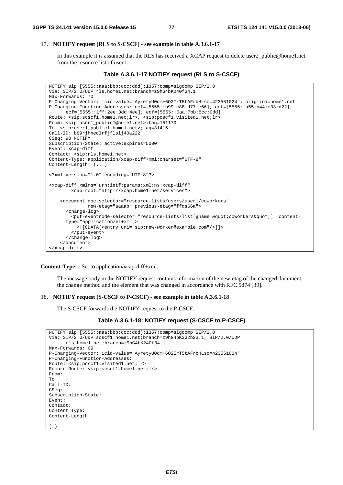# 17. **NOTIFY request (RLS to S-CSCF) - see example in table A.3.6.1-17**

 In this example it is assumed that the RLS has received a XCAP request to delete user2\_public@home1.net from the resource list of user1.

```
Table A.3.6.1-17 NOTIFY request (RLS to S-CSCF)
```

```
NOTIFY sip:[5555::aaa:bbb:ccc:ddd]:1357;comp=sigcomp SIP/2.0 
Via: SIP/2.0/UDP rls.home1.net;branch=z9hG4bK240f34.1 
Max-Forwards: 70 
P-Charging-Vector: icid-value="AyretyU0dm+6O2IrT5tAFrbHLso=423551024"; orig-ioi=home1.net 
P-Charging-Function-Addresses: ccf=[5555::b99:c88:d77:e66]; ccf=[5555::a55:b44:c33:d22]; 
      ecf=[5555::1ff:2ee:3dd:4ee]; ecf=[5555::6aa:7bb:8cc:9dd]
Route: <sip:scscf1.home1.net;lr>, <sip:pcscf1.visited1.net;lr> 
From: <sip:user1_public1@home1.net>;tag=151170 
To: <sip:user1_public1.home1.net>;tag=31415 
Call-ID: b89rjhnedlrfjflslj40a222 
CSeq: 90 NOTIFY 
Subscription-State: active;expires=5000 
Event: xcap-diff 
Contact: <sip:rls.home1.net> 
Content-Type: application/xcap-diff+xml;charset="UTF-8" 
Content-Length: (...) 
<?xml version="1.0" encoding="UTF-8"?> 
<xcap-diff xmlns="urn:ietf:params:xml:ns:xcap-diff" 
         xcap-root="http://xcap.home1.net/services"> 
     <document doc-selector="resource-lists/users/user1/coworkers" 
               new-etag="aaaab" previous-etag="ffds66a"> 
       <change-log> 
        <put-eventnode-selector="resource-lists/list[@name=&quot;coworkers&quot;]" content-
      type="application/el+xml"> 
           <![CDATA[<entry uri="sip:new-worker@example.com"/>]]> 
         </put-event> 
       </change-log> 
     </document> 
</xcap-diff>
```
**Content-Type:** Set to application/xcap-diff+xml.

 The message body in the NOTIFY request contains information of the new-etag of the changed document, the change method and the element that was changed in accordance with RFC 5874 [39].

#### 18. **NOTIFY request (S-CSCF to P-CSCF) - see example in table A.3.6.1-18**

The S-CSCF forwards the NOTIFY request to the P-CSCF.

```
Table A.3.6.1-18: NOTIFY request (S-CSCF to P-CSCF)
```

```
NOTIFY sip:[5555::aaa:bbb:ccc:ddd]:1357;comp=sigcomp SIP/2.0 
Via: SIP/2.0/UDP scscf1.home1.net;branch=z9hG4bK332b23.1, SIP/2.0/UDP 
     rls.home1.net;branch=z9hG4bK240f34.1 
Max-Forwards: 69 
P-Charging-Vector: icid-value="AyretyU0dm+6O2IrT5tAFrbHLso=423551024" 
P-Charging-Function-Addresses: 
Route: <sip:pcscf1.visited1.net;lr> 
Record-Route: <sip:scscf1.home1.net;lr> 
From: 
To: 
Call-ID: 
CSeq: 
Subscription-State: 
Event: 
Contact: 
Content Type: 
Content-Length: 
(…)
```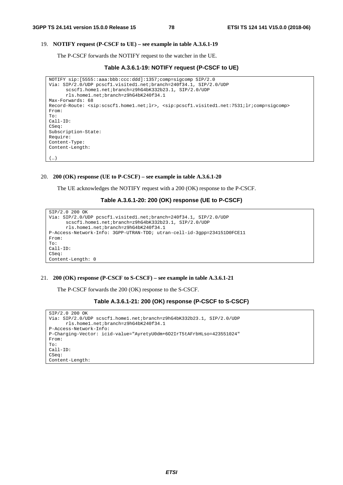#### 19. **NOTIFY request (P-CSCF to UE) – see example in table A.3.6.1-19**

The P-CSCF forwards the NOTIFY request to the watcher in the UE.

**Table A.3.6.1-19: NOTIFY request (P-CSCF to UE)** 

```
NOTIFY sip:[5555::aaa:bbb:ccc:ddd]:1357;comp=sigcomp SIP/2.0 
Via: SIP/2.0/UDP pcscf1.visited1.net;branch=240f34.1, SIP/2.0/UDP 
      scscf1.home1.net;branch=z9hG4bK332b23.1, SIP/2.0/UDP 
      rls.home1.net;branch=z9hG4bK240f34.1 
Max-Forwards: 68 
Record-Route: <sip:scscf1.home1.net;lr>, <sip:pcscf1.visited1.net:7531;lr;comp=sigcomp> 
From: 
To: 
Call-ID: 
CSeq:
Subscription-State: 
Require: 
Content-Type: 
Content-Length: 
(…)
```
20. **200 (OK) response (UE to P-CSCF) – see example in table A.3.6.1-20** 

The UE acknowledges the NOTIFY request with a 200 (OK) response to the P-CSCF.

# **Table A.3.6.1-20: 200 (OK) response (UE to P-CSCF)**

```
SIP/2.0 200 OK 
Via: SIP/2.0/UDP pcscf1.visited1.net;branch=240f34.1, SIP/2.0/UDP 
      scscf1.home1.net;branch=z9hG4bK332b23.1, SIP/2.0/UDP 
      rls.home1.net;branch=z9hG4bK240f34.1 
P-Access-Network-Info: 3GPP-UTRAN-TDD; utran-cell-id-3gpp=234151D0FCE11 
From: 
To: 
Call-ID: 
CSeq: 
Content-Length: 0
```
#### 21. **200 (OK) response (P-CSCF to S-CSCF) – see example in table A.3.6.1-21**

The P-CSCF forwards the 200 (OK) response to the S-CSCF.

```
Table A.3.6.1-21: 200 (OK) response (P-CSCF to S-CSCF)
```

```
SIP/2.0 200 OK 
Via: SIP/2.0/UDP scscf1.home1.net;branch=z9hG4bK332b23.1, SIP/2.0/UDP 
      rls.home1.net;branch=z9hG4bK240f34.1 
P-Access-Network-Info: 
P-Charging-Vector: icid-value="AyretyU0dm+6O2IrT5tAFrbHLso=423551024" 
From: 
To: 
Call-ID: 
CSeq: 
Content-Length:
```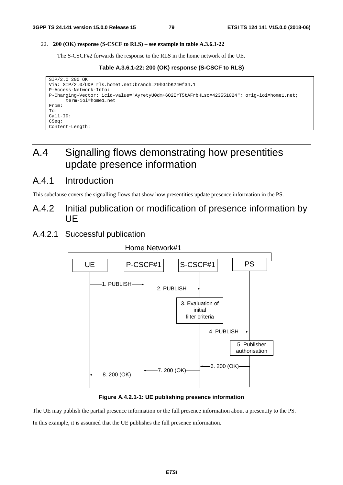# 22. **200 (OK) response (S-CSCF to RLS) – see example in table A.3.6.1-22**

The S-CSCF#2 forwards the response to the RLS in the home network of the UE.

**Table A.3.6.1-22: 200 (OK) response (S-CSCF to RLS)** 

```
SIP/2.0 200 OK 
Via: SIP/2.0/UDP rls.home1.net;branch=z9hG4bK240f34.1 
P-Access-Network-Info: 
P-Charging-Vector: icid-value="AyretyU0dm+6O2IrT5tAFrbHLso=423551024"; orig-ioi=home1.net; 
      term-ioi=home1.net 
From: 
To: 
Call-ID: 
CSeq: 
Content-Length:
```
# A.4 Signalling flows demonstrating how presentities update presence information

# A.4.1 Introduction

This subclause covers the signalling flows that show how presentities update presence information in the PS.

- A.4.2 Initial publication or modification of presence information by UE
- A.4.2.1 Successful publication



**Figure A.4.2.1-1: UE publishing presence information** 

The UE may publish the partial presence information or the full presence information about a presentity to the PS. In this example, it is assumed that the UE publishes the full presence information.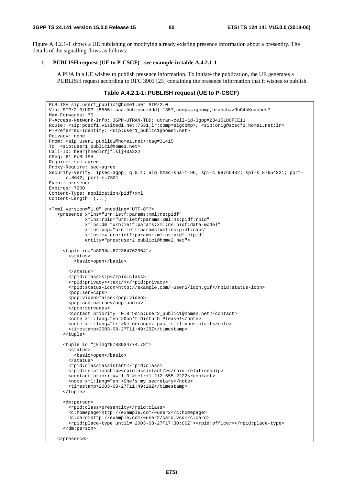Figure A.4.2.1-1 shows a UE publishing or modifying already existing presence information about a presentity. The details of the signalling flows as follows:

#### 1. **PUBLISH request (UE to P-CSCF) - see example in table A.4.2.1-1**

 A PUA in a UE wishes to publish presence information. To initiate the publication, the UE generates a PUBLISH request according to RFC 3903 [23] containing the presence information that it wishes to publish.

# **Table A.4.2.1-1: PUBLISH request (UE to P-CSCF)**

```
PUBLISH sip:user1_public1@home1.net SIP/2.0 
Via: SIP/2.0/UDP [5555::aaa:bbb:ccc:ddd]:1357;comp=sigcomp;branch=z9hG4bKnashds7 
Max-Forwards: 70 
P-Access-Network-Info: 3GPP-UTRAN-TDD; utran-cell-id-3gpp=234151D0FCE11 
Route: <sip:pcscf1.visited1.net:7531;lr;comp=sigcomp>, <sip:orig@scscf1.home1.net;lr> 
P-Preferred-Identity: <sip:user1_public1@home1.net> 
Privacy: none 
From: <sip:user1_public1@home1.net>;tag=31415 
To: <sip:user1_public1@home1.net> 
Call-ID: b89rjhnedlrfjflslj40a222 
CSeq: 61 PUBLISH 
Require: sec-agree 
Proxy-Require: sec-agree 
Security-Verify: ipsec-3gpp; q=0.1; alg=hmac-sha-1-96; spi-c=98765432; spi-s=87654321; port-
      c=8642; port-s=7531 
Event: presence 
Expires: 7200 
Content-Type: application/pidf+xml 
Content-Length: (...) 
<?xml version="1.0" encoding="UTF-8"?> 
    <presence xmlns="urn:ietf:params:xml:ns:pidf" 
              xmlns:rpid="urn:ietf:params:xml:ns:pidf:rpid" 
              xmlns:dm="urn:ietf:params:xml:ns:pidf:data-model" 
              xmlns:pcp="urn:ietf:params:xml:ns:pidf:caps" 
              xmlns:c="urn:ietf:params:xml:ns:pidf:cipid" 
              entity="pres:user2_public1@home2.net"> 
      <tuple id="a8098a.672364762364"> 
        <status> 
          <basic>open</basic> 
        </status> 
        <rpid:class>sip</rpid:class> 
        <rpid:privacy><text/></rpid:privacy> 
        <rpid:status-icon>http://example.com/~user2/icon.gif</rpid:status-icon> 
        <pcp:servcaps> 
        <pcp:video>false</pcp:video> 
        <pcp:audio>true</pcp:audio> 
        </pcp:servcaps> 
        <contact priority="0.8">sip:user2_public1@home2.net</contact> 
        <note xml:lang="en">Don't Disturb Please!</note> 
        <note xml:lang="fr">Ne derangez pas, s'il vous plait</note> 
        <timestamp>2003-08-27T11:49:29Z</timestamp> 
      </tuple> 
      <tuple id="jklhgf9788934774.78"> 
        <status> 
          <basic>open</basic> 
        </status> 
        <rpid:class>assistant</rpid:class> 
        <rpid:relationship><rpid:assistant/></rpid:relationship> 
        <contact priority="1.0">tel:+1-212-555-2222</contact> 
        <note xml:lang="en">She's my secretary</note> 
       \timestimestamp>2003-08-27T11:49:29Z</timestamp>
      </tuple> 
      <dm:person> 
        <rpid:class>presentity</rpid:class> 
        <c:homepage>http://example.com/~user2</c:homepage> 
        <c:card>http://example.com/~user2/card.vcd</c:card> 
        <rpid:place-type until="2003-08-27T17:30:00Z"><rpid:office/></rpid:place-type> 
      </dm:person> 
    </presence>
```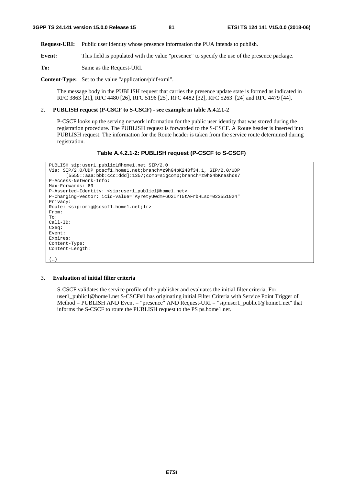**Request-URI:** Public user identity whose presence information the PUA intends to publish.

**Event:** This field is populated with the value "presence" to specify the use of the presence package.

**To:** Same as the Request-URI.

**Content-Type:** Set to the value "application/pidf+xml".

 The message body in the PUBLISH request that carries the presence update state is formed as indicated in RFC 3863 [21], RFC 4480 [26], RFC 5196 [25], RFC 4482 [32], RFC 5263 [24] and RFC 4479 [44].

# 2. **PUBLISH request (P-CSCF to S-CSCF) - see example in table A.4.2.1-2**

 P-CSCF looks up the serving network information for the public user identity that was stored during the registration procedure. The PUBLISH request is forwarded to the S-CSCF. A Route header is inserted into PUBLISH request. The information for the Route header is taken from the service route determined during registration.

#### **Table A.4.2.1-2: PUBLISH request (P-CSCF to S-CSCF)**

```
PUBLISH sip:user1_public1@home1.net SIP/2.0 
Via: SIP/2.0/UDP pcscf1.home1.net;branch=z9hG4bK240f34.1, SIP/2.0/UDP 
      [5555::aaa:bbb:ccc:ddd]:1357;comp=sigcomp;branch=z9hG4bKnashds7 
P-Access-Network-Info: 
Max-Forwards: 69 
P-Asserted-Identity: <sip:user1_public1@home1.net> 
P-Charging-Vector: icid-value="AyretyU0dm+6O2IrT5tAFrbHLso=023551024" 
Privacy: 
Route: <sip:orig@scscf1.home1.net;lr> 
From: 
To: 
Call-ID: 
CSeq: 
Event: 
Expires: 
Content-Type: 
Content-Length: 
(…)
```
# 3. **Evaluation of initial filter criteria**

 S-CSCF validates the service profile of the publisher and evaluates the initial filter criteria. For user1\_public1@home1.net S-CSCF#1 has originating initial Filter Criteria with Service Point Trigger of Method = PUBLISH AND Event = "presence" AND Request-URI = "sip:user1\_public1@home1.net" that informs the S-CSCF to route the PUBLISH request to the PS ps.home1.net.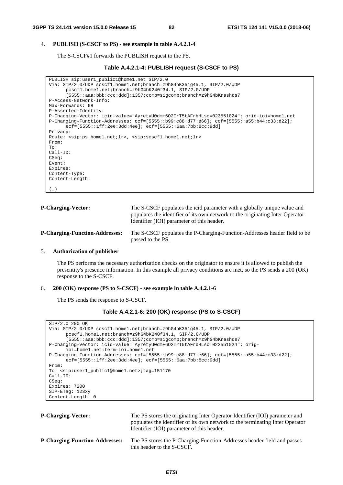#### 4. **PUBLISH (S-CSCF to PS) - see example in table A.4.2.1-4**

The S-CSCF#1 forwards the PUBLISH request to the PS.

#### **Table A.4.2.1-4: PUBLISH request (S-CSCF to PS)**

```
PUBLISH sip:user1_public1@home1.net SIP/2.0 
Via: SIP/2.0/UDP scscf1.home1.net;branch=z9hG4bK351g45.1, SIP/2.0/UDP 
      pcscf1.home1.net;branch=z9hG4bK240f34.1, SIP/2.0/UDP 
      [5555::aaa:bbb:ccc:ddd]:1357;comp=sigcomp;branch=z9hG4bKnashds7 
P-Access-Network-Info: 
Max-Forwards: 68 
P-Asserted-Identity: 
P-Charging-Vector: icid-value="AyretyU0dm+6O2IrT5tAFrbHLso=023551024"; orig-ioi=home1.net 
P-Charging-Function-Addresses: ccf=[5555::b99:c88:d77:e66]; ccf=[5555::a55:b44:c33:d22]; 
      ecf=[5555::1ff:2ee:3dd:4ee]; ecf=[5555::6aa:7bb:8cc:9dd] 
Privacy: 
Route: <sip:ps.home1.net;lr>, <sip:scscf1.home1.net;lr> 
From: 
To: 
Call-ID: 
CSeq: 
Event: 
Expires: 
Content-Type: 
Content-Length: 
(…)
```

```
P-Charging-Vector: The S-CSCF populates the icid parameter with a globally unique value and
                                    populates the identifier of its own network to the originating Inter Operator 
                                    Identifier (IOI) parameter of this header. 
P-Charging-Function-Addresses: The S-CSCF populates the P-Charging-Function-Addresses header field to be 
                                    passed to the PS.
```
### 5. **Authorization of publisher**

 The PS performs the necessary authorization checks on the originator to ensure it is allowed to publish the presentity's presence information. In this example all privacy conditions are met, so the PS sends a 200 (OK) response to the S-CSCF.

#### 6. **200 (OK) response (PS to S-CSCF) - see example in table A.4.2.1-6**

The PS sends the response to S-CSCF.

```
Table A.4.2.1-6: 200 (OK) response (PS to S-CSCF)
```

```
SIP/2.0 200 OK 
Via: SIP/2.0/UDP scscf1.home1.net;branch=z9hG4bK351g45.1, SIP/2.0/UDP 
      pcscf1.home1.net;branch=z9hG4bK240f34.1, SIP/2.0/UDP 
      [5555::aaa:bbb:ccc:ddd]:1357;comp=sigcomp;branch=z9hG4bKnashds7 
P-Charging-Vector: icid-value="AyretyU0dm+6O2IrT5tAFrbHLso=023551024"; orig-
      ioi=home1.net:term-ioi=home1.net 
P-Charging-Function-Addresses: ccf=[5555::b99:c88:d77:e66]; ccf=[5555::a55:b44:c33:d22]; 
      ecf=[5555::1ff:2ee:3dd:4ee]; ecf=[5555::6aa:7bb:8cc:9dd] 
From: 
To: <sip:user1_public1@home1.net>;tag=151170 
Call-ID: 
CSeq: 
Expires: 7200 
SIP-ETag: 123xy 
Content-Length: 0
```

```
P-Charging-Vector: The PS stores the originating Inter Operator Identifier (IOI) parameter and
                                    populates the identifier of its own network to the terminating Inter Operator 
                                    Identifier (IOI) parameter of this header. 
P-Charging-Function-Addresses: The PS stores the P-Charging-Function-Addresses header field and passes 
                                    this header to the S-CSCF.
```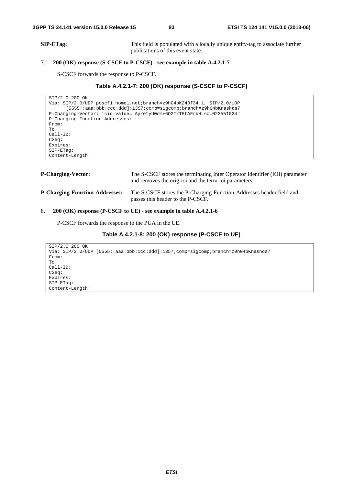**SIP-ETag:** This field is populated with a locally unique entity-tag to associate further publications of this event state.

# 7. **200 (OK) response (S-CSCF to P-CSCF) - see example in table A.4.2.1-7**

S-CSCF forwards the response to P-CSCF.

# **Table A.4.2.1-7: 200 (OK) response (S-CSCF to P-CSCF)**

```
SIP/2.0 200 OK 
Via: SIP/2.0/UDP pcscf1.home1.net;branch=z9hG4bK240f34.1, SIP/2.0/UDP 
     [5555::aaa:bbb:ccc:ddd]:1357;comp=sigcomp;branch=z9hG4bKnashds7 
P-Charging-Vector: icid-value="AyretyU0dm+6O2IrT5tAFrbHLso=023551024" 
P-Charging-Function-Addresses: 
From: 
To: 
Call-ID: 
CSeq: 
Expires: 
SIP-ETag: 
Content-Length:
```

| <b>P-Charging-Vector:</b>             | The S-CSCF stores the terminating Inter Operator Identifier (IOI) parameter<br>and removes the orig-ioi and the term-ioi parameters. |
|---------------------------------------|--------------------------------------------------------------------------------------------------------------------------------------|
| <b>P-Charging-Function-Addresses:</b> | The S-CSCF stores the P-Charging-Function-Addresses header field and<br>passes this header to the P-CSCF.                            |

# 8. **200 (OK) response (P-CSCF to UE) - see example in table A.4.2.1-6**

P-CSCF forwards the response to the PUA in the UE.

# **Table A.4.2.1-8: 200 (OK) response (P-CSCF to UE)**

```
SIP/2.0 200 OK 
Via: SIP/2.0/UDP [5555::aaa:bbb:ccc:ddd]:1357;comp=sigcomp;branch=z9hG4bKnashds7 
From: 
To: 
Call-ID: 
CSeq: 
Expires: 
SIP-ETag: 
Content-Length:
```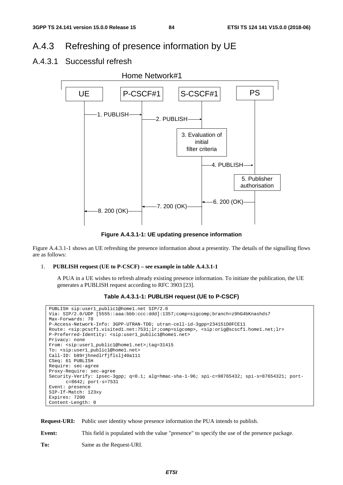# A.4.3 Refreshing of presence information by UE

# A.4.3.1 Successful refresh



**Figure A.4.3.1-1: UE updating presence information** 

Figure A.4.3.1-1 shows an UE refreshing the presence information about a presentity. The details of the signalling flows are as follows:

#### 1. **PUBLISH request (UE to P-CSCF) – see example in table A.4.3.1-1**

 A PUA in a UE wishes to refresh already existing presence information. To initiate the publication, the UE generates a PUBLISH request according to RFC 3903 [23].

# **Table A.4.3.1-1: PUBLISH request (UE to P-CSCF)**

```
PUBLISH sip:user1_public1@home1.net SIP/2.0 
Via: SIP/2.0/UDP [5555::aaa:bbb:ccc:ddd]:1357;comp=sigcomp;branch=z9hG4bKnashds7 
Max-Forwards: 70 
P-Access-Network-Info: 3GPP-UTRAN-TDD; utran-cell-id-3gpp=234151D0FCE11 
Route: <sip:pcscf1.visited1.net:7531;lr;comp=sigcomp>, <sip:orig@scscf1.home1.net;lr> 
P-Preferred-Identity: <sip:user1_public1@home1.net> 
Privacy: none 
From: <sip:user1_public1@home1.net>;tag=31415 
To: <sip:user1_public1@home1.net> 
Call-ID: b89rjhnedlrfjflslj40a111 
CSeq: 61 PUBLISH 
Require: sec-agree 
Proxy-Require: sec-agree 
Security-Verify: ipsec-3gpp; q=0.1; alg=hmac-sha-1-96; spi-c=98765432; spi-s=87654321; port-
      c=8642; port-s=7531 
Event: presence 
SIP-If-Match: 123xy 
Expires: 7200 
Content-Length: 0
```
**Request-URI:** Public user identity whose presence information the PUA intends to publish.

**Event:** This field is populated with the value "presence" to specify the use of the presence package.

**To:** Same as the Request-URI.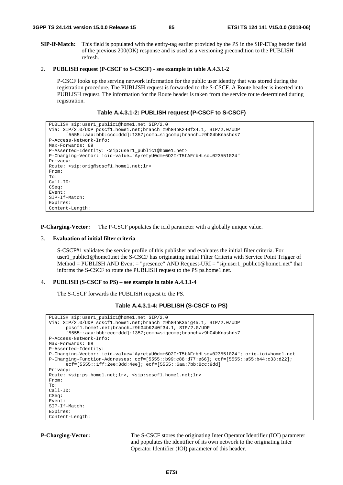**SIP-If-Match:** This field is populated with the entity-tag earlier provided by the PS in the SIP-ETag header field of the previous 200(OK) response and is used as a versioning precondition to the PUBLISH refresh.

#### 2. **PUBLISH request (P-CSCF to S-CSCF) - see example in table A.4.3.1-2**

 P-CSCF looks up the serving network information for the public user identity that was stored during the registration procedure. The PUBLISH request is forwarded to the S-CSCF. A Route header is inserted into PUBLISH request. The information for the Route header is taken from the service route determined during registration.

#### **Table A.4.3.1-2: PUBLISH request (P-CSCF to S-CSCF)**

```
PUBLISH sip:user1_public1@home1.net SIP/2.0 
Via: SIP/2.0/UDP pcscf1.home1.net;branch=z9hG4bK240f34.1, SIP/2.0/UDP 
      [5555::aaa:bbb:ccc:ddd]:1357;comp=sigcomp;branch=z9hG4bKnashds7 
P-Access-Network-Info: 
Max-Forwards: 69 
P-Asserted-Identity: <sip:user1_public1@home1.net> 
P-Charging-Vector: icid-value="AyretyU0dm+6O2IrT5tAFrbHLso=023551024" 
Privacy: 
Route: <sip:orig@scscf1.home1.net;lr> 
From: 
To: 
Call-ID: 
CSeq: 
Event: 
SIP-If-Match: 
Expires: 
Content-Length:
```
**P-Charging-Vector:** The P-CSCF populates the icid parameter with a globally unique value.

#### 3. **Evaluation of initial filter criteria**

 S-CSCF#1 validates the service profile of this publisher and evaluates the initial filter criteria. For user1\_public1@home1.net the S-CSCF has originating initial Filter Criteria with Service Point Trigger of Method = PUBLISH AND Event = "presence" AND Request-URI = "sip:user1\_public1@home1.net" that informs the S-CSCF to route the PUBLISH request to the PS ps.home1.net.

#### 4. **PUBLISH (S-CSCF to PS) – see example in table A.4.3.1-4**

The S-CSCF forwards the PUBLISH request to the PS.

```
Table A.4.3.1-4: PUBLISH (S-CSCF to PS)
```

```
PUBLISH sip:user1_public1@home1.net SIP/2.0 
Via: SIP/2.0/UDP scscf1.home1.net;branch=z9hG4bK351g45.1, SIP/2.0/UDP 
      pcscf1.home1.net;branch=z9hG4bK240f34.1, SIP/2.0/UDP 
      [5555::aaa:bbb:ccc:ddd]:1357;comp=sigcomp;branch=z9hG4bKnashds7 
P-Access-Network-Info: 
Max-Forwards: 68 
P-Asserted-Identity: 
P-Charging-Vector: icid-value="AyretyU0dm+6O2IrT5tAFrbHLso=023551024"; orig-ioi=home1.net 
P-Charging-Function-Addresses: ccf=[5555::b99:c88:d77:e66]; ccf=[5555::a55:b44:c33:d22]; 
      ecf=[5555::1ff:2ee:3dd:4ee]; ecf=[5555::6aa:7bb:8cc:9dd] 
Privacy: 
Route: <sip:ps.home1.net;lr>, <sip:scscf1.home1.net;lr> 
From: 
To: 
Call-ID: 
CSeq: 
Event: 
SIP-If-Match: 
Expires: 
Content-Length:
```
**P-Charging-Vector:** The S-CSCF stores the originating Inter Operator Identifier (IOI) parameter and populates the identifier of its own network to the originating Inter Operator Identifier (IOI) parameter of this header.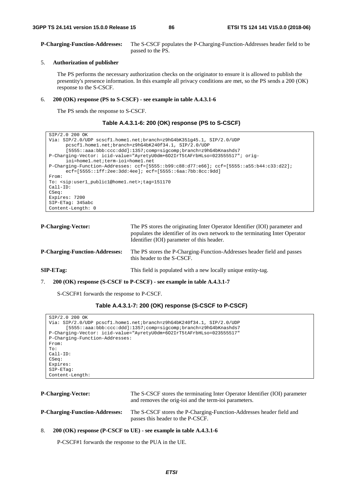**P-Charging-Function-Addresses:** The S-CSCF populates the P-Charging-Function-Addresses header field to be passed to the PS.

#### 5. **Authorization of publisher**

 The PS performs the necessary authorization checks on the originator to ensure it is allowed to publish the presentity's presence information. In this example all privacy conditions are met, so the PS sends a 200 (OK) response to the S-CSCF.

#### 6. **200 (OK) response (PS to S-CSCF) - see example in table A.4.3.1-6**

The PS sends the response to S-CSCF.

#### **Table A.4.3.1-6: 200 (OK) response (PS to S-CSCF)**

```
SIP/2.0 200 OK 
Via: SIP/2.0/UDP scscf1.home1.net;branch=z9hG4bK351g45.1, SIP/2.0/UDP 
      pcscf1.home1.net;branch=z9hG4bK240f34.1, SIP/2.0/UDP 
      [5555::aaa:bbb:ccc:ddd]:1357;comp=sigcomp;branch=z9hG4bKnashds7 
P-Charging-Vector: icid-value="AyretyU0dm+6O2IrT5tAFrbHLso=023555517"; orig-
      ioi=home1.net;term-ioi=home1.net 
P-Charging-Function-Addresses: ccf=[5555::b99:c88:d77:e66]; ccf=[5555::a55:b44:c33:d22]; 
      ecf=[5555::1ff:2ee:3dd:4ee]; ecf=[5555::6aa:7bb:8cc:9dd] 
From: 
To: <sip:user1_public1@home1.net>;tag=151170 
Call-ID: 
CSeq: 
Expires: 7200 
SIP-ETag: 345abc 
Content-Length: 0
```

| <b>P-Charging-Vector:</b>             | The PS stores the originating Inter Operator Identifier (IOI) parameter and<br>populates the identifier of its own network to the terminating Inter Operator<br>Identifier (IOI) parameter of this header. |
|---------------------------------------|------------------------------------------------------------------------------------------------------------------------------------------------------------------------------------------------------------|
| <b>P-Charging-Function-Addresses:</b> | The PS stores the P-Charging-Function-Addresses header field and passes<br>this header to the S-CSCF.                                                                                                      |
| $SIP-ETag$                            | This field is populated with a new locally unique entity-tag.                                                                                                                                              |
|                                       |                                                                                                                                                                                                            |

7. **200 (OK) response (S-CSCF to P-CSCF) - see example in table A.4.3.1-7** 

S-CSCF#1 forwards the response to P-CSCF.

# **Table A.4.3.1-7: 200 (OK) response (S-CSCF to P-CSCF)**

| SIP/2.0 200 OK                                                        |
|-----------------------------------------------------------------------|
| Via: SIP/2.0/UDP pcscf1.home1.net;branch=z9hG4bK240f34.1, SIP/2.0/UDP |
| [5555::aaa:bbb:ccc:ddd]:1357;comp=sigcomp;branch=z9hG4bKnashds7       |
| P-Charging-Vector: icid-value="AyretyU0dm+602IrT5tAFrbHLso=023555517" |
| P-Charging-Function-Addresses:                                        |
| From:                                                                 |
| To:                                                                   |
| $Call-ID:$                                                            |
| CSeq:                                                                 |
| Expires:                                                              |
| $SIP-ETaq$ :                                                          |
| Content-Length:                                                       |

| <b>P-Charging-Vector:</b>             | The S-CSCF stores the terminating Inter Operator Identifier (IOI) parameter<br>and removes the orig-ioi and the term-ioi parameters. |
|---------------------------------------|--------------------------------------------------------------------------------------------------------------------------------------|
| <b>P-Charging-Function-Addresses:</b> | The S-CSCF stores the P-Charging-Function-Addresses header field and<br>passes this header to the P-CSCF.                            |

8. **200 (OK) response (P-CSCF to UE) - see example in table A.4.3.1-6** 

P-CSCF#1 forwards the response to the PUA in the UE.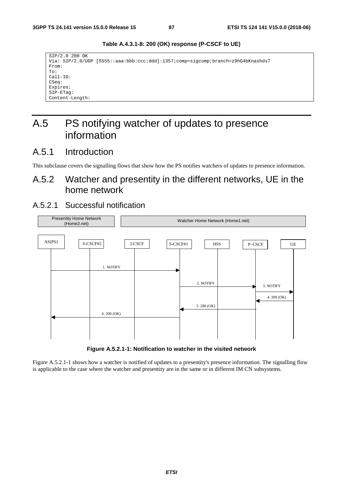SIP/2.0 200 OK Via: SIP/2.0/UDP [5555::aaa:bbb:ccc:ddd]:1357;comp=sigcomp;branch=z9hG4bKnashds7 From: To: Call-ID: CSeq: Expires: SIP-ETag: Content-Length:

**Table A.4.3.1-8: 200 (OK) response (P-CSCF to UE)** 

# A.5 PS notifying watcher of updates to presence information

# A.5.1 Introduction

This subclause covers the signalling flows that show how the PS notifies watchers of updates to presence information.

# A.5.2 Watcher and presentity in the different networks, UE in the home network

# A.5.2.1 Successful notification



**Figure A.5.2.1-1: Notification to watcher in the visited network** 

Figure A.5.2.1-1 shows how a watcher is notified of updates to a presentity's presence information. The signalling flow is applicable to the case where the watcher and presentity are in the same or in different IM CN subsystems.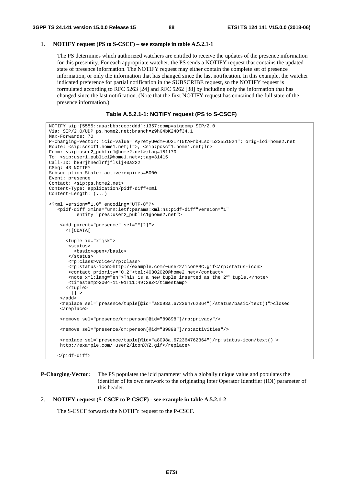# 1. **NOTIFY request (PS to S-CSCF) – see example in table A.5.2.1-1**

 The PS determines which authorized watchers are entitled to receive the updates of the presence information for this presentity. For each appropriate watcher, the PS sends a NOTIFY request that contains the updated state of presence information. The NOTIFY request may either contain the complete set of presence information, or only the information that has changed since the last notification. In this example, the watcher indicated preference for partial notification in the SUBSCRIBE request, so the NOTIFY request is formulated according to RFC 5263 [24] and RFC 5262 [38] by including only the information that has changed since the last notification. (Note that the first NOTIFY request has contained the full state of the presence information.)

#### **Table A.5.2.1-1: NOTIFY request (PS to S-CSCF)**

```
NOTIFY sip:[5555::aaa:bbb:ccc:ddd]:1357;comp=sigcomp SIP/2.0 
Via: SIP/2.0/UDP ps.home2.net;branch=z9hG4bK240f34.1 
Max-Forwards: 70 
P-Charging-Vector: icid-value="AyretyU0dm+6O2IrT5tAFrbHLso=523551024"; orig-ioi=home2.net 
Route: <sip:scscf1.home1.net;lr>, <sip:pcscf1.home1.net;lr> 
From: <sip:user2_public1@home2.net>;tag=151170 
To: <sip:user1_public1@home1.net>;tag=31415 
Call-ID: b89rjhnedlrfjflslj40a222 
CSeq: 43 NOTIFY 
Subscription-State: active;expires=5000 
Event: presence 
Contact: <sip:ps.home2.net> 
Content-Type: application/pidf-diff+xml 
Content-Length: (...) 
<?xml version="1.0" encoding="UTF-8"?> 
    <pidf-diff xmlns="urn:ietf:params:xml:ns:pidf-diff"version="1" 
           entity="pres:user2_public1@home2.net"> 
     <add parent="presence" sel="*[2]"> 
       <![CDATA[ 
       <tuple id="xfjsk"> 
        <status> 
          <basic>open</basic> 
        </status> 
        <rp:class>voice</rp:class> 
        <rp:status-icon>http://example.com/~user2/iconABC.gif</rp:status-icon> 
        <contact priority="0.2">tel:40302020@home2.net</contact> 
        <note xml:lang="en">This is a new tuple inserted as the 2nd tuple.</note> 
        <timestamp>2004-11-01T11:49:29Z</timestamp> 
       </tuple> 
        | | > </add> 
     <replace sel="presence/tuple[@id="a8098a.672364762364"]/status/basic/text()">closed 
     </replace> 
     <remove sel="presence/dm:person[@id="89898"]/rp:privacy"/> 
     <remove sel="presence/dm:person[@id="89898"]/rp:activities"/> 
     <replace sel="presence/tuple[@id="a8098a.672364762364"]/rp:status-icon/text()"> 
     http://example.com/~user2/iconXYZ.gif</replace> 
    </pidf-diff>
```
**P-Charging-Vector:** The PS populates the icid parameter with a globally unique value and populates the identifier of its own network to the originating Inter Operator Identifier (IOI) parameter of this header.

# 2. **NOTIFY request (S-CSCF to P-CSCF) - see example in table A.5.2.1-2**

The S-CSCF forwards the NOTIFY request to the P-CSCF.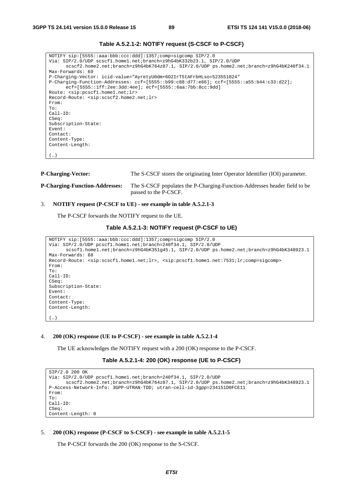| NOTIFY sip: [5555::aaa:bbb:ccc:ddd]:1357;comp=sigcomp SIP/2.0<br>Via: SIP/2.0/UDP scscf1.home1.net;branch=z9hG4bK332b23.1, SIP/2.0/UDP |
|----------------------------------------------------------------------------------------------------------------------------------------|
| scscf2.home2.net;branch=z9hG4bK764z87.1, SIP/2.0/UDP ps.home2.net;branch=z9hG4bK240f34.1                                               |
| Max-Forwards: 69                                                                                                                       |
| P-Charging-Vector: icid-value="AyretyU0dm+602IrT5tAFrbHLso=523551024"                                                                  |
| P-Charging-Function-Addresses: ccf=[5555::b99:c88:d77:e66]; ccf=[5555::a55:b44:c33:d22];                                               |
| $ect=[5555::1ff:2ee:3dd:4ee];ect=[5555::6aa:7bb:8cc:9dd]$                                                                              |
| Route: <sip:pcscf1.home1.net;lr></sip:pcscf1.home1.net;lr>                                                                             |
| Record-Route: <sip:scscf2.home2.net;lr></sip:scscf2.home2.net;lr>                                                                      |
| From:                                                                                                                                  |
| To:                                                                                                                                    |
| $Call-ID:$                                                                                                                             |
| CSeq:                                                                                                                                  |
| Subscription-State:                                                                                                                    |
| Event:                                                                                                                                 |
| Contact:                                                                                                                               |
| Content-Type:                                                                                                                          |
| Content-Length:                                                                                                                        |
|                                                                                                                                        |
| $\left( \ldots \right)$                                                                                                                |
|                                                                                                                                        |

**Table A.5.2.1-2: NOTIFY request (S-CSCF to P-CSCF)** 

```
P-Charging-Vector: The S-CSCF stores the originating Inter Operator Identifier (IOI) parameter. 
P-Charging-Function-Addresses: The S-CSCF populates the P-Charging-Function-Addresses header field to be 
                                  passed to the P-CSCF.
```
# 3. **NOTIFY request (P-CSCF to UE) - see example in table A.5.2.1-3**

The P-CSCF forwards the NOTIFY request to the UE.

#### **Table A.5.2.1-3: NOTIFY request (P-CSCF to UE)**

```
NOTIFY sip:[5555::aaa:bbb:ccc:ddd]:1357;comp=sigcomp SIP/2.0 
Via: SIP/2.0/UDP pcscf1.home1.net;branch=240f34.1, SIP/2.0/UDP 
      scscf1.home1.net;branch=z9hG4bK351g45.1, SIP/2.0/UDP ps.home2.net;branch=z9hG4bK348923.1 
Max-Forwards: 68 
Record-Route: <sip:scscf1.home1.net;lr>, <sip:pcscf1.home1.net:7531;lr;comp=sigcomp> 
From: 
To: 
Call-ID: 
CSeq: 
Subscription-State: 
Event: 
Contact: 
Content-Type: 
Content-Length: 
(…)
```
4. **200 (OK) response (UE to P-CSCF) - see example in table A.5.2.1-4** 

The UE acknowledges the NOTIFY request with a 200 (OK) response to the P-CSCF.

#### **Table A.5.2.1-4: 200 (OK) response (UE to P-CSCF)**

```
SIP/2.0 200 OK 
Via: SIP/2.0/UDP pcscf1.home1.net;branch=240f34.1, SIP/2.0/UDP 
      scscf2.home2.net;branch=z9hG4bK764z87.1, SIP/2.0/UDP ps.home2.net;branch=z9hG4bK348923.1 
P-Access-Network-Info: 3GPP-UTRAN-TDD; utran-cell-id-3gpp=234151D0FCE11 
From: 
To: 
Call-ID: 
CSeq: 
Content-Length: 0
```
#### 5. **200 (OK) response (P-CSCF to S-CSCF) - see example in table A.5.2.1-5**

The P-CSCF forwards the 200 (OK) response to the S-CSCF.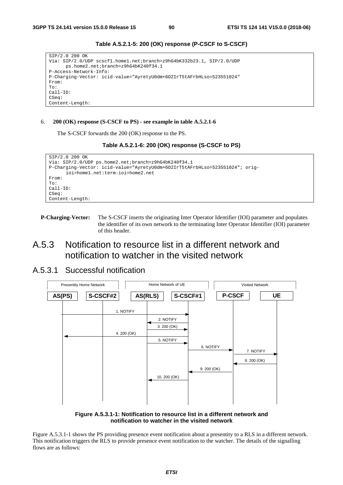```
SIP/2.0 200 OK 
Via: SIP/2.0/UDP scscf1.home1.net;branch=z9hG4bK332b23.1, SIP/2.0/UDP 
      ps.home2.net;branch=z9hG4bK240f34.1 
P-Access-Network-Info: 
P-Charging-Vector: icid-value="AyretyU0dm+6O2IrT5tAFrbHLso=523551024" 
From: 
To: 
Call-ID: 
CSeq: 
Content-Length:
```
**Table A.5.2.1-5: 200 (OK) response (P-CSCF to S-CSCF)** 

#### 6. **200 (OK) response (S-CSCF to PS) - see example in table A.5.2.1-6**

The S-CSCF forwards the 200 (OK) response to the PS.



```
SIP/2.0 200 OK 
Via: SIP/2.0/UDP ps.home2.net;branch=z9hG4bK240f34.1 
P-Charging-Vector: icid-value="AyretyU0dm+6O2IrT5tAFrbHLso=523551024"; orig-
      ioi=home1.net:term-ioi=home2.net 
From: 
To:Call-ID: 
CSeq: 
Content-Length:
```
**P-Charging-Vector:** The S-CSCF inserts the originating Inter Operator Identifier (IOI) parameter and populates the identifier of its own network to the terminating Inter Operator Identifier (IOI) parameter of this header.

# A.5.3 Notification to resource list in a different network and notification to watcher in the visited network

# A.5.3.1 Successful notification



**Figure A.5.3.1-1: Notification to resource list in a different network and notification to watcher in the visited network** 

Figure A.5.3.1-1 shows the PS providing presence event notification about a presentity to a RLS in a different network. This notification triggers the RLS to provide presence event notification to the watcher. The details of the signalling flows are as follows: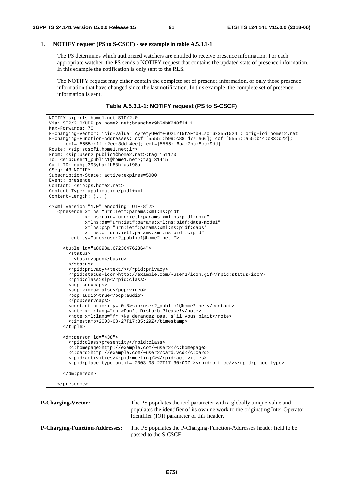# 1. **NOTIFY request (PS to S-CSCF) - see example in table A.5.3.1-1**

 The PS determines which authorized watchers are entitled to receive presence information. For each appropriate watcher, the PS sends a NOTIFY request that contains the updated state of presence information. In this example the notification is only sent to the RLS.

 The NOTIFY request may either contain the complete set of presence information, or only those presence information that have changed since the last notification. In this example, the complete set of presence information is sent.

**Table A.5.3.1-1: NOTIFY request (PS to S-CSCF)** 

```
NOTIFY sip:rls.home1.net SIP/2.0 
Via: SIP/2.0/UDP ps.home2.net;branch=z9hG4bK240f34.1 
Max-Forwards: 70 
P-Charging-Vector: icid-value="AyretyU0dm+6O2IrT5tAFrbHLso=623551024"; orig-ioi=home12.net 
P-Charging-Function-Addresses: ccf=[5555::b99:c88:d77:e66]; ccf=[5555::a55:b44:c33:d22]; 
      ecf=[5555::1ff:2ee:3dd:4ee]; ecf=[5555::6aa:7bb:8cc:9dd] 
Route: <sip:scscf1.home1.net;lr> 
From: <sip:user2_public1@home2.net>;tag=151170 
To: <sip:user1_public1@home1.net>;tag=31415 
Call-ID: gahjt393yhakfh83hfasl98a 
CSeq: 43 NOTIFY 
Subscription-State: active;expires=5000 
Event: presence 
Contact: <sip:ps.home2.net> 
Content-Type: application/pidf+xml 
Content-Length: (...) 
<?xml version="1.0" encoding="UTF-8"?> 
    <presence xmlns="urn:ietf:params:xml:ns:pidf" 
              xmlns:rpid="urn:ietf:params:xml:ns:pidf:rpid" 
              xmlns:dm="urn:ietf:params:xml:ns:pidf:data-model" 
              xmlns:pcp="urn:ietf:params:xml:ns:pidf:caps" 
              xmlns:c="urn:ietf:params:xml:ns:pidf:cipid" 
        entity="pres:user2_public1@home2.net "
      <tuple id="a8098a.672364762364"> 
        <status> 
          <basic>open</basic> 
        </status> 
        <rpid:privacy><text/></rpid:privacy> 
        <rpid:status-icon>http://example.com/~user2/icon.gif</rpid:status-icon> 
        <rpid:class>sip</rpid:class> 
        <pcp:servcaps> 
        <pcp:video>false</pcp:video> 
        <pcp:audio>true</pcp:audio> 
        </pcp:servcaps> 
        <contact priority="0.8>sip:user2_public1@home2.net</contact> 
        <note xml:lang="en">Don't Disturb Please!</note> 
        <note xml:lang="fr">Ne derangez pas, s'il vous plait</note> 
        <timestamp>2003-08-27T17:35:29Z</timestamp> 
      </tuple> 
      <dm:person id="438"> 
        <rpid:class>presentity</rpid:class> 
        <c:homepage>http://example.com/~user2</c:homepage> 
        <c:card>http://example.com/~user2/card.vcd</c:card> 
        <rpid:activities><rpid:meeting/></rpid:activities> 
        <rpid:place-type until="2003-08-27T17:30:00Z"><rpid:office/></rpid:place-type> 
      </dm:person> 
    </presence>
```

| <b>P-Charging-Vector:</b>             | The PS populates the icid parameter with a globally unique value and<br>populates the identifier of its own network to the originating Inter Operator<br>Identifier (IOI) parameter of this header. |
|---------------------------------------|-----------------------------------------------------------------------------------------------------------------------------------------------------------------------------------------------------|
| <b>P-Charging-Function-Addresses:</b> | The PS populates the P-Charging-Function-Addresses header field to be<br>passed to the S-CSCF.                                                                                                      |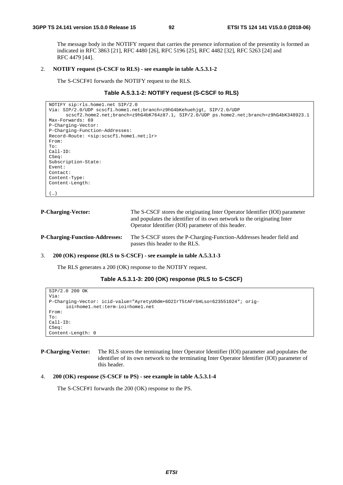The message body in the NOTIFY request that carries the presence information of the presentity is formed as indicated in RFC 3863 [21], RFC 4480 [26], RFC 5196 [25], RFC 4482 [32], RFC 5263 [24] and RFC 4479 [44].

#### 2. **NOTIFY request (S-CSCF to RLS) - see example in table A.5.3.1-2**

The S-CSCF#1 forwards the NOTIFY request to the RLS.

### **Table A.5.3.1-2: NOTIFY request (S-CSCF to RLS)**

```
NOTIFY sip:rls.home1.net SIP/2.0 
Via: SIP/2.0/UDP scscf1.home1.net;branch=z9hG4bKehuehjgt, SIP/2.0/UDP 
      scscf2.home2.net;branch=z9hG4bK764z87.1, SIP/2.0/UDP ps.home2.net;branch=z9hG4bK348923.1 
Max-Forwards: 69 
P-Charging-Vector: 
P-Charging-Function-Addresses: 
Record-Route: <sip:scscf1.home1.net;lr> 
From: 
To: 
Call-ID: 
CSeq: 
Subscription-State: 
Event: 
Contact: 
Content-Type: 
Content-Length: 
(…)
```

| <b>P-Charging-Vector:</b>             | The S-CSCF stores the originating Inter Operator Identifier (IOI) parameter<br>and populates the identifier of its own network to the originating Inter<br>Operator Identifier (IOI) parameter of this header. |
|---------------------------------------|----------------------------------------------------------------------------------------------------------------------------------------------------------------------------------------------------------------|
| <b>P-Charging-Function-Addresses:</b> | The S-CSCF stores the P-Charging-Function-Addresses header field and<br>passes this header to the RLS.                                                                                                         |

# 3. **200 (OK) response (RLS to S-CSCF) - see example in table A.5.3.1-3**

The RLS generates a 200 (OK) response to the NOTIFY request.

```
Table A.5.3.1-3: 200 (OK) response (RLS to S-CSCF)
```

```
SIP/2.0 200 OK 
Via: 
P-Charging-Vector: icid-value="AyretyU0dm+6O2IrT5tAFrbHLso=623551024"; orig-
      ioi=home1.net:term-ioi=home1.net 
From: 
To: 
Call-ID: 
CSeq: 
Content-Length: 0
```
**P-Charging-Vector:** The RLS stores the terminating Inter Operator Identifier (IOI) parameter and populates the identifier of its own network to the terminating Inter Operator Identifier (IOI) parameter of this header.

#### 4. **200 (OK) response (S-CSCF to PS) - see example in table A.5.3.1-4**

The S-CSCF#1 forwards the 200 (OK) response to the PS.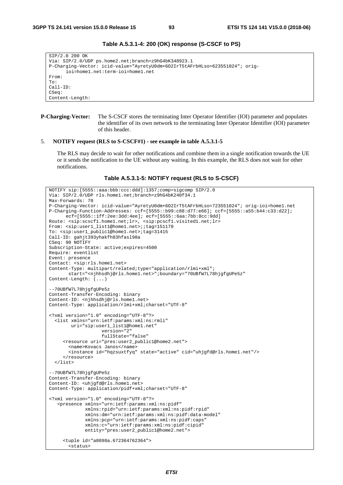SIP/2.0 200 OK Via: SIP/2.0/UDP ps.home2.net;branch=z9hG4bK348923.1 P-Charging-Vector: icid-value="AyretyU0dm+6O2IrT5tAFrbHLso=623551024"; origioi=home1.net:term-ioi=home1.net From: To: Call-ID: CSeq: Content-Length:

# **Table A.5.3.1-4: 200 (OK) response (S-CSCF to PS)**

```
P-Charging-Vector: The S-CSCF stores the terminating Inter Operator Identifier (IOI) parameter and populates 
                        the identifier of its own network to the terminating Inter Operator Identifier (IOI) parameter 
                        of this header.
```
#### 5. **NOTIFY request (RLS to S-CSCF#1) - see example in table A.5.3.1-5**

 The RLS may decide to wait for other notifications and combine them in a single notification towards the UE or it sends the notification to the UE without any waiting. In this example, the RLS does not wait for other notifications.

**Table A.5.3.1-5: NOTIFY request (RLS to S-CSCF)** 

```
NOTIFY sip:[5555::aaa:bbb:ccc:ddd]:1357;comp=sigcomp SIP/2.0 
Via: SIP/2.0/UDP rls.home1.net;branch=z9hG4bK240f34.1 
Max-Forwards: 70 
P-Charging-Vector: icid-value="AyretyU0dm+6O2IrT5tAFrbHLso=723551024"; orig-ioi=home1.net 
P-Charging-Function-Addresses: ccf=[5555::b99:c88:d77:e66]; ccf=[5555::a55:b44:c33:d22]; 
      ecf=[5555::1ff:2ee:3dd:4ee]; ecf=[5555::6aa:7bb:8cc:9dd] 
Route: <sip:scscf1.home1.net;lr>, <sip:pcscf1.visited1.net;lr> 
From: <sip:user1_list1@home1.net>;;tag=151170 
To: <sip:user1_public1@home1.net>;tag=31415 
Call-ID: gahjt393yhakfh83hfasl98a 
CSeq: 90 NOTIFY 
Subscription-State: active;expires=4500 
Require: eventlist 
Event: presence 
Contact: <sip:rls.home1.net> 
Content-Type: multipart/related;type="application/rlmi+xml"; 
       start="<njhhsdhj@rls.home1.net>";boundary="70UBfW7L78hjgfgUPe5z" 
Content-Length: (...) 
--70UBfW7L78hjgfgUPe5z 
Content-Transfer-Encoding: binary 
Content-ID: <njhhsdhj@rls.home1.net>
Content-Type: application/rlmi+xml;charset="UTF-8" 
<?xml version="1.0" encoding="UTF-8"?> 
   <list xmlns="urn:ietf:params:xml:ns:rmli" 
         uri="sip:user1_list1@home1.net" 
                    version="2" 
                    fullState="false" 
      <resource uri="pres:user2_public1@home2.net"> 
        <name>Kovacs Janos</name> 
        <instance id="hqzsuxtfyq" state="active" cid="uhjgfd@rls.home1.net"/> 
      </resource> 
   </list> 
--70UBfW7L78hjgfgUPe5z 
Content-Transfer-Encoding: binary 
Content-ID: <uhjgfd@rls.home1.net> 
Content-Type: application/pidf+xml;charset="UTF-8" 
<?xml version="1.0" encoding="UTF-8"?> 
    <presence xmlns="urn:ietf:params:xml:ns:pidf" 
              xmlns:rpid="urn:ietf:params:xml:ns:pidf:rpid" 
              xmlns:dm="urn:ietf:params:xml:ns:pidf:data-model" 
              xmlns:pcp="urn:ietf:params:xml:ns:pidf:caps" 
              xmlns:c="urn:ietf:params:xml:ns:pidf:cipid" 
              entity="pres:user2_public1@home2.net"> 
      <tuple id="a8098a.672364762364"> 
        <status>
```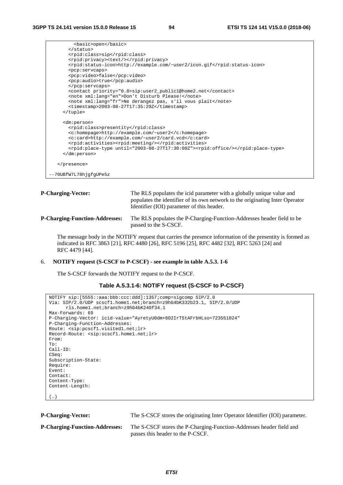```
 <basic>open</basic> 
        </status> 
        <rpid:class>sip</rpid:class> 
        <rpid:privacy><text/></rpid:privacy> 
       <rpid:status-icon>http://example.com/~user2/icon.gif</rpid:status-icon> 
        <pcp:servcaps> 
       <pcp:video>false</pcp:video> 
        <pcp:audio>true</pcp:audio> 
       </pcp:servcaps> 
       <contact priority="0.8>sip:user2_public1@home2.net</contact> 
        <note xml:lang="en">Don't Disturb Please!</note> 
        <note xml:lang="fr">Ne derangez pas, s'il vous plait</note> 
        <timestamp>2003-08-27T17:35:29Z</timestamp> 
     </tuple> 
     <dm:person> 
       <rpid:class>presentity</rpid:class> 
        <c:homepage>http://example.com/~user2</c:homepage> 
       <c:card>http://example.com/~user2/card.vcd</c:card> 
       <rpid:activities><rpid:meeting/></rpid:activities> 
        <rpid:place-type until="2003-08-27T17:30:00Z"><rpid:office/></rpid:place-type> 
     </dm:person> 
   </presence> 
--70UBfW7L78hjgfgUPe5z
```
**P-Charging-Vector:** The RLS populates the icid parameter with a globally unique value and populates the identifier of its own network to the originating Inter Operator Identifier (IOI) parameter of this header.

# **P-Charging-Function-Addresses:** The RLS populates the P-Charging-Function-Addresses header field to be passed to the S-CSCF.

 The message body in the NOTIFY request that carries the presence information of the presentity is formed as indicated in RFC 3863 [21], RFC 4480 [26], RFC 5196 [25], RFC 4482 [32], RFC 5263 [24] and RFC 4479 [44].

# 6. **NOTIFY request (S-CSCF to P-CSCF) - see example in table A.5.3. 1-6**

The S-CSCF forwards the NOTIFY request to the P-CSCF.

#### **Table A.5.3.1-6: NOTIFY request (S-CSCF to P-CSCF)**

```
NOTIFY sip:[5555::aaa:bbb:ccc:ddd]:1357;comp=sigcomp SIP/2.0 
Via: SIP/2.0/UDP scscf1.home1.net;branch=z9hG4bK332b23.1, SIP/2.0/UDP 
      rls.home1.net;branch=z9hG4bK240f34.1 
Max-Forwards: 69 
P-Charging-Vector: icid-value="AyretyU0dm+6O2IrT5tAFrbHLso=723551024" 
P-Charging-Function-Addresses: 
Route: <sip:pcscf1.visited1.net;lr> 
Record-Route: <sip:scscf1.home1.net;lr> 
From: 
To: 
Call-ID: 
CSeq: 
Subscription-State: 
Require: 
Event: 
Contact:
Content-Type: 
Content-Length: 
(…)
```

| <b>P-Charging-Vector:</b>             | The S-CSCF stores the originating Inter Operator Identifier (IOI) parameter.                              |
|---------------------------------------|-----------------------------------------------------------------------------------------------------------|
| <b>P-Charging-Function-Addresses:</b> | The S-CSCF stores the P-Charging-Function-Addresses header field and<br>passes this header to the P-CSCF. |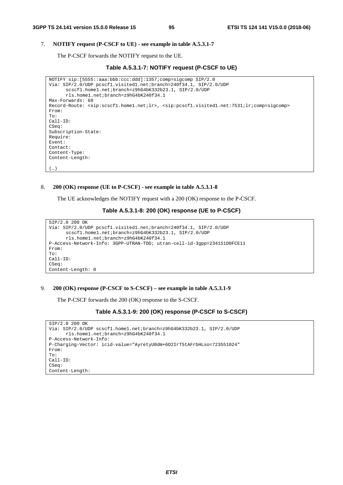$(\ldots)$ 

### 7. **NOTIFY request (P-CSCF to UE) - see example in table A.5.3.1-7**

The P-CSCF forwards the NOTIFY request to the UE.

#### **Table A.5.3.1-7: NOTIFY request (P-CSCF to UE)**

```
NOTIFY sip:[5555::aaa:bbb:ccc:ddd]:1357;comp=sigcomp SIP/2.0 
Via: SIP/2.0/UDP pcscf1.visited1.net;branch=240f34.1, SIP/2.0/UDP 
      scscf1.home1.net;branch=z9hG4bK332b23.1, SIP/2.0/UDP 
      rls.home1.net;branch=z9hG4bK240f34.1 
Max-Forwards: 68 
Record-Route: <sip:scscf1.home1.net;lr>, <sip:pcscf1.visited1.net:7531;lr;comp=sigcomp> 
From: 
To: 
Call-ID: 
CSeq:
Subscription-State: 
Require: 
Event: 
Contact: 
Content-Type: 
Content-Length:
```
#### 8. **200 (OK) response (UE to P-CSCF) - see example in table A.5.3.1-8**

The UE acknowledges the NOTIFY request with a 200 (OK) response to the P-CSCF.

# **Table A.5.3.1-8: 200 (OK) response (UE to P-CSCF)**

```
SIP/2.0 200 OK 
Via: SIP/2.0/UDP pcscf1.visited1.net;branch=240f34.1, SIP/2.0/UDP 
      scscf1.home1.net;branch=z9hG4bK332b23.1, SIP/2.0/UDP 
      rls.home1.net;branch=z9hG4bK240f34.1 
P-Access-Network-Info: 3GPP-UTRAN-TDD; utran-cell-id-3gpp=234151D0FCE11 
From: 
To: 
Call-ID: 
CSeq:
Content-Length: 0
```
### 9. **200 (OK) response (P-CSCF to S-CSCF) – see example in table A.5.3.1-9**

The P-CSCF forwards the 200 (OK) response to the S-CSCF.

# **Table A.5.3.1-9: 200 (OK) response (P-CSCF to S-CSCF)**

```
SIP/2.0 200 OK 
Via: SIP/2.0/UDP scscf1.home1.net;branch=z9hG4bK332b23.1, SIP/2.0/UDP 
      rls.home1.net;branch=z9hG4bK240f34.1 
P-Access-Network-Info: 
P-Charging-Vector: icid-value="AyretyU0dm+6O2IrT5tAFrbHLso=723551024" 
From: 
To: 
Call-ID: 
CSeq: 
Content-Length:
```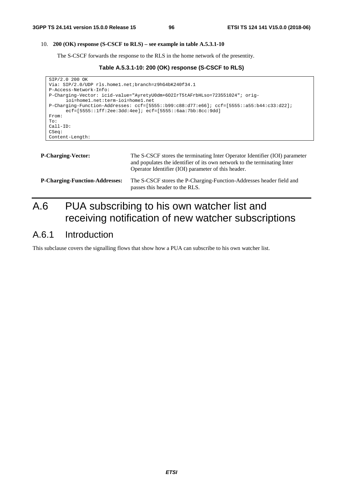# 10. **200 (OK) response (S-CSCF to RLS) – see example in table A.5.3.1-10**

The S-CSCF forwards the response to the RLS in the home network of the presentity.

**Table A.5.3.1-10: 200 (OK) response (S-CSCF to RLS)** 

```
SIP/2.0 200 OK 
Via: SIP/2.0/UDP rls.home1.net;branch=z9hG4bK240f34.1 
P-Access-Network-Info: 
P-Charging-Vector: icid-value="AyretyU0dm+6O2IrT5tAFrbHLso=723551024"; orig-
      ioi=home1.net:term-ioi=home1.net 
P-Charging-Function-Addresses: ccf=[5555::b99:c88:d77:e66]; ccf=[5555::a55:b44:c33:d22]; 
      ecf=[5555::1ff:2ee:3dd:4ee]; ecf=[5555::6aa:7bb:8cc:9dd] 
From: 
To: 
Call-ID: 
CSeq: 
Content-Length:
```

| <b>P-Charging-Vector:</b>             | The S-CSCF stores the terminating Inter Operator Identifier (IOI) parameter<br>and populates the identifier of its own network to the terminating Inter<br>Operator Identifier (IOI) parameter of this header. |
|---------------------------------------|----------------------------------------------------------------------------------------------------------------------------------------------------------------------------------------------------------------|
| <b>P-Charging-Function-Addresses:</b> | The S-CSCF stores the P-Charging-Function-Addresses header field and<br>passes this header to the RLS.                                                                                                         |

# A.6 PUA subscribing to his own watcher list and receiving notification of new watcher subscriptions

# A.6.1 Introduction

This subclause covers the signalling flows that show how a PUA can subscribe to his own watcher list.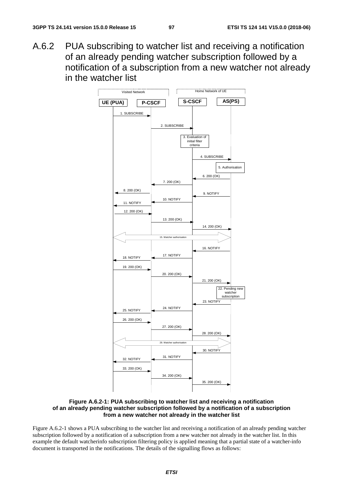A.6.2 PUA subscribing to watcher list and receiving a notification of an already pending watcher subscription followed by a notification of a subscription from a new watcher not already in the watcher list



**Figure A.6.2-1: PUA subscribing to watcher list and receiving a notification of an already pending watcher subscription followed by a notification of a subscription from a new watcher not already in the watcher list** 

Figure A.6.2-1 shows a PUA subscribing to the watcher list and receiving a notification of an already pending watcher subscription followed by a notification of a subscription from a new watcher not already in the watcher list. In this example the default watcherinfo subscription filtering policy is applied meaning that a partial state of a watcher-info document is transported in the notifications. The details of the signalling flows as follows: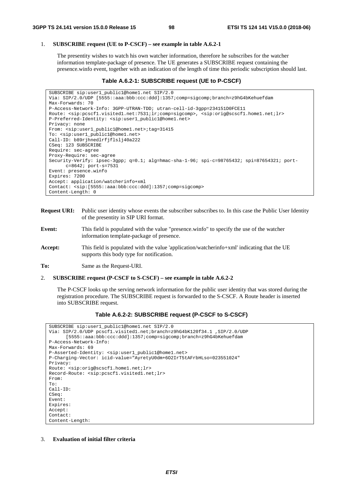#### 1. **SUBSCRIBE request (UE to P-CSCF) – see example in table A.6.2-1**

The presentity wishes to watch his own watcher information, therefore he subscribes for the watcher information template-package of presence. The UE generates a SUBSCRIBE request containing the presence.winfo event, together with an indication of the length of time this periodic subscription should last.

### **Table A.6.2-1: SUBSCRIBE request (UE to P-CSCF)**

```
SUBSCRIBE sip:user1_public1@home1.net SIP/2.0 
Via: SIP/2.0/UDP [5555::aaa:bbb:ccc:ddd]:1357;comp=sigcomp;branch=z9hG4bKehuefdam 
Max-Forwards: 70 
P-Access-Network-Info: 3GPP-UTRAN-TDD; utran-cell-id-3gpp=234151D0FCE11 
Route: <sip:pcscf1.visited1.net:7531;lr;comp=sigcomp>, <sip:orig@scscf1.home1.net;lr> 
P-Preferred-Identity: <sip:user1_public1@home1.net> 
Privacy: none 
From: <sip:user1_public1@home1.net>;tag=31415 
To: <sip:user1_public1@home1.net> 
Call-ID: b89rjhnedlrfjflslj40a222 
CSeq: 123 SUBSCRIBE 
Require: sec-agree 
Proxy-Require: sec-agree 
Security-Verify: ipsec-3gpp; q=0.1; alg=hmac-sha-1-96; spi-c=98765432; spi=87654321; port-
     c=8642; port-s=7531 
Event: presence.winfo 
Expires: 7200 
Accept: application/watcherinfo+xml 
Contact: <sip:[5555::aaa:bbb:ccc:ddd]:1357;comp=sigcomp> 
Content-Length: 0
```
- **Request URI:** Public user identity whose events the subscriber subscribes to. In this case the Public User Identity of the presentity in SIP URI format.
- **Event:** This field is populated with the value "presence.winfo" to specify the use of the watcher information template-package of presence.
- **Accept:** This field is populated with the value 'application/watcherinfo+xml' indicating that the UE supports this body type for notification.

**To:** Same as the Request-URI.

#### 2. **SUBSCRIBE request (P-CSCF to S-CSCF) – see example in table A.6.2-2**

 The P-CSCF looks up the serving network information for the public user identity that was stored during the registration procedure. The SUBSCRIBE request is forwarded to the S-CSCF. A Route header is inserted into SUBSCRIBE request.

**Table A.6.2-2: SUBSCRIBE request (P-CSCF to S-CSCF)** 

```
SUBSCRIBE sip:user1_public1@home1.net SIP/2.0 
Via: SIP/2.0/UDP pcscf1.visited1.net;branch=z9hG4bK120f34.1 ,SIP/2.0/UDP 
      [5555::aaa:bbb:ccc:ddd]:1357;comp=sigcomp;branch=z9hG4bKehuefdam 
P-Access-Network-Info: 
Max-Forwards: 69 
P-Asserted-Identity: <sip:user1_public1@home1.net> 
P-Charging-Vector: icid-value="AyretyU0dm+6O2IrT5tAFrbHLso=023551024" 
Privacy: 
Route: <sip:orig@scscf1.home1.net;lr> 
Record-Route: <sip:pcscf1.visited1.net;lr> 
From: 
To: 
Call-ID: 
CSeq: 
Event: 
Expires: 
Accept: 
Contact: 
Content-Length:
```
3. **Evaluation of initial filter criteria**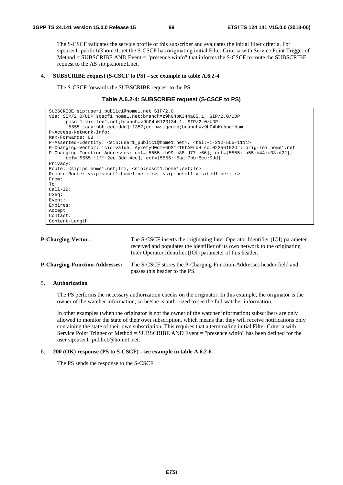The S-CSCF validates the service profile of this subscriber and evaluates the initial filter criteria. For sip:user1\_public1@home1.net the S-CSCF has originating initial Filter Criteria with Service Point Trigger of Method = SUBSCRIBE AND Event = "presence.winfo" that informs the S-CSCF to route the SUBSCRIBE request to the AS sip:ps.home1.net.

#### 4. **SUBSCRIBE request (S-CSCF to PS) – see example in table A.6.2-4**

The S-CSCF forwards the SUBSCRIBE request to the PS.

# **Table A.6.2-4: SUBSCRIBE request (S-CSCF to PS)**

| SUBSCRIBE sip:user1 public1@home1.net SIP/2.0                                                                                 |
|-------------------------------------------------------------------------------------------------------------------------------|
| Via: SIP/2.0/UDP scscf1.home1.net;branch=z9hG4bK344a65.1, SIP/2.0/UDP                                                         |
| pcscfl.visitedl.net;branch=z9hG4bK120f34.1, SIP/2.0/UDP                                                                       |
| :5555::aaa:bbb:ccc:ddd]:1357;comp=sigcomp;branch=z9hG4bKehuefdam                                                              |
| P-Access-Network-Info:                                                                                                        |
| Max-Forwards: 68                                                                                                              |
| P-Asserted-Identity: <sip:user1_public1@home1.net>, <tel:+1-212-555-1111></tel:+1-212-555-1111></sip:user1_public1@home1.net> |
| P-Charging-Vector: icid-value="AyretyU0dm+602IrT5tAFrbHLso=023551024"; orig-ioi=home1.net                                     |
| P-Charging-Function-Addresses: ccf=[5555::b99:c88:d77:e66]; ccf=[5555::a55:b44:c33:d22];                                      |
| $ect=[5555::1ff:2ee:3dd:4ee];ect=[5555::6aa:7bb:8cc:9dd]$                                                                     |
| Privacy:                                                                                                                      |
| Route: <sip:ps.home1.net;lr>, <sip:scscf1.home1.net;lr></sip:scscf1.home1.net;lr></sip:ps.home1.net;lr>                       |
| Record-Route: <sip:scscfl.homel.net;lr>, <sip:pcscfl.visitedl.net;lr></sip:pcscfl.visitedl.net;lr></sip:scscfl.homel.net;lr>  |
| From:                                                                                                                         |
| To:                                                                                                                           |
| $Call-ID:$                                                                                                                    |
| CSeq:                                                                                                                         |
| Event:                                                                                                                        |
| Expires:                                                                                                                      |
| Accept:                                                                                                                       |
| Contact:                                                                                                                      |
| Content-Length:                                                                                                               |

| <b>P-Charging-Vector:</b>             | The S-CSCF inserts the originating Inter Operator Identifier (IOI) parameter<br>received and populates the identifier of its own network to the originating<br>Inter Operator Identifier (IOI) parameter of this header. |
|---------------------------------------|--------------------------------------------------------------------------------------------------------------------------------------------------------------------------------------------------------------------------|
| <b>P-Charging-Function-Addresses:</b> | The S-CSCF stores the P-Charging-Function-Addresses header field and<br>passes this header to the PS.                                                                                                                    |

# 5. **Authorization**

 The PS performs the necessary authorization checks on the originator. In this example, the originator is the owner of the watcher information, so he/she is authorized to see the full watcher information.

 In other examples (when the originator is not the owner of the watcher information) subscribers are only allowed to monitor the state of their own subscription, which means that they will receive notifications only containing the state of their own subscription. This requires that a terminating initial Filter Criteria with Service Point Trigger of Method = SUBSCRIBE AND Event = "presence.winfo" has been defined for the user sip:user1\_public1@home1.net.

### 6. **200 (OK) response (PS to S-CSCF) - see example in table A.6.2-6**

The PS sends the response to the S-CSCF.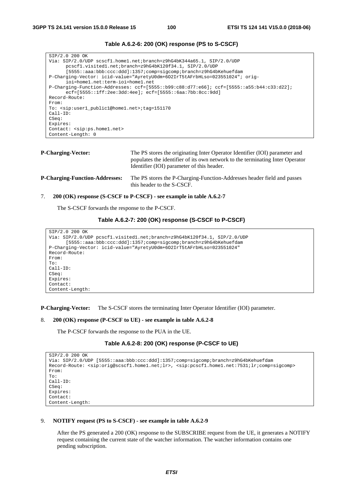```
SIP/2.0 200 OK 
Via: SIP/2.0/UDP scscf1.home1.net;branch=z9hG4bK344a65.1, SIP/2.0/UDP 
      pcscf1.visited1.net;branch=z9hG4bK120f34.1, SIP/2.0/UDP 
      [5555::aaa:bbb:ccc:ddd]:1357;comp=sigcomp;branch=z9hG4bKehuefdam 
P-Charging-Vector: icid-value="AyretyU0dm+6O2IrT5tAFrbHLso=023551024"; orig-
      ioi=home1.net:term-ioi=home1.net 
P-Charging-Function-Addresses: ccf=[5555::b99:c88:d77:e66]; ccf=[5555::a55:b44:c33:d22]; 
      ecf=[5555::1ff:2ee:3dd:4ee]; ecf=[5555::6aa:7bb:8cc:9dd] 
Record-Route: 
From: 
To: <sip:user1_public1@home1.net>;tag=151170 
Call-ID: 
CSeq:
Expires: 
Contact: <sip:ps.home1.net> 
Content-Length: 0
```
# **Table A.6.2-6: 200 (OK) response (PS to S-CSCF)**

```
P-Charging-Vector: The PS stores the originating Inter Operator Identifier (IOI) parameter and
                                    populates the identifier of its own network to the terminating Inter Operator 
                                    Identifier (IOI) parameter of this header. 
P-Charging-Function-Addresses: The PS stores the P-Charging-Function-Addresses header field and passes 
                                    this header to the S-CSCF.
```
#### 7. **200 (OK) response (S-CSCF to P-CSCF) - see example in table A.6.2-7**

The S-CSCF forwards the response to the P-CSCF.

# **Table A.6.2-7: 200 (OK) response (S-CSCF to P-CSCF)**

```
SIP/2.0 200 OK 
Via: SIP/2.0/UDP pcscf1.visited1.net;branch=z9hG4bK120f34.1, SIP/2.0/UDP 
      [5555::aaa:bbb:ccc:ddd]:1357;comp=sigcomp;branch=z9hG4bKehuefdam 
P-Charging-Vector: icid-value="AyretyU0dm+6O2IrT5tAFrbHLso=023551024" 
Record-Route: 
From: 
To: 
Call-ID: 
CSeq: 
Expires: 
Contact: 
Content-Length:
```
**P-Charging-Vector:** The S-CSCF stores the terminating Inter Operator Identifier (IOI) parameter.

#### 8. **200 (OK) response (P-CSCF to UE) - see example in table A.6.2-8**

The P-CSCF forwards the response to the PUA in the UE.

#### **Table A.6.2-8: 200 (OK) response (P-CSCF to UE)**

```
SIP/2.0 200 OK 
Via: SIP/2.0/UDP [5555::aaa:bbb:ccc:ddd]:1357;comp=sigcomp;branch=z9hG4bKehuefdam 
Record-Route: <sip:orig@scscf1.home1.net;lr>, <sip:pcscf1.home1.net:7531;lr;comp=sigcomp> 
From: 
To: 
Call-ID: 
CSeq: 
Expires: 
Contact: 
Content-Length:
```
#### 9. **NOTIFY request (PS to S-CSCF) - see example in table A.6.2-9**

 After the PS generated a 200 (OK) response to the SUBSCRIBE request from the UE, it generates a NOTIFY request containing the current state of the watcher information. The watcher information contains one pending subscription.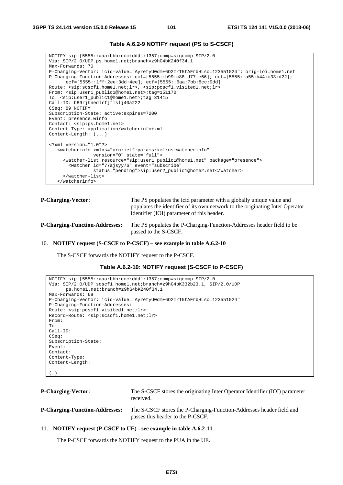```
Table A.6.2-9 NOTIFY request (PS to S-CSCF)
```

```
NOTIFY sip:[5555::aaa:bbb:ccc:ddd]:1357;comp=sigcomp SIP/2.0 
Via: SIP/2.0/UDP ps.home1.net;branch=z9hG4bK240f34.1 
Max-Forwards: 70 
P-Charging-Vector: icid-value="AyretyU0dm+6O2IrT5tAFrbHLso=123551024"; orig-ioi=home1.net 
P-Charging-Function-Addresses: ccf=[5555::b99:c88:d77:e66]; ccf=[5555::a55:b44:c33:d22]; 
      ecf=[5555::1ff:2ee:3dd:4ee]; ecf=[5555::6aa:7bb:8cc:9dd] 
Route: <sip:scscf1.home1.net;lr>, <sip:pcscf1.visited1.net;lr> 
From: <sip:user1_public1@home1.net>;tag=151170 
To: <sip:user1_public1@home1.net>;tag=31415 
Call-ID: b89rjhnedlrfjflslj40a222 
CSeq: 89 NOTIFY 
Subscription-State: active;expires=7200 
Event: presence.winfo 
Contact: <sip:ps.home1.net> 
Content-Type: application/watcherinfo+xml 
Content-Length: (...) 
<?xml version="1.0"?> 
    <watcherinfo xmlns="urn:ietf:params:xml:ns:watcherinfo" 
                 version="0" state="full"> 
      <watcher-list resource="sip:user1_public1@home1.net" package="presence"> 
       <watcher id="77ajsyy76" event="subscribe" 
                 status="pending">sip:user2_public1@home2.net</watcher> 
      </watcher-list> 
    </watcherinfo>
```
**P-Charging-Vector:** The PS populates the icid parameter with a globally unique value and populates the identifier of its own network to the originating Inter Operator Identifier (IOI) parameter of this header.

**P-Charging-Function-Addresses:** The PS populates the P-Charging-Function-Addresses header field to be passed to the S-CSCF.

#### 10. **NOTIFY request (S-CSCF to P-CSCF) – see example in table A.6.2-10**

The S-CSCF forwards the NOTIFY request to the P-CSCF.

```
Table A.6.2-10: NOTIFY request (S-CSCF to P-CSCF)
```

```
NOTIFY sip:[5555::aaa:bbb:ccc:ddd]:1357;comp=sigcomp SIP/2.0 
Via: SIP/2.0/UDP scscf1.home1.net;branch=z9hG4bK332b23.1, SIP/2.0/UDP 
     ps.home1.net;branch=z9hG4bK240f34.1 
Max-Forwards: 69 
P-Charging-Vector: icid-value="AyretyU0dm+6O2IrT5tAFrbHLso=123551024" 
P-Charging-Function-Addresses: 
Route: <sip:pcscf1.visited1.net;lr> 
Record-Route: <sip:scscf1.home1.net;lr> 
From: 
To: 
Call-ID: 
CSeq: 
Subscription-State: 
Event: 
Contact: 
Content-Type: 
Content-Length: 
(…)
```

```
P-Charging-Vector: The S-CSCF stores the originating Inter Operator Identifier (IOI) parameter 
                                  received. 
P-Charging-Function-Addresses: The S-CSCF stores the P-Charging-Function-Addresses header field and 
                                   passes this header to the P-CSCF.
```
#### 11. **NOTIFY request (P-CSCF to UE) - see example in table A.6.2-11**

The P-CSCF forwards the NOTIFY request to the PUA in the UE.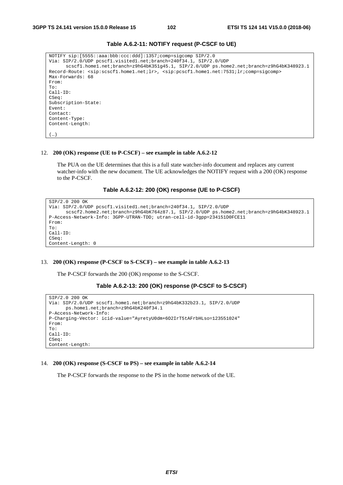| NOTIFY sip: [5555::aaa:bbb:ccc:ddd]:1357;comp=sigcomp SIP/2.0<br>Via: SIP/2.0/UDP pcscfl.visitedl.net;branch=240f34.1, SIP/2.0/UDP<br>scscfl.homel.net;branch=z9hG4bK351q45.1, SIP/2.0/UDP ps.home2.net;branch=z9hG4bK348923.1 |
|--------------------------------------------------------------------------------------------------------------------------------------------------------------------------------------------------------------------------------|
| Record-Route: <sip:scscf1.home1.net;lr>, <sip:pcscf1.home1.net:7531;lr;comp=sigcomp></sip:pcscf1.home1.net:7531;lr;comp=sigcomp></sip:scscf1.home1.net;lr>                                                                     |
| Max-Forwards: 68                                                                                                                                                                                                               |
| From:                                                                                                                                                                                                                          |
| To:                                                                                                                                                                                                                            |
| $Call-ID:$                                                                                                                                                                                                                     |
| CSeq:                                                                                                                                                                                                                          |
| Subscription-State:                                                                                                                                                                                                            |
| Event:                                                                                                                                                                                                                         |
| Contact:                                                                                                                                                                                                                       |
| Content-Type:                                                                                                                                                                                                                  |
| Content-Length:                                                                                                                                                                                                                |
|                                                                                                                                                                                                                                |
| .                                                                                                                                                                                                                              |

### **Table A.6.2-11: NOTIFY request (P-CSCF to UE)**

#### 12. **200 (OK) response (UE to P-CSCF) – see example in table A.6.2-12**

 The PUA on the UE determines that this is a full state watcher-info document and replaces any current watcher-info with the new document. The UE acknowledges the NOTIFY request with a 200 (OK) response to the P-CSCF.

# **Table A.6.2-12: 200 (OK) response (UE to P-CSCF)**

```
SIP/2.0 200 OK 
Via: SIP/2.0/UDP pcscf1.visited1.net;branch=240f34.1, SIP/2.0/UDP 
      scscf2.home2.net;branch=z9hG4bK764z87.1, SIP/2.0/UDP ps.home2.net;branch=z9hG4bK348923.1 
P-Access-Network-Info: 3GPP-UTRAN-TDD; utran-cell-id-3gpp=234151D0FCE11 
From: 
To: 
Call-ID: 
CSeq: 
Content-Length: 0
```
#### 13. **200 (OK) response (P-CSCF to S-CSCF) – see example in table A.6.2-13**

The P-CSCF forwards the 200 (OK) response to the S-CSCF.

#### **Table A.6.2-13: 200 (OK) response (P-CSCF to S-CSCF)**

```
SIP/2.0 200 OK 
Via: SIP/2.0/UDP scscf1.home1.net;branch=z9hG4bK332b23.1, SIP/2.0/UDP 
      ps.home1.net;branch=z9hG4bK240f34.1 
P-Access-Network-Info: 
P-Charging-Vector: icid-value="AyretyU0dm+6O2IrT5tAFrbHLso=123551024" 
From: 
To: 
Call-ID: 
CSeq: 
Content-Length:
```
#### 14. **200 (OK) response (S-CSCF to PS) – see example in table A.6.2-14**

The P-CSCF forwards the response to the PS in the home network of the UE.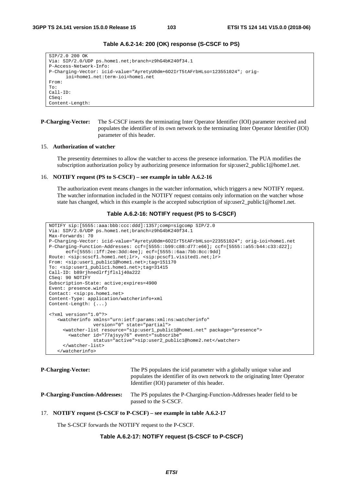```
Table A.6.2-14: 200 (OK) response (S-CSCF to PS)
```

```
SIP/2.0 200 OK 
Via: SIP/2.0/UDP ps.home1.net;branch=z9hG4bK240f34.1 
P-Access-Network-Info: 
P-Charging-Vector: icid-value="AyretyU0dm+6O2IrT5tAFrbHLso=123551024"; orig-
      ioi=home1.net:term-ioi=home1.net 
From: 
To: 
Call-ID: 
CSeq: 
Content-Length:
```
### **P-Charging-Vector:** The S-CSCF inserts the terminating Inter Operator Identifier (IOI) parameter received and populates the identifier of its own network to the terminating Inter Operator Identifier (IOI) parameter of this header.

#### 15. **Authorization of watcher**

 The presentity determines to allow the watcher to access the presence information. The PUA modifies the subscription authorization policy by authorizing presence information for sip:user2\_public1@home1.net.

#### 16. **NOTIFY request (PS to S-CSCF) – see example in table A.6.2-16**

 The authorization event means changes in the watcher information, which triggers a new NOTIFY request. The watcher information included in the NOTIFY request contains only information on the watcher whose state has changed, which in this example is the accepted subscription of sip:user2\_public1@home1.net.

# **Table A.6.2-16: NOTIFY request (PS to S-CSCF)**

```
NOTIFY sip:[5555::aaa:bbb:ccc:ddd]:1357;comp=sigcomp SIP/2.0 
Via: SIP/2.0/UDP ps.home1.net;branch=z9hG4bK240f34.1 
Max-Forwards: 70 
P-Charging-Vector: icid-value="AyretyU0dm+6O2IrT5tAFrbHLso=223551024"; orig-ioi=home1.net 
P-Charging-Function-Addresses: ccf=[5555::b99:c88:d77:e66]; ccf=[5555::a55:b44:c33:d22]; 
      ecf=[5555::1ff:2ee:3dd:4ee]; ecf=[5555::6aa:7bb:8cc:9dd] 
Route: <sip:scscf1.home1.net;lr>, <sip:pcscf1.visited1.net;lr> 
From: <sip:user1_public1@home1.net>;tag=151170 
To: <sip:user1_public1.home1.net>;tag=31415 
Call-ID: b89rjhnedlrfjflslj40a222 
CSeq: 90 NOTIFY 
Subscription-State: active;expires=4900 
Event: presence.winfo 
Contact: <sip:ps.home1.net> 
Content-Type: application/watcherinfo+xml 
Content-Length: (...) 
<?xml version="1.0"?> 
    <watcherinfo xmlns="urn:ietf:params:xml:ns:watcherinfo" 
                 version="0" state="partial"> 
      <watcher-list resource="sip:user1_public1@home1.net" package="presence"> 
       <watcher id="77ajsyy76" event="subscribe" 
                 status="active">sip:user2_public1@home2.net</watcher> 
      </watcher-list> 
    </watcherinfo>
```
**P-Charging-Vector:** The PS populates the icid parameter with a globally unique value and populates the identifier of its own network to the originating Inter Operator Identifier (IOI) parameter of this header. **P-Charging-Function-Addresses:** The PS populates the P-Charging-Function-Addresses header field to be passed to the S-CSCF.

#### 17. **NOTIFY request (S-CSCF to P-CSCF) – see example in table A.6.2-17**

The S-CSCF forwards the NOTIFY request to the P-CSCF.

#### **Table A.6.2-17: NOTIFY request (S-CSCF to P-CSCF)**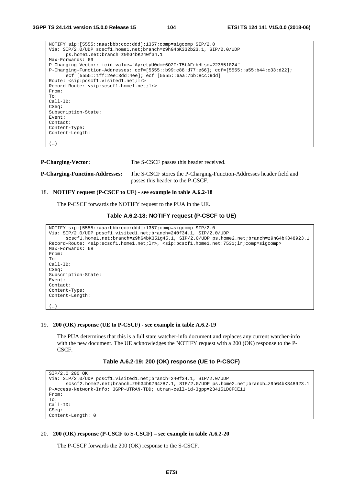| NOTIFY sip: [5555::aaa:bbb:ccc:ddd]:1357;comp=sigcomp SIP/2.0                                                                                           |
|---------------------------------------------------------------------------------------------------------------------------------------------------------|
| Via: SIP/2.0/UDP scscf1.home1.net;branch=z9hG4bK332b23.1, SIP/2.0/UDP                                                                                   |
| ps.home1.net;branch=z9hG4bK240f34.1                                                                                                                     |
| Max-Forwards: 69                                                                                                                                        |
| P-Charging-Vector: icid-value="AyretyU0dm+602IrT5tAFrbHLso=223551024"                                                                                   |
| $P-Charginq-Function-Addresses: ccf=[5555::b99:c88:d77:e66]; ccf=[5555::a55:b44:c33:d22];$<br>$ect=[5555::1ff:2ee:3dd:4ee];ect=[5555::6aa:7bb:8cc:9dd]$ |
| Route: <sip:pcscf1.visited1.net;lr></sip:pcscf1.visited1.net;lr>                                                                                        |
| Record-Route: <sip:scscf1.home1.net;lr></sip:scscf1.home1.net;lr>                                                                                       |
| From:                                                                                                                                                   |
| To:                                                                                                                                                     |
| $Call-ID:$                                                                                                                                              |
| CSeq:                                                                                                                                                   |
| Subscription-State:                                                                                                                                     |
| Event:                                                                                                                                                  |
| Contact:                                                                                                                                                |
| Content-Type:                                                                                                                                           |
| Content-Length:                                                                                                                                         |
|                                                                                                                                                         |
| (  )                                                                                                                                                    |

**P-Charging-Vector:** The S-CSCF passes this header received.

```
P-Charging-Function-Addresses: The S-CSCF stores the P-Charging-Function-Addresses header field and 
                                    passes this header to the P-CSCF.
```
## 18. **NOTIFY request (P-CSCF to UE) - see example in table A.6.2-18**

The P-CSCF forwards the NOTIFY request to the PUA in the UE.

#### **Table A.6.2-18: NOTIFY request (P-CSCF to UE)**

```
NOTIFY sip:[5555::aaa:bbb:ccc:ddd]:1357;comp=sigcomp SIP/2.0 
Via: SIP/2.0/UDP pcscf1.visited1.net;branch=240f34.1, SIP/2.0/UDP 
      scscf1.home1.net;branch=z9hG4bK351g45.1, SIP/2.0/UDP ps.home2.net;branch=z9hG4bK348923.1 
Record-Route: <sip:scscf1.home1.net;lr>, <sip:pcscf1.home1.net:7531;lr;comp=sigcomp> 
Max-Forwards: 68 
From: 
To: 
Call-ID: 
CSeq: 
Subscription-State: 
Event: 
Contact: 
Content-Type: 
Content-Length: 
(…)
```
#### 19. **200 (OK) response (UE to P-CSCF) - see example in table A.6.2-19**

 The PUA determines that this is a full state watcher-info document and replaces any current watcher-info with the new document. The UE acknowledges the NOTIFY request with a 200 (OK) response to the P-CSCF.

#### **Table A.6.2-19: 200 (OK) response (UE to P-CSCF)**

```
SIP/2.0 200 OK 
Via: SIP/2.0/UDP pcscf1.visited1.net;branch=240f34.1, SIP/2.0/UDP 
      scscf2.home2.net;branch=z9hG4bK764z87.1, SIP/2.0/UDP ps.home2.net;branch=z9hG4bK348923.1 
P-Access-Network-Info: 3GPP-UTRAN-TDD; utran-cell-id-3gpp=234151D0FCE11 
From: 
To: 
Call-ID: 
CSeq: 
Content-Length: 0
```
#### 20. **200 (OK) response (P-CSCF to S-CSCF) – see example in table A.6.2-20**

The P-CSCF forwards the 200 (OK) response to the S-CSCF.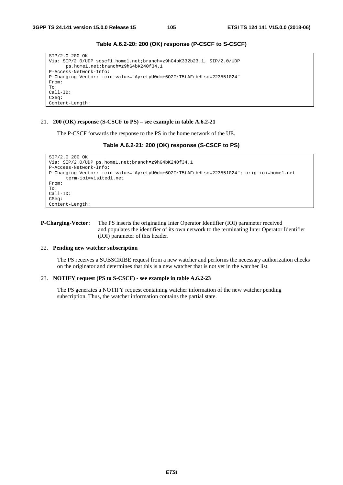| SIP/2.0 200 OK                                                        |
|-----------------------------------------------------------------------|
| Via: SIP/2.0/UDP scscf1.home1.net;branch=z9hG4bK332b23.1, SIP/2.0/UDP |
| ps.home1.net;branch=z9hG4bK240f34.1                                   |
| P-Access-Network-Info:                                                |
| P-Charging-Vector: icid-value="AyretyU0dm+6O2IrT5tAFrbHLso=223551024" |
| From:                                                                 |
| To:                                                                   |
| $Call-ID:$                                                            |
| CSeq:                                                                 |
| Content-Length:                                                       |

# **Table A.6.2-20: 200 (OK) response (P-CSCF to S-CSCF)**

#### 21. **200 (OK) response (S-CSCF to PS) – see example in table A.6.2-21**

The P-CSCF forwards the response to the PS in the home network of the UE.

#### **Table A.6.2-21: 200 (OK) response (S-CSCF to PS)**

```
SIP/2.0 200 OK 
Via: SIP/2.0/UDP ps.home1.net;branch=z9hG4bK240f34.1 
P-Access-Network-Info: 
P-Charging-Vector: icid-value="AyretyU0dm+6O2IrT5tAFrbHLso=223551024"; orig-ioi=home1.net 
      term-ioi=visited1.net 
From: 
To: 
Call-ID: 
CSeq: 
Content-Length:
```
# **P-Charging-Vector:** The PS inserts the originating Inter Operator Identifier (IOI) parameter received and.populates the identifier of its own network to the terminating Inter Operator Identifier (IOI) parameter of this header.

#### 22. **Pending new watcher subscription**

 The PS receives a SUBSCRIBE request from a new watcher and performs the necessary authorization checks on the originator and determines that this is a new watcher that is not yet in the watcher list.

#### 23. **NOTIFY request (PS to S-CSCF) - see example in table A.6.2-23**

 The PS generates a NOTIFY request containing watcher information of the new watcher pending subscription. Thus, the watcher information contains the partial state.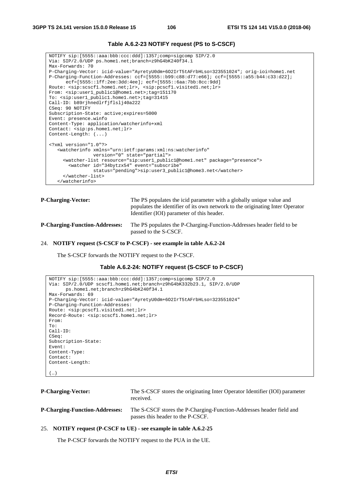```
NOTIFY sip:[5555::aaa:bbb:ccc:ddd]:1357;comp=sigcomp SIP/2.0 
Via: SIP/2.0/UDP ps.home1.net;branch=z9hG4bK240f34.1 
Max-Forwards: 70 
P-Charging-Vector: icid-value="AyretyU0dm+6O2IrT5tAFrbHLso=323551024"; orig-ioi=home1.net 
P-Charging-Function-Addresses: ccf=[5555::b99:c88:d77:e66]; ccf=[5555::a55:b44:c33:d22]; 
      ecf=[5555::1ff:2ee:3dd:4ee]; ecf=[5555::6aa:7bb:8cc:9dd] 
Route: <sip:scscf1.home1.net;lr>, <sip:pcscf1.visited1.net;lr> 
From: <sip:user1_public1@home1.net>;tag=151170 
To: <sip:user1_public1.home1.net>;tag=31415 
Call-ID: b89rjhnedlrfjflslj40a222 
CSeq: 90 NOTIFY 
Subscription-State: active;expires=5000 
Event: presence.winfo 
Content-Type: application/watcherinfo+xml 
Contact: <sip:ps.home1.net;lr> 
Content-Length: (...) 
<?xml version="1.0"?> 
    <watcherinfo xmlns="urn:ietf:params:xml:ns:watcherinfo" 
                 version="0" state="partial"> 
      <watcher-list resource="sip:user1_public1@home1.net" package="presence"> 
       <watcher id="34bytzx54" event="subscribe" 
                 status="pending">sip:user3_public1@home3.net</watcher> 
      </watcher-list> 
    </watcherinfo>
```
# **Table A.6.2-23 NOTIFY request (PS to S-CSCF)**

**P-Charging-Vector:** The PS populates the icid parameter with a globally unique value and populates the identifier of its own network to the originating Inter Operator Identifier (IOI) parameter of this header.

**P-Charging-Function-Addresses:** The PS populates the P-Charging-Function-Addresses header field to be passed to the S-CSCF.

#### 24. **NOTIFY request (S-CSCF to P-CSCF) - see example in table A.6.2-24**

The S-CSCF forwards the NOTIFY request to the P-CSCF.

```
Table A.6.2-24: NOTIFY request (S-CSCF to P-CSCF)
```

```
NOTIFY sip:[5555::aaa:bbb:ccc:ddd]:1357;comp=sigcomp SIP/2.0 
Via: SIP/2.0/UDP scscf1.home1.net;branch=z9hG4bK332b23.1, SIP/2.0/UDP 
     ps.home1.net;branch=z9hG4bK240f34.1 
Max-Forwards: 69 
P-Charging-Vector: icid-value="AyretyU0dm+6O2IrT5tAFrbHLso=323551024" 
P-Charging-Function-Addresses: 
Route: <sip:pcscf1.visited1.net;lr> 
Record-Route: <sip:scscf1.home1.net;lr> 
From: 
To: 
Call-ID: 
CSeq: 
Subscription-State: 
Event: 
Content-Type: 
Contact: 
Content-Length: 
(…)
```

| <b>P-Charging-Vector:</b>             | The S-CSCF stores the originating Inter Operator Identifier (IOI) parameter<br>received.                  |
|---------------------------------------|-----------------------------------------------------------------------------------------------------------|
| <b>P-Charging-Function-Addresses:</b> | The S-CSCF stores the P-Charging-Function-Addresses header field and<br>passes this header to the P-CSCF. |

#### 25. **NOTIFY request (P-CSCF to UE) - see example in table A.6.2-25**

The P-CSCF forwards the NOTIFY request to the PUA in the UE.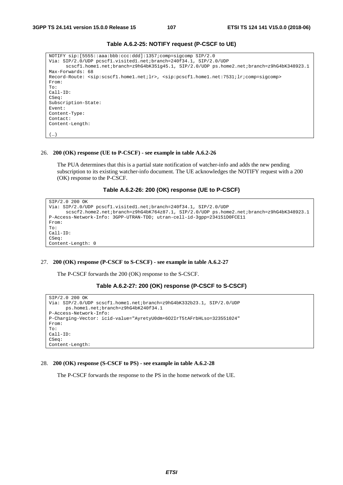```
NOTIFY sip:[5555::aaa:bbb:ccc:ddd]:1357;comp=sigcomp SIP/2.0 
Via: SIP/2.0/UDP pcscf1.visited1.net;branch=240f34.1, SIP/2.0/UDP 
      scscf1.home1.net;branch=z9hG4bK351g45.1, SIP/2.0/UDP ps.home2.net;branch=z9hG4bK348923.1 
Max-Forwards: 68 
Record-Route: <sip:scscf1.home1.net;lr>, <sip:pcscf1.home1.net:7531;lr;comp=sigcomp> 
From: 
To: 
Call-ID: 
CSeq: 
Subscription-State: 
Event: 
Content-Type: 
Contact:
Content-Length: 
(…)
```
## **Table A.6.2-25: NOTIFY request (P-CSCF to UE)**

#### 26. **200 (OK) response (UE to P-CSCF) - see example in table A.6.2-26**

 The PUA determines that this is a partial state notification of watcher-info and adds the new pending subscription to its existing watcher-info document. The UE acknowledges the NOTIFY request with a 200 (OK) response to the P-CSCF.

# **Table A.6.2-26: 200 (OK) response (UE to P-CSCF)**

```
SIP/2.0 200 OK 
Via: SIP/2.0/UDP pcscf1.visited1.net;branch=240f34.1, SIP/2.0/UDP 
      scscf2.home2.net;branch=z9hG4bK764z87.1, SIP/2.0/UDP ps.home2.net;branch=z9hG4bK348923.1 
P-Access-Network-Info: 3GPP-UTRAN-TDD; utran-cell-id-3gpp=234151D0FCE11 
From: 
To: 
Call-ID: 
CSeq: 
Content-Length: 0
```
#### 27. **200 (OK) response (P-CSCF to S-CSCF) - see example in table A.6.2-27**

The P-CSCF forwards the 200 (OK) response to the S-CSCF.

#### **Table A.6.2-27: 200 (OK) response (P-CSCF to S-CSCF)**

```
SIP/2.0 200 OK 
Via: SIP/2.0/UDP scscf1.home1.net;branch=z9hG4bK332b23.1, SIP/2.0/UDP 
      ps.home1.net;branch=z9hG4bK240f34.1 
P-Access-Network-Info: 
P-Charging-Vector: icid-value="AyretyU0dm+6O2IrT5tAFrbHLso=323551024" 
From: 
To: 
Call-ID: 
CSeq: 
Content-Length:
```
#### 28. **200 (OK) response (S-CSCF to PS) - see example in table A.6.2-28**

The P-CSCF forwards the response to the PS in the home network of the UE.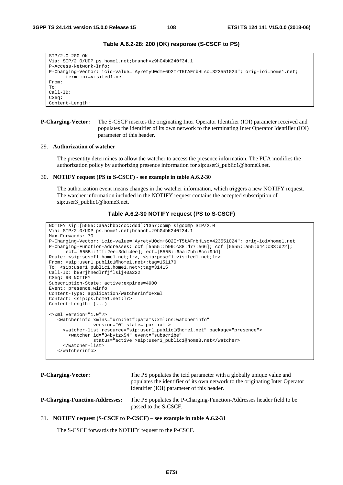```
Table A.6.2-28: 200 (OK) response (S-CSCF to PS)
```

```
SIP/2.0 200 OK 
Via: SIP/2.0/UDP ps.home1.net;branch=z9hG4bK240f34.1 
P-Access-Network-Info: 
P-Charging-Vector: icid-value="AyretyU0dm+6O2IrT5tAFrbHLso=323551024"; orig-ioi=home1.net; 
      term-ioi=visited1.net 
From: 
To: 
Call-ID: 
CSeq: 
Content-Length:
```
### **P-Charging-Vector:** The S-CSCF insertes the originating Inter Operator Identifier (IOI) parameter received and populates the identifier of its own network to the terminating Inter Operator Identifier (IOI) parameter of this header.

#### 29. **Authorization of watcher**

 The presentity determines to allow the watcher to access the presence information. The PUA modifies the authorization policy by authorizing presence information for sip:user3\_public1@home3.net.

#### 30. **NOTIFY request (PS to S-CSCF) - see example in table A.6.2-30**

 The authorization event means changes in the watcher information, which triggers a new NOTIFY request. The watcher information included in the NOTIFY request contains the accepted subscription of sip:user3\_public1@home3.net.

# **Table A.6.2-30 NOTIFY request (PS to S-CSCF)**

```
NOTIFY sip:[5555::aaa:bbb:ccc:ddd]:1357;comp=sigcomp SIP/2.0 
Via: SIP/2.0/UDP ps.home1.net;branch=z9hG4bK240f34.1 
Max-Forwards: 70 
P-Charging-Vector: icid-value="AyretyU0dm+6O2IrT5tAFrbHLso=423551024"; orig-ioi=home1.net 
P-Charging-Function-Addresses: ccf=[5555::b99:c88:d77:e66]; ccf=[5555::a55:b44:c33:d22]; 
      ecf=[5555::1ff:2ee:3dd:4ee]; ecf=[5555::6aa:7bb:8cc:9dd] 
Route: <sip:scscf1.home1.net;lr>, <sip:pcscf1.visited1.net;lr> 
From: <sip:user1_public1@home1.net>;tag=151170 
To: <sip:user1_public1.home1.net>;tag=31415 
Call-ID: b89rjhnedlrfjflslj40a222 
CSeq: 90 NOTIFY 
Subscription-State: active;expires=4900 
Event: presence.winfo 
Content-Type: application/watcherinfo+xml 
Contact: <sip:ps.home1.net;lr> 
Content-Length: (...) 
<?xml version="1.0"?> 
    <watcherinfo xmlns="urn:ietf:params:xml:ns:watcherinfo" 
                 version="0" state="partial"> 
      <watcher-list resource="sip:user1_public1@home1.net" package="presence"> 
       <watcher id="34bytzx54" event="subscribe" 
                 status="active">sip:user3_public1@home3.net</watcher> 
      </watcher-list> 
    </watcherinfo>
```
**P-Charging-Vector:** The PS populates the icid parameter with a globally unique value and populates the identifier of its own network to the originating Inter Operator Identifier (IOI) parameter of this header. **P-Charging-Function-Addresses:** The PS populates the P-Charging-Function-Addresses header field to be passed to the S-CSCF.

#### 31. **NOTIFY request (S-CSCF to P-CSCF) – see example in table A.6.2-31**

The S-CSCF forwards the NOTIFY request to the P-CSCF.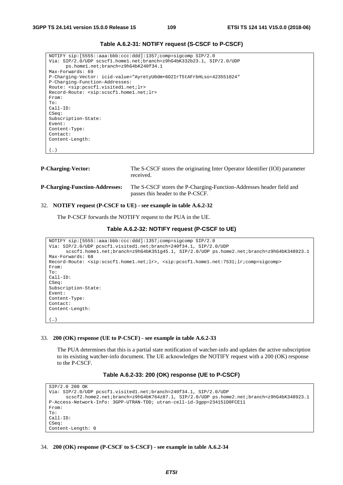**Table A.6.2-31: NOTIFY request (S-CSCF to P-CSCF)** 

```
NOTIFY sip:[5555::aaa:bbb:ccc:ddd]:1357;comp=sigcomp SIP/2.0 
Via: SIP/2.0/UDP scscf1.home1.net;branch=z9hG4bK332b23.1, SIP/2.0/UDP 
     ps.home1.net;branch=z9hG4bK240f34.1 
Max-Forwards: 69 
P-Charging-Vector: icid-value="AyretyU0dm+6O2IrT5tAFrbHLso=423551024" 
P-Charging-Function-Addresses: 
Route: <sip:pcscf1.visited1.net;lr> 
Record-Route: <sip:scscf1.home1.net;lr> 
From: 
To: 
Call-ID: 
CSeq: 
Subscription-State: 
Event: 
Content-Type: 
Contact: 
Content-Length: 
(…)
```

```
P-Charging-Vector: The S-CSCF stores the originating Inter Operator Identifier (IOI) parameter 
                                   received. 
P-Charging-Function-Addresses: The S-CSCF stores the P-Charging-Function-Addresses header field and 
                                   passes this header to the P-CSCF.
```
#### 32. **NOTIFY request (P-CSCF to UE) - see example in table A.6.2-32**

The P-CSCF forwards the NOTIFY request to the PUA in the UE.

#### **Table A.6.2-32: NOTIFY request (P-CSCF to UE)**

```
NOTIFY sip:[5555::aaa:bbb:ccc:ddd]:1357;comp=sigcomp SIP/2.0 
Via: SIP/2.0/UDP pcscf1.visited1.net;branch=240f34.1, SIP/2.0/UDP 
      scscf1.home1.net;branch=z9hG4bK351g45.1, SIP/2.0/UDP ps.home2.net;branch=z9hG4bK348923.1 
Max-Forwards: 68 
Record-Route: <sip:scscf1.home1.net;lr>, <sip:pcscf1.home1.net:7531;lr;comp=sigcomp> 
From: 
T<sub>0</sub>:
Call-ID: 
CSeq: 
Subscription-State: 
Event: 
Content-Type: 
Contact: 
Content-Length: 
(…)
```
# 33. **200 (OK) response (UE to P-CSCF) - see example in table A.6.2-33**

 The PUA determines that this is a partial state notification of watcher-info and updates the active subscription to its existing watcher-info document. The UE acknowledges the NOTIFY request with a 200 (OK) response to the P-CSCF.

#### **Table A.6.2-33: 200 (OK) response (UE to P-CSCF)**

```
SIP/2.0 200 OK 
Via: SIP/2.0/UDP pcscf1.visited1.net;branch=240f34.1, SIP/2.0/UDP 
      scscf2.home2.net;branch=z9hG4bK764z87.1, SIP/2.0/UDP ps.home2.net;branch=z9hG4bK348923.1 
P-Access-Network-Info: 3GPP-UTRAN-TDD; utran-cell-id-3gpp=234151D0FCE11 
From: 
To: 
Call-ID: 
CSeq: 
Content-Length: 0
```
34. **200 (OK) response (P-CSCF to S-CSCF) - see example in table A.6.2-34**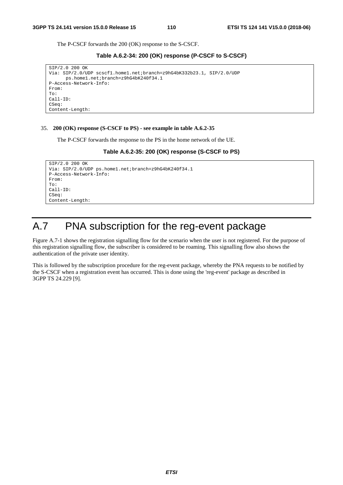The P-CSCF forwards the 200 (OK) response to the S-CSCF.

```
Table A.6.2-34: 200 (OK) response (P-CSCF to S-CSCF)
```

```
SIP/2.0 200 OK 
Via: SIP/2.0/UDP scscf1.home1.net;branch=z9hG4bK332b23.1, SIP/2.0/UDP 
      ps.home1.net;branch=z9hG4bK240f34.1 
P-Access-Network-Info: 
From: 
To: 
Call-ID: 
CSeq: 
Content-Length:
```
#### 35. **200 (OK) response (S-CSCF to PS) - see example in table A.6.2-35**

The P-CSCF forwards the response to the PS in the home network of the UE.

#### **Table A.6.2-35: 200 (OK) response (S-CSCF to PS)**

```
SIP/2.0 200 OK 
Via: SIP/2.0/UDP ps.home1.net;branch=z9hG4bK240f34.1 
P-Access-Network-Info: 
From: 
To: 
Call-ID: 
CSeq: 
Content-Length:
```
# A.7 PNA subscription for the reg-event package

Figure A.7-1 shows the registration signalling flow for the scenario when the user is not registered. For the purpose of this registration signalling flow, the subscriber is considered to be roaming. This signalling flow also shows the authentication of the private user identity.

This is followed by the subscription procedure for the reg-event package, whereby the PNA requests to be notified by the S-CSCF when a registration event has occurred. This is done using the 'reg-event' package as described in 3GPP TS 24.229 [9].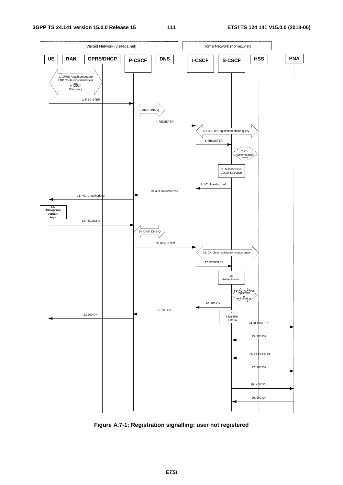



**Figure A.7-1: Registration signalling: user not registered**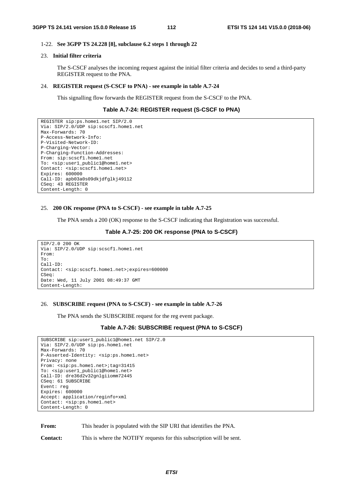#### 1-22. **See 3GPP TS 24.228 [8], subclause 6.2 steps 1 through 22**

#### 23. **Initial filter criteria**

 The S-CSCF analyses the incoming request against the initial filter criteria and decides to send a third-party REGISTER request to the PNA.

#### 24. **REGISTER request (S-CSCF to PNA) - see example in table A.7-24**

This signalling flow forwards the REGISTER request from the S-CSCF to the PNA.

#### **Table A.7-24: REGISTER request (S-CSCF to PNA)**

```
REGISTER sip:ps.home1.net SIP/2.0 
Via: SIP/2.0/UDP sip:scscf1.home1.net 
Max-Forwards: 70 
P-Access-Network-Info: 
P-Visited-Network-ID: 
P-Charging-Vector: 
P-Charging-Function-Addresses: 
From: sip:scscf1.home1.net 
To: <sip:user1_public1@home1.net> 
Contact: <sip:scscf1.home1.net> 
Expires: 600000 
Call-ID: apb03a0s09dkjdfglkj49112 
CSeq: 43 REGISTER 
Content-Length: 0
```
#### 25. **200 OK response (PNA to S-CSCF) - see example in table A.7-25**

The PNA sends a 200 (OK) response to the S-CSCF indicating that Registration was successful.

#### **Table A.7-25: 200 OK response (PNA to S-CSCF)**

```
SIP/2.0 200 OK 
Via: SIP/2.0/UDP sip:scscf1.home1.net 
From: 
To: 
Call-ID: 
Contact: <sip:scscf1.home1.net>;expires=600000 
CSeq: 
Date: Wed, 11 July 2001 08:49:37 GMT 
Content-Length:
```
#### 26. **SUBSCRIBE request (PNA to S-CSCF) - see example in table A.7-26**

The PNA sends the SUBSCRIBE request for the reg event package.

#### **Table A.7-26: SUBSCRIBE request (PNA to S-CSCF)**

```
SUBSCRIBE sip:user1_public1@home1.net SIP/2.0 
Via: SIP/2.0/UDP sip:ps.home1.net 
Max-Forwards: 70 
P-Asserted-Identity: <sip:ps.home1.net> 
Privacy: none 
From: <sip:ps.home1.net>;tag=31415 
To: <sip:user1_public1@home1.net> 
Call-ID: dre36d2v32gnlgiiomm72445 
CSeq: 61 SUBSCRIBE 
Event: reg 
Expires: 600000 
Accept: application/reginfo+xml 
Contact: <sip:ps.home1.net> 
Content-Length: 0
```
From: This header is populated with the SIP URI that identifies the PNA.

**Contact:** This is where the NOTIFY requests for this subscription will be sent.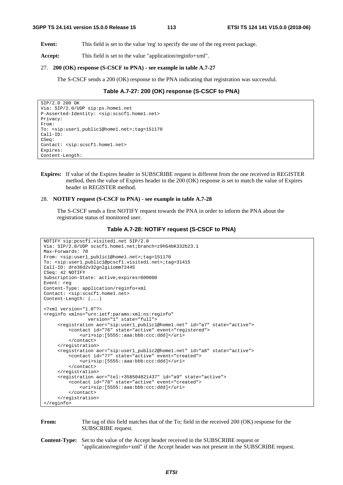**Event:** This field is set to the value 'reg' to specify the use of the reg event package.

Accept: This field is set to the value "application/reginfo+xml".

#### 27. **200 (OK) response (S-CSCF to PNA) - see example in table A.7-27**

The S-CSCF sends a 200 (OK) response to the PNA indicating that registration was successful.

#### **Table A.7-27: 200 (OK) response (S-CSCF to PNA)**

```
SIP/2.0 200 OK 
Via: SIP/2.0/UDP sip:ps.home1.net 
P-Asserted-Identity: <sip:scscf1.home1.net> 
Privacy: 
From: 
To: <sip:user1_public1@home1.net>;tag=151170
Call-ID: 
CSeq: 
Contact: <sip:scscf1.home1.net> 
Expires: 
Content-Length:
```
**Expires:** If value of the Expires header in SUBSCRIBE request is different from the one received in REGISTER method, then the value of Expires header in the 200 (OK) response is set to match the value of Expires header in REGISTER method.

#### 28. **NOTIFY request (S-CSCF to PNA) - see example in table A.7-28**

 The S-CSCF sends a first NOTIFY request towards the PNA in order to inform the PNA about the registration status of monitored user.

#### **Table A.7-28: NOTIFY request (S-CSCF to PNA)**

```
NOTIFY sip:pcscf1.visited1.net SIP/2.0 
Via: SIP/2.0/UDP scscf1.home1.net;branch=z9hG4bK332b23.1 
Max-Forwards: 70 
From: <sip:user1_public1@home1.net>;tag=151170 
To: <sip:user1_public1@pcscf1.visited1.net>;tag=31415 
Call-ID: dre36d2v32gnlgiiomm72445 
CSeq: 42 NOTIFY 
Subscription-State: active;expires=600000 
Event: reg 
Content-Type: application/reginfo+xml 
Contact: <sip:scscf1.home1.net> 
Content-Length: (...) 
<?xml version="1.0"?> 
<reginfo xmlns="urn:ietf:params:xml:ns:reginfo" 
                 version="1" state="full"> 
      <registration aor="sip:user1_public1@home1.net" id="a7" state="active"> 
         <contact id="76" state="active" event="registered"> 
              <uri>sip:[5555::aaa:bbb:ccc:ddd]</uri> 
          </contact> 
      </registration> 
      <registration aor="sip:user1_public2@home1.net" id="a8" state="active"> 
          <contact id="77" state="active" event="created"> 
              <uri>sip:[5555::aaa:bbb:ccc:ddd]</uri> 
          </contact> 
      </registration> 
      <registration aor="tel:+358504821437" id="a9" state="active"> 
          <contact id="78" state="active" event="created"> 
              <uri>sip:[5555::aaa:bbb:ccc:ddd]</uri> 
          </contact> 
      </registration> 
</reginfo>
```
#### **From:** The tag of this field matches that of the To; field in the received 200 (OK) response for the SUBSCRIBE request.

**Content-Type:** Set to the value of the Accept header received in the SUBSCRIBE request or "application/reginfo+xml" if the Accept header was not present in the SUBSCRIBE request.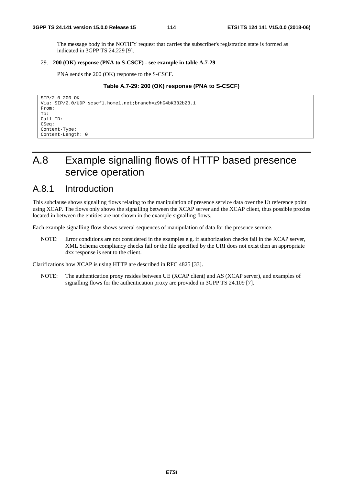The message body in the NOTIFY request that carries the subscriber's registration state is formed as indicated in 3GPP TS 24.229 [9].

# 29. **200 (OK) response (PNA to S-CSCF) - see example in table A.7-29**

PNA sends the 200 (OK) response to the S-CSCF.

# **Table A.7-29: 200 (OK) response (PNA to S-CSCF)**

```
SIP/2.0 200 OK 
Via: SIP/2.0/UDP scscf1.home1.net;branch=z9hG4bK332b23.1 
From: 
To: 
Call-ID: 
CSeq: 
Content-Type: 
Content-Length: 0
```
# A.8 Example signalling flows of HTTP based presence service operation

# A.8.1 Introduction

This subclause shows signalling flows relating to the manipulation of presence service data over the Ut reference point using XCAP. The flows only shows the signalling between the XCAP server and the XCAP client, thus possible proxies located in between the entities are not shown in the example signalling flows.

Each example signalling flow shows several sequences of manipulation of data for the presence service.

NOTE: Error conditions are not considered in the examples e.g. if authorization checks fail in the XCAP server, XML Schema compliancy checks fail or the file specified by the URI does not exist then an appropriate 4xx response is sent to the client.

Clarifications how XCAP is using HTTP are described in RFC 4825 [33].

NOTE: The authentication proxy resides between UE (XCAP client) and AS (XCAP server), and examples of signalling flows for the authentication proxy are provided in 3GPP TS 24.109 [7].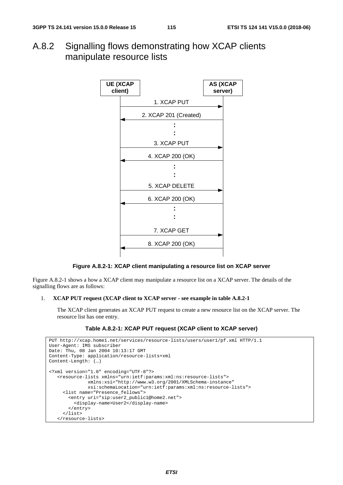A.8.2 Signalling flows demonstrating how XCAP clients manipulate resource lists



#### **Figure A.8.2-1: XCAP client manipulating a resource list on XCAP server**

Figure A.8.2-1 shows a how a XCAP client may manipulate a resource list on a XCAP server. The details of the signalling flows are as follows:

#### 1. **XCAP PUT request (XCAP client to XCAP server - see example in table A.8.2-1**

 The XCAP client generates an XCAP PUT request to create a new resource list on the XCAP server. The resource list has one entry.

### **Table A.8.2-1: XCAP PUT request (XCAP client to XCAP server)**

```
PUT http://xcap.home1.net/services/resource-lists/users/user1/pf.xml HTTP/1.1 
User-Agent: IMS subscriber 
Date: Thu, 08 Jan 2004 10:13:17 GMT 
Content-Type: application/resource-lists+xml 
Content-Length: (…) 
<?xml version="1.0" encoding="UTF-8"?> 
    <resource-lists xmlns="urn:ietf:params:xml:ns:resource-lists"> 
               xmlns:xsi="http://www.w3.org/2001/XMLSchema-instance" 
               xsi:schemaLocation="urn:ietf:params:xml:ns:resource-lists"> 
      <list name="Presence_fellows"> 
        <entry uri="sip:user2_public1@home2.net"> 
          <display-name>User2</display-name> 
        </entry> 
      </list> 
    </resource-lists>
```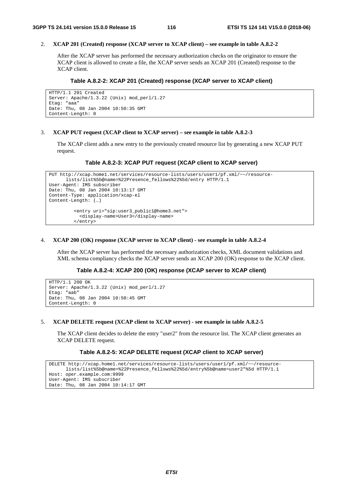# 2. **XCAP 201 (Created) response (XCAP server to XCAP client) – see example in table A.8.2-2**

 After the XCAP server has performed the necessary authorization checks on the originator to ensure the XCAP client is allowed to create a file, the XCAP server sends an XCAP 201 (Created) response to the XCAP client.

# **Table A.8.2-2: XCAP 201 (Created) response (XCAP server to XCAP client)**

```
HTTP/1.1 201 Created 
Server: Apache/1.3.22 (Unix) mod_perl/1.27 
Etag: "aaa" 
Date: Thu, 08 Jan 2004 10:50:35 GMT 
Content-Length: 0
```
# 3. **XCAP PUT request (XCAP client to XCAP server) – see example in table A.8.2-3**

 The XCAP client adds a new entry to the previously created resource list by generating a new XCAP PUT request.

# **Table A.8.2-3: XCAP PUT request (XCAP client to XCAP server)**

```
PUT http://xcap.home1.net/services/resource-lists/users/user1/pf.xml/~~/resource-
      lists/list%5b@name=%22Presence_fellows%22%5d/entry HTTP/1.1 
User-Agent: IMS subscriber 
Date: Thu, 08 Jan 2004 10:13:17 GMT 
Content-Type: application/xcap-el 
Content-Length: (…) 
          <entry uri="sip:user3_public1@home3.net"> 
            <display-name>User3</display-name> 
          </entry>
```
# 4. **XCAP 200 (OK) response (XCAP server to XCAP client) - see example in table A.8.2-4**

 After the XCAP server has performed the necessary authorization checks, XML document validations and XML schema compliancy checks the XCAP server sends an XCAP 200 (OK) response to the XCAP client.

# **Table A.8.2-4: XCAP 200 (OK) response (XCAP server to XCAP client)**

```
HTTP/1.1 200 OK 
Server: Apache/1.3.22 (Unix) mod_perl/1.27 
Etag: "aab" 
Date: Thu, 08 Jan 2004 10:50:45 GMT 
Content-Length: 0
```
# 5. **XCAP DELETE request (XCAP client to XCAP server) - see example in table A.8.2-5**

 The XCAP client decides to delete the entry "user2" from the resource list. The XCAP client generates an XCAP DELETE request.

# **Table A.8.2-5: XCAP DELETE request (XCAP client to XCAP server)**

```
DELETE http://xcap.home1.net/services/resource-lists/users/user1/pf.xml/~~/resource-
      lists/list%5b@name=%22Presence_fellows%22%5d/entry%5b@name=user2"%5d HTTP/1.1 
Host: oper.example.com:9999 
User-Agent: IMS subscriber 
Date: Thu, 08 Jan 2004 10:14:17 GMT
```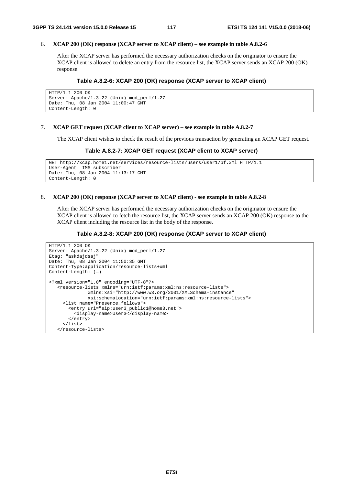#### 6. **XCAP 200 (OK) response (XCAP server to XCAP client) – see example in table A.8.2-6**

 After the XCAP server has performed the necessary authorization checks on the originator to ensure the XCAP client is allowed to delete an entry from the resource list, the XCAP server sends an XCAP 200 (OK) response.

#### **Table A.8.2-6: XCAP 200 (OK) response (XCAP server to XCAP client)**

```
HTTP/1.1 200 OK 
Server: Apache/1.3.22 (Unix) mod_perl/1.27 
Date: Thu, 08 Jan 2004 11:00:47 GMT 
Content-Length: 0
```
#### 7. **XCAP GET request (XCAP client to XCAP server) – see example in table A.8.2-7**

The XCAP client wishes to check the result of the previous transaction by generating an XCAP GET request.

#### **Table A.8.2-7: XCAP GET request (XCAP client to XCAP server)**

```
GET http://xcap.home1.net/services/resource-lists/users/user1/pf.xml HTTP/1.1 
User-Agent: IMS subscriber 
Date: Thu, 08 Jan 2004 11:13:17 GMT 
Content-Length: 0
```
#### 8. **XCAP 200 (OK) response (XCAP server to XCAP client) - see example in table A.8.2-8**

 After the XCAP server has performed the necessary authorization checks on the originator to ensure the XCAP client is allowed to fetch the resource list, the XCAP server sends an XCAP 200 (OK) response to the XCAP client including the resource list in the body of the response.

#### **Table A.8.2-8: XCAP 200 (OK) response (XCAP server to XCAP client)**

```
HTTP/1.1 200 OK 
Server: Apache/1.3.22 (Unix) mod_perl/1.27 
Etag: "askdajdsaj" 
Date: Thu, 08 Jan 2004 11:50:35 GMT 
Content-Type:application/resource-lists+xml 
Content-Length: (…) 
<?xml version="1.0" encoding="UTF-8"?> 
    <resource-lists xmlns="urn:ietf:params:xml:ns:resource-lists"> 
               xmlns:xsi="http://www.w3.org/2001/XMLSchema-instance" 
               xsi:schemaLocation="urn:ietf:params:xml:ns:resource-lists"> 
      <list name="Presence_fellows"> 
        <entry uri="sip:user3_public1@home3.net"> 
          <display-name>User3</display-name> 
        </entry> 
      </list> 
    </resource-lists>
```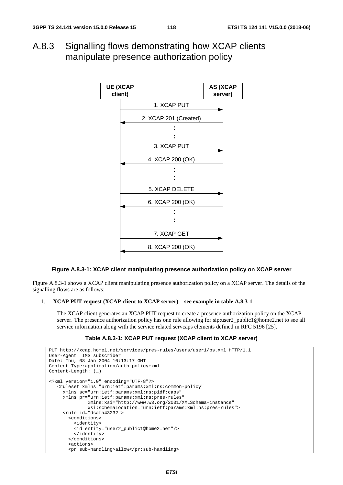A.8.3 Signalling flows demonstrating how XCAP clients manipulate presence authorization policy



# **Figure A.8.3-1: XCAP client manipulating presence authorization policy on XCAP server**

Figure A.8.3-1 shows a XCAP client manipulating presence authorization policy on a XCAP server. The details of the signalling flows are as follows:

# 1. **XCAP PUT request (XCAP client to XCAP server) – see example in table A.8.3-1**

 The XCAP client generates an XCAP PUT request to create a presence authorization policy on the XCAP server. The presence authorization policy has one rule allowing for sip:user2 public1@home2.net to see all service information along with the service related servcaps elements defined in RFC 5196 [25].

# **Table A.8.3-1: XCAP PUT request (XCAP client to XCAP server)**

```
PUT http://xcap.home1.net/services/pres-rules/users/user1/ps.xml HTTP/1.1 
User-Agent: IMS subscriber 
Date: Thu, 08 Jan 2004 10:13:17 GMT 
Content-Type:application/auth-policy+xml 
Content-Length: (…) 
<?xml version="1.0" encoding="UTF-8"?> 
    <ruleset xmlns="urn:ietf:params:xml:ns:common-policy" 
      xmlns:sc="urn:ietf:params:xml:ns:pidf:caps" 
      xmlns:pr="urn:ietf:params:xml:ns:pres-rules" 
               xmlns:xsi="http://www.w3.org/2001/XMLSchema-instance" 
               xsi:schemaLocation="urn:ietf:params:xml:ns:pres-rules"> 
      <rule id="dsafa43232"> 
        <conditions> 
          <identity> 
          <id entity="user2_public1@home2.net"/> 
          </identity> 
        </conditions> 
        <actions> 
        <pr:sub-handling>allow</pr:sub-handling>
```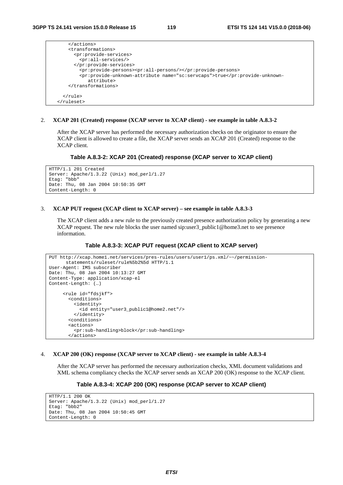```
 </actions> 
     <transformations> 
       <pr:provide-services> 
         <pr:all-services/> 
       </pr:provide-services> 
         <pr:provide-persons><pr:all-persons/></pr:provide-persons> 
         <pr:provide-unknown-attribute name="sc:servcaps">true</pr:provide-unknown-
            attribute> 
     </transformations> 
   </rule> 
 </ruleset>
```
#### 2. **XCAP 201 (Created) response (XCAP server to XCAP client) - see example in table A.8.3-2**

 After the XCAP server has performed the necessary authorization checks on the originator to ensure the XCAP client is allowed to create a file, the XCAP server sends an XCAP 201 (Created) response to the XCAP client.

#### **Table A.8.3-2: XCAP 201 (Created) response (XCAP server to XCAP client)**

```
HTTP/1.1 201 Created 
Server: Apache/1.3.22 (Unix) mod_perl/1.27 
Etag: "bbb" 
Date: Thu, 08 Jan 2004 10:50:35 GMT 
Content-Length: 0
```
#### 3. **XCAP PUT request (XCAP client to XCAP server) – see example in table A.8.3-3**

 The XCAP client adds a new rule to the previously created presence authorization policy by generating a new XCAP request. The new rule blocks the user named sip:user3\_public1@home3.net to see presence information.

#### **Table A.8.3-3: XCAP PUT request (XCAP client to XCAP server)**

```
PUT http://xcap.home1.net/services/pres-rules/users/user1/ps.xml/~~/permission-
      statements/ruleset/rule%5b2%5d HTTP/1.1 
User-Agent: IMS subscriber 
Date: Thu, 08 Jan 2004 10:13:27 GMT 
Content-Type: application/xcap-el 
Content-Length: (…) 
      <rule id="fdsjkf"> 
        <conditions> 
          <identity> 
            <id entity="user3_public1@home2.net"/> 
          </identity> 
        <conditions> 
        <actions> 
          <pr:sub-handling>block</pr:sub-handling> 
        </actions>
```
#### 4. **XCAP 200 (OK) response (XCAP server to XCAP client) - see example in table A.8.3-4**

 After the XCAP server has performed the necessary authorization checks, XML document validations and XML schema compliancy checks the XCAP server sends an XCAP 200 (OK) response to the XCAP client.

# **Table A.8.3-4: XCAP 200 (OK) response (XCAP server to XCAP client)**

```
HTTP/1.1 200 OK 
Server: Apache/1.3.22 (Unix) mod_perl/1.27 
Etag: "bbb2" 
Date: Thu, 08 Jan 2004 10:50:45 GMT 
Content-Length: 0
```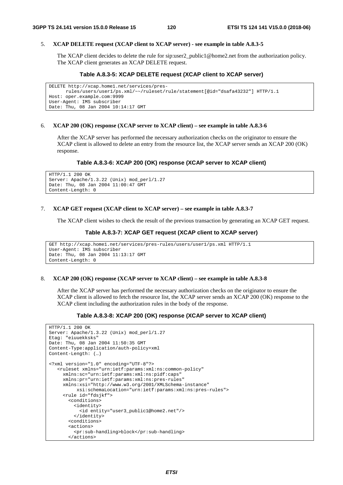#### 5. **XCAP DELETE request (XCAP client to XCAP server) - see example in table A.8.3-5**

 The XCAP client decides to delete the rule for sip:user2\_public1@home2.net from the authorization policy. The XCAP client generates an XCAP DELETE request.

# **Table A.8.3-5: XCAP DELETE request (XCAP client to XCAP server)**

```
DELETE http://xcap.home1.net/services/pres-
      rules/users/user1/ps.xml/~~/ruleset/rule/statement[@id="dsafa43232"] HTTP/1.1 
Host: oper.example.com:9999 
User-Agent: IMS subscriber 
Date: Thu, 08 Jan 2004 10:14:17 GMT
```
#### 6. **XCAP 200 (OK) response (XCAP server to XCAP client) – see example in table A.8.3-6**

 After the XCAP server has performed the necessary authorization checks on the originator to ensure the XCAP client is allowed to delete an entry from the resource list, the XCAP server sends an XCAP 200 (OK) response.

#### **Table A.8.3-6: XCAP 200 (OK) response (XCAP server to XCAP client)**

```
HTTP/1.1 200 OK 
Server: Apache/1.3.22 (Unix) mod_perl/1.27 
Date: Thu, 08 Jan 2004 11:00:47 GMT 
Content-Length: 0
```
#### 7. **XCAP GET request (XCAP client to XCAP server) – see example in table A.8.3-7**

The XCAP client wishes to check the result of the previous transaction by generating an XCAP GET request.

#### **Table A.8.3-7: XCAP GET request (XCAP client to XCAP server)**

```
GET http://xcap.home1.net/services/pres-rules/users/user1/ps.xml HTTP/1.1 
User-Agent: IMS subscriber 
Date: Thu, 08 Jan 2004 11:13:17 GMT 
Content-Length: 0
```
#### 8. **XCAP 200 (OK) response (XCAP server to XCAP client) – see example in table A.8.3-8**

 After the XCAP server has performed the necessary authorization checks on the originator to ensure the XCAP client is allowed to fetch the resource list, the XCAP server sends an XCAP 200 (OK) response to the XCAP client including the authorization rules in the body of the response.

# **Table A.8.3-8: XCAP 200 (OK) response (XCAP server to XCAP client)**

```
HTTP/1.1 200 OK 
Server: Apache/1.3.22 (Unix) mod_perl/1.27 
Etag: "eiuuekksks" 
Date: Thu, 08 Jan 2004 11:50:35 GMT 
Content-Type:application/auth-policy+xml 
Content-Length: (…) 
<?xml version="1.0" encoding="UTF-8"?> 
    <ruleset xmlns="urn:ietf:params:xml:ns:common-policy" 
      xmlns:sc="urn:ietf:params:xml:ns:pidf:caps" 
      xmlns:pr="urn:ietf:params:xml:ns:pres-rules" 
      xmlns:xsi="http://www.w3.org/2001/XMLSchema-instance" 
           xsi:schemaLocation="urn:ietf:params:xml:ns:pres-rules"> 
      <rule id="fdsjkf"> 
        <conditions> 
          <identity> 
            <id entity="user3_public1@home2.net"/> 
          </identity> 
        <conditions> 
        <actions> 
          <pr:sub-handling>block</pr:sub-handling> 
        </actions>
```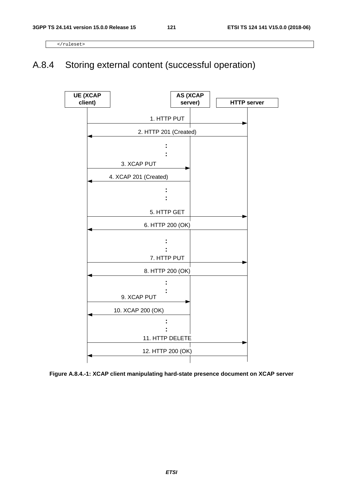</ruleset>

# A.8.4 Storing external content (successful operation)



**Figure A.8.4.-1: XCAP client manipulating hard-state presence document on XCAP server**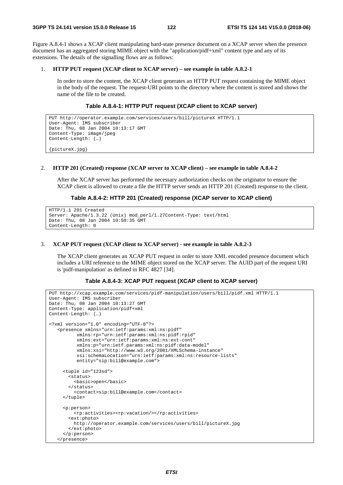Figure A.8.4-1 shows a XCAP client manipulating hard-state presence document on a XCAP server when the presence document has an aggregated storing MIME object with the "application/pidf+xml" content type and any of its extensions. The details of the signalling flows are as follows:

#### 1. **HTTP PUT request (XCAP client to XCAP server) – see example in table A.8.2-1**

 In order to store the content, the XCAP client generates an HTTP PUT request containing the MIME object in the body of the request. The request-URI points to the directory where the content is stored and shows the name of the file to be created.

# **Table A.8.4-1: HTTP PUT request (XCAP client to XCAP server)**

```
PUT http://operator.example.com/services/users/bill/pictureX HTTP/1.1 
User-Agent: IMS subscriber 
Date: Thu, 08 Jan 2004 10:13:17 GMT 
Content-Type: image/jpeg 
Content-Length: (…) 
{pictureX.jpg}
```
#### 2. **HTTP 201 (Created) response (XCAP server to XCAP client) – see example in table A.8.4-2**

 After the XCAP server has performed the necessary authorization checks on the originator to ensure the XCAP client is allowed to create a file the HTTP server sends an HTTP 201 (Created) response to the client.

#### **Table A.8.4-2: HTTP 201 (Created) response (XCAP server to XCAP client)**

```
HTTP/1.1 201 Created 
Server: Apache/1.3.22 (Unix) mod_perl/1.27Content-Type: text/html 
Date: Thu, 08 Jan 2004 10:50:35 GMT 
Content-Length: 0
```
#### 3. **XCAP PUT request (XCAP client to XCAP server) - see example in table A.8.2-3**

 The XCAP client generates an XCAP PUT request in order to store XML encoded presence document which includes a URI reference to the MIME object stored on the XCAP server. The AUID part of the request URI is 'pidf-manipulation' as defined in RFC 4827 [34].

#### **Table A.8.4-3: XCAP PUT request (XCAP client to XCAP server)**

```
PUT http://xcap.example.com/services/pidf-manipulation/users/bill/pidf.xml HTTP/1.1 
User-Agent: IMS subscriber 
Date: Thu, 08 Jan 2004 10:13:27 GMT 
Content-Type: application/pidf+xml 
Content-Length: (…) 
<?xml version="1.0" encoding="UTF-8"?> 
    <presence xmlns="urn:ietf:params:xml:ns:pidf" 
           xmlns:rp="urn:ietf:params:xml:ns:pidf:rpid" 
           xmlns:ext="urn:ietf:params:xml:ns:ext-cont" 
           xmlns:p="urn:ietf.params:xml:ns:pidf:data-model" 
           xmlns:xsi="http://www.w3.org/2001/XMLSchema-instance" 
           xsi:schemaLocation="urn:ietf:params:xml:ns:resource-lists" 
           entity="sip:bill@example.com"> 
      <tuple id="123sd"> 
        <status> 
          <basic>open</basic> 
        </status> 
          <contact>sip:bill@example.com</contact> 
      </tuple> 
      <p:person> 
          <rp:activities><rp:vacation/></rp:activities> 
        <ext:photo> 
          http://operator.example.com/services/users/bill/pictureX.jpg 
        </ext:photo> 
      </p:person> 
    </presence>
```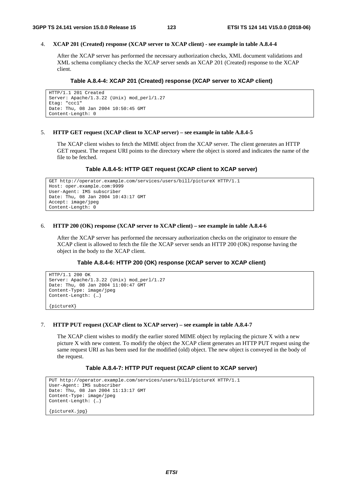# 4. **XCAP 201 (Created) response (XCAP server to XCAP client) - see example in table A.8.4-4**

 After the XCAP server has performed the necessary authorization checks, XML document validations and XML schema compliancy checks the XCAP server sends an XCAP 201 (Created) response to the XCAP client.

# **Table A.8.4-4: XCAP 201 (Created) response (XCAP server to XCAP client)**

```
HTTP/1.1 201 Created 
Server: Apache/1.3.22 (Unix) mod_perl/1.27 
Etag: "ccc1" 
Date: Thu, 08 Jan 2004 10:50:45 GMT 
Content-Length: 0
```
# 5. **HTTP GET request (XCAP client to XCAP server) – see example in table A.8.4-5**

 The XCAP client wishes to fetch the MIME object from the XCAP server. The client generates an HTTP GET request. The request URI points to the directory where the object is stored and indicates the name of the file to be fetched.

# **Table A.8.4-5: HTTP GET request (XCAP client to XCAP server)**

```
GET http://operator.example.com/services/users/bill/pictureX HTTP/1.1 
Host: oper.example.com:9999 
User-Agent: IMS subscriber 
Date: Thu, 08 Jan 2004 10:43:17 GMT 
Accept: image/jpeg 
Content-Length: 0
```
### 6. **HTTP 200 (OK) response (XCAP server to XCAP client) – see example in table A.8.4-6**

 After the XCAP server has performed the necessary authorization checks on the originator to ensure the XCAP client is allowed to fetch the file the XCAP server sends an HTTP 200 (OK) response having the object in the body to the XCAP client.

# **Table A.8.4-6: HTTP 200 (OK) response (XCAP server to XCAP client)**

```
HTTP/1.1 200 OK 
Server: Apache/1.3.22 (Unix) mod_perl/1.27 
Date: Thu, 08 Jan 2004 11:00:47 GMT 
Content-Type: image/jpeg 
Content-Length: (…)
```
{pictureX}

# 7. **HTTP PUT request (XCAP client to XCAP server) – see example in table A.8.4-7**

 The XCAP client wishes to modify the earlier stored MIME object by replacing the picture X with a new picture X with new content. To modify the object the XCAP client generates an HTTP PUT request using the same request URI as has been used for the modified (old) object. The new object is conveyed in the body of the request.

# **Table A.8.4-7: HTTP PUT request (XCAP client to XCAP server)**

```
PUT http://operator.example.com/services/users/bill/pictureX HTTP/1.1 
User-Agent: IMS subscriber 
Date: Thu, 08 Jan 2004 11:13:17 GMT 
Content-Type: image/jpeg 
Content-Length: (…) 
{pictureX.jpg}
```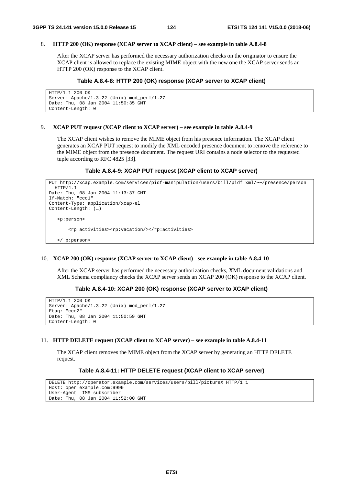### 8. **HTTP 200 (OK) response (XCAP server to XCAP client) – see example in table A.8.4-8**

 After the XCAP server has performed the necessary authorization checks on the originator to ensure the XCAP client is allowed to replace the existing MIME object with the new one the XCAP server sends an HTTP 200 (OK) response to the XCAP client.

# **Table A.8.4-8: HTTP 200 (OK) response (XCAP server to XCAP client)**

```
HTTP/1.1 200 OK 
Server: Apache/1.3.22 (Unix) mod_perl/1.27 
Date: Thu, 08 Jan 2004 11:50:35 GMT 
Content-Length: 0
```
# 9. **XCAP PUT request (XCAP client to XCAP server) – see example in table A.8.4-9**

 The XCAP client wishes to remove the MIME object from his presence information. The XCAP client generates an XCAP PUT request to modify the XML encoded presence document to remove the reference to the MIME object from the presence document. The request URI contains a node selector to the requested tuple according to RFC 4825 [33].

# **Table A.8.4-9: XCAP PUT request (XCAP client to XCAP server)**

```
PUT http://xcap.example.com/services/pidf-manipulation/users/bill/pidf.xml/~~/presence/person 
 HTTP/1.1 
Date: Thu, 08 Jan 2004 11:13:37 GMT 
If-Match: "ccc1" 
Content-Type: application/xcap-el 
Content-Length: (…) 
    <p:person> 
        <rp:activities><rp:vacation/></rp:activities> 
    </ p:person>
```
# 10. **XCAP 200 (OK) response (XCAP server to XCAP client) - see example in table A.8.4-10**

 After the XCAP server has performed the necessary authorization checks, XML document validations and XML Schema compliancy checks the XCAP server sends an XCAP 200 (OK) response to the XCAP client.

# **Table A.8.4-10: XCAP 200 (OK) response (XCAP server to XCAP client)**

```
HTTP/1.1 200 OK 
Server: Apache/1.3.22 (Unix) mod_perl/1.27 
Etag: "ccc2" 
Date: Thu, 08 Jan 2004 11:50:59 GMT 
Content-Length: 0
```
# 11. **HTTP DELETE request (XCAP client to XCAP server) – see example in table A.8.4-11**

 The XCAP client removes the MIME object from the XCAP server by generating an HTTP DELETE request.

# **Table A.8.4-11: HTTP DELETE request (XCAP client to XCAP server)**

```
DELETE http://operator.example.com/services/users/bill/pictureX HTTP/1.1 
Host: oper.example.com:9999 
User-Agent: IMS subscriber 
Date: Thu, 08 Jan 2004 11:52:00 GMT
```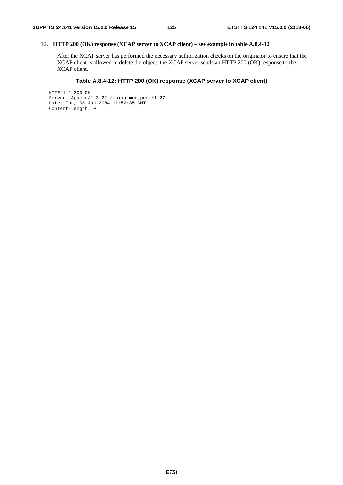# 12. **HTTP 200 (OK) response (XCAP server to XCAP client) – see example in table A.8.4-12**

 After the XCAP server has performed the necessary authorization checks on the originator to ensure that the XCAP client is allowed to delete the object, the XCAP server sends an HTTP 200 (OK) response to the XCAP client.

# **Table A.8.4-12: HTTP 200 (OK) response (XCAP server to XCAP client)**

```
HTTP/1.1 200 OK 
Server: Apache/1.3.22 (Unix) mod_perl/1.27 
Date: Thu, 08 Jan 2004 11:52:35 GMT 
Content-Length: 0
```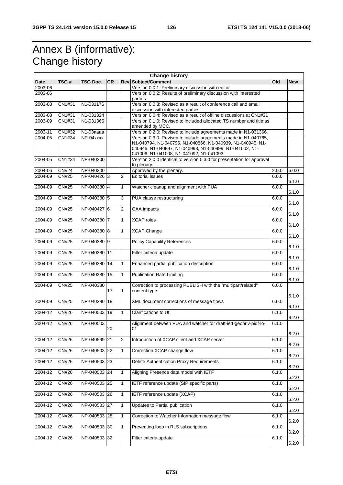# Annex B (informative): Change history

| <b>Change history</b> |              |              |           |                |                                                                                                                                                                                                                                      |       |            |
|-----------------------|--------------|--------------|-----------|----------------|--------------------------------------------------------------------------------------------------------------------------------------------------------------------------------------------------------------------------------------|-------|------------|
| Date                  | TSG#         | TSG Doc.     | <b>CR</b> |                | Rev Subject/Comment                                                                                                                                                                                                                  | Old   | <b>New</b> |
| 2003-06               |              |              |           |                | Version 0.0.1: Preliminary discussion with editor                                                                                                                                                                                    |       |            |
| 2003-06               |              |              |           |                | Version 0.0.2: Results of preliminary discussion with interested<br>parties                                                                                                                                                          |       |            |
| 2003-08               | CN1#31       | N1-031176    |           |                | Version 0.0.3: Revised as a result of conference call and email<br>discussion with interested parties                                                                                                                                |       |            |
| 2003-08               | CN1#31       | N1-031324    |           |                | Version 0.0.4: Revised as a result of offline discussions at CN1#31                                                                                                                                                                  |       |            |
| 2003-09               | CN1#31       | N1-031365    |           |                | Version 0.1.0: Revised to included allocated TS number and title as<br>amended by MCC.                                                                                                                                               |       |            |
| 2003-11               | CN1#32       | N1-03aaaa    |           |                | Version 0.2.0: Revised to include agreements made in N1-031366.                                                                                                                                                                      |       |            |
| 2004-05               | CN1#34       | NP-04xxxx    |           |                | Version 0.3.0. Revised to include agreements made in N1-040765,<br>N1-040794, N1-040795, N1-040866, N1-040939, N1-040945, N1-<br>040946, N1-040997, N1-040998, N1-040999, N1-041002, N1-<br>041006, N1-041008, N1-041092, N1-041093. |       |            |
| 2004-05               | CN1#34       | NP-040200    |           |                | Version 2.0.0 identical to version 0.3.0 for presentation for approval<br>to plenary.                                                                                                                                                |       |            |
| 2004-06               | <b>CN#24</b> | NP-040200    |           |                | Approved by the plenary.                                                                                                                                                                                                             | 2.0.0 | 6.0.0      |
| 2004-09               | <b>CN#25</b> | NP-040426 3  |           | 2              | <b>Editorial issues</b>                                                                                                                                                                                                              | 6.0.0 | 6.1.0      |
| 2004-09               | CN#25        | NP-040380 4  |           | $\mathbf{1}$   | Watcher cleanup and alignment with PUA                                                                                                                                                                                               | 6.0.0 | 6.1.0      |
| 2004-09               | <b>CN#25</b> | NP-040380 5  |           | $\mathsf 3$    | PUA clause restructuring                                                                                                                                                                                                             | 6.0.0 | 6.1.0      |
| 2004-09               | <b>CN#25</b> | NP-040427 6  |           | $\overline{2}$ | <b>GAA</b> impacts                                                                                                                                                                                                                   | 6.0.0 | 6.1.0      |
| 2004-09               | <b>CN#25</b> | NP-040380 7  |           | $\overline{1}$ | <b>XCAP</b> roles                                                                                                                                                                                                                    | 6.0.0 | 6.1.0      |
| 2004-09               | <b>CN#25</b> | NP-040380 8  |           | $\mathbf{1}$   | <b>XCAP Change</b>                                                                                                                                                                                                                   | 6.0.0 |            |
| 2004-09               | CN#25        | NP-04038019  |           |                | <b>Policy Capability References</b>                                                                                                                                                                                                  | 6.0.0 | 6.1.0      |
| 2004-09               | <b>CN#25</b> | NP-040380    | 11        |                | Filter criteria update                                                                                                                                                                                                               | 6.0.0 | 6.1.0      |
| 2004-09               | <b>CN#25</b> | NP-040380    | 14        | $\mathbf{1}$   | Enhanced partial publication description                                                                                                                                                                                             | 6.0.0 | 6.1.0      |
| 2004-09               | <b>CN#25</b> | NP-040380    | 15        | $\overline{1}$ | <b>Publication Rate Limiting</b>                                                                                                                                                                                                     | 6.0.0 | 6.1.0      |
| 2004-09               | <b>CN#25</b> | NP-040380    | 17        | $\mathbf{1}$   | Correction to processing PUBLISH with the "multipart/related"<br>content type                                                                                                                                                        | 6.0.0 | 6.1.0      |
| 2004-09               | <b>CN#25</b> | NP-040380    | 18        |                | XML document corrections of message flows                                                                                                                                                                                            | 6.0.0 | 6.1.0      |
| 2004-12               | <b>CN#26</b> | NP-040503    | 19        | $\overline{1}$ | Clarifications to Ut                                                                                                                                                                                                                 | 6.1.0 | 6.1.0      |
|                       |              |              |           |                |                                                                                                                                                                                                                                      |       | 6.2.0      |
| 2004-12               | <b>CN#26</b> | NP-040503    | 20        |                | Alignment between PUA and watcher for draft-ietf-geopriv-pidf-lo-<br>01                                                                                                                                                              | 6.1.0 |            |
| 2004-12               | <b>CN#26</b> | NP-040599 21 |           | $\overline{2}$ | Introduction of XCAP client and XCAP server                                                                                                                                                                                          | 6.1.0 | 6.2.0      |
| 2004-12               | CN#26        | NP-040503 22 |           | $\overline{1}$ | Correction XCAP change flow                                                                                                                                                                                                          | 6.1.0 | 6.2.0      |
| 2004-12               | CN#26        | NP-040503 23 |           |                | Delete Authentication Proxy Requirements                                                                                                                                                                                             | 6.1.0 | 6.2.0      |
| 2004-12               | CN#26        | NP-040503 24 |           | $\mathbf{1}$   | Aligning Presence data model with IETF                                                                                                                                                                                               | 6.1.0 | 6.2.0      |
| 2004-12               | CN#26        | NP-040503 25 |           | $\overline{1}$ | IETF reference update (SIP specific parts)                                                                                                                                                                                           | 6.1.0 | 6.2.0      |
| 2004-12               | CN#26        | NP-040503 26 |           | $\overline{1}$ | IETF reference update (XCAP)                                                                                                                                                                                                         | 6.1.0 | 6.2.0      |
| 2004-12               | CN#26        | NP-040503 27 |           | $\mathbf{1}$   | Updates to Partial publication                                                                                                                                                                                                       | 6.1.0 | 6.2.0      |
|                       |              |              |           |                |                                                                                                                                                                                                                                      |       | 6.2.0      |
| 2004-12               | CN#26        | NP-040503 28 |           | $\overline{1}$ | Correction to Watcher Information message flow                                                                                                                                                                                       | 6.1.0 | 6.2.0      |
| 2004-12               | CN#26        | NP-040503 30 |           | $\mathbf{1}$   | Preventing loop in RLS subscriptions                                                                                                                                                                                                 | 6.1.0 | 6.2.0      |
| 2004-12               | <b>CN#26</b> | NP-040503 32 |           |                | Filter criteria update                                                                                                                                                                                                               | 6.1.0 | 6.2.0      |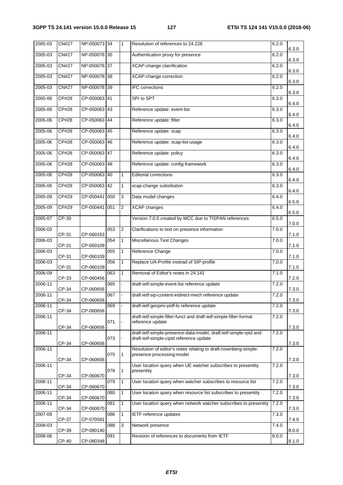| 2005-03 | <b>CN#27</b> | NP-050073 34  |     | 1                        | Resolution of references to 24.228                                                            | 6.2.0 | 6.3.0 |
|---------|--------------|---------------|-----|--------------------------|-----------------------------------------------------------------------------------------------|-------|-------|
| 2005-03 | <b>CN#27</b> | NP-050078 35  |     |                          | Authentication proxy for presence                                                             | 6.2.0 | 6.3.0 |
| 2005-03 | <b>CN#27</b> | NP-050078 37  |     |                          | XCAP-change clarrification                                                                    | 6.2.0 | 6.3.0 |
| 2005-03 | <b>CN#27</b> | NP-050078 38  |     |                          | <b>XCAP-change correction</b>                                                                 | 6.2.0 | 6.3.0 |
| 2005-03 | <b>CN#27</b> | NP-050078 39  |     |                          | IFC corrections                                                                               | 6.2.0 | 6.3.0 |
| 2005-06 | <b>CP#28</b> | CP-050063 41  |     |                          | SPI to SPT                                                                                    | 6.3.0 | 6.4.0 |
| 2005-06 | CP#28        | CP-050063 43  |     |                          | Reference update: event-list                                                                  | 6.3.0 | 6.4.0 |
| 2005-06 | CP#28        | CP-050063 44  |     |                          | Reference update: filter                                                                      | 6.3.0 | 6.4.0 |
| 2005-06 | <b>CP#28</b> | CP-050063 45  |     |                          | Reference update: xcap                                                                        | 6.3.0 | 6.4.0 |
| 2005-06 | CP#28        | CP-050063 46  |     |                          | Reference update: xcap-list-usage                                                             | 6.3.0 | 6.4.0 |
| 2005-06 | CP#28        | CP-050063 47  |     |                          | Reference update: policy                                                                      | 6.3.0 | 6.4.0 |
| 2005-06 | CP#28        | CP-050063 48  |     |                          | Reference update: config-framework                                                            | 6.3.0 | 6.4.0 |
| 2005-06 | CP#28        | CP-050063 40  |     | $\mathbf{1}$             | <b>Editorial corrections</b>                                                                  | 6.3.0 | 6.4.0 |
| 2005-06 | <b>CP#28</b> | CP-050063 42  |     | 1                        | xcap-change substitution                                                                      | 6.3.0 | 6.4.0 |
| 2005-09 | CP#29        | CP-050441 050 |     | 3                        | Data model changes                                                                            | 6.4.0 | 6.5.0 |
| 2005-09 | CP#29        | CP-050441 051 |     | 2                        | <b>XCAP</b> changes                                                                           | 6.4.0 | 6.5.0 |
| 2005-07 | $CP-30$      |               |     |                          | Version 7.0.0 created by MCC due to TISPAN references                                         | 6.5.0 | 7.0.0 |
| 2006-03 | CP-31        | CP-060163     | 053 | $\overline{2}$           | Clarifications to text on presence information                                                | 7.0.0 | 7.1.0 |
| 2006-03 | CP-31        | CP-060109     | 054 | $\mathbf{1}$             | Miscellanous Text Changes                                                                     | 7.0.0 | 7.1.0 |
| 2006-03 | CP-31        | CP-060109     | 055 | $\mathbf{1}$             | Reference Change                                                                              | 7.0.0 | 7.1.0 |
| 2006-03 | CP-31        | CP-060109     | 056 | $\mathbf{1}$             | Replace UA-Profile instead of SIP-profile                                                     | 7.0.0 | 7.1.0 |
| 2006-09 | CP-33        | CP-060456     | 063 | 1                        | Removal of Editor's notes in 24.141                                                           | 7.1.0 | 7.2.0 |
| 2006-11 | CP-34        | CP-060656     | 065 | $\overline{\phantom{a}}$ | draft-ietf-simple-event-list reference update                                                 | 7.2.0 | 7.3.0 |
| 2006-11 | CP-34        | CP-060656     | 067 | $\blacksquare$           | draft-ietf-sip-content-indirect-mech reference update                                         | 7.2.0 | 7.3.0 |
| 2006-11 | CP-34        | CP-060656     | 069 |                          | draft-ietf-geopriv-pidf-lo reference update                                                   | 7.2.0 | 7.3.0 |
| 2006-11 |              |               | 071 |                          | draft-ietf-simple-filter-funct and draft-ietf-simple-filter-format<br>reference update        | 7.2.0 |       |
| 2006-11 | CP-34        | CP-060656     |     |                          | draft-ietf-simple-presence-data-model, draft-ietf-simple-rpid and                             | 7.2.0 | 7.3.0 |
|         | CP-34        | CP-060656     | 073 |                          | draft-ietf-simple-cipid reference update                                                      |       | 7.3.0 |
| 2006-11 |              |               | 075 | 1                        | Resolution of editor's notes relating to draft-rosenberg-simple-<br>presence-processing-model | 7.2.0 |       |
| 2006-11 | CP-34        | CP-060656     |     |                          | User location query when UE watcher subscribes to presentity                                  | 7.2.0 | 7.3.0 |
|         | CP-34        | CP-060670     | 078 | 1                        | presentity                                                                                    |       | 7.3.0 |
| 2006-11 | CP-34        | CP-060670     | 079 | $\mathbf{1}$             | User location query when watcher subscribes to resource list                                  | 7.2.0 | 7.3.0 |
| 2006-11 | CP-34        | CP-060670     | 080 | $\mathbf{1}$             | User location query when resource list subscribes to presentity                               | 7.2.0 | 7.3.0 |
| 2006-11 | CP-34        | CP-060670     | 081 | $\mathbf{1}$             | User location query when network watcher subscribes to presentity                             | 7.2.0 | 7.3.0 |
| 2007-09 | CP-37        | CP-070581     | 086 | $\mathbf{1}$             | IETF reference updates                                                                        | 7.3.0 | 7.4.0 |
| 2008-03 | CP-39        | CP-080140     | 088 | 3                        | Network presence                                                                              | 7.4.0 | 8.0.0 |
| 2008-06 | CP-40        | CP-080348     | 091 |                          | Revision of references to documents from IETF                                                 | 8.0.0 | 8.1.0 |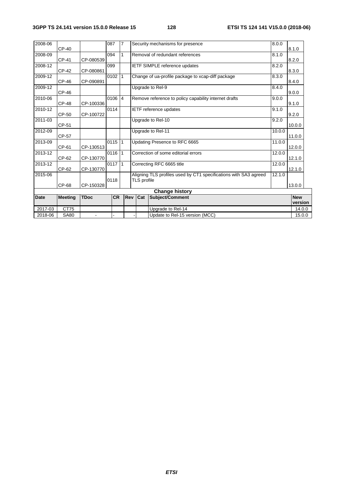| 2018-06               | <b>SA80</b>    | $\blacksquare$ |           |                |                                     | Update to Rel-15 version (MCC)                                   |        | 15.0.0                |
|-----------------------|----------------|----------------|-----------|----------------|-------------------------------------|------------------------------------------------------------------|--------|-----------------------|
| 2017-03               | CT75           |                |           |                |                                     | Upgrade to Rel-14                                                |        | 14.0.0                |
| <b>Date</b>           | <b>Meeting</b> | <b>TDoc</b>    | <b>CR</b> | Rev            | Cat                                 | Subject/Comment                                                  |        | <b>New</b><br>version |
| <b>Change history</b> |                |                |           |                |                                     |                                                                  |        |                       |
|                       | CP-68          | CP-150328      | 0118      |                | TLS profile                         |                                                                  |        | 13.0.0                |
| 2015-06               |                |                |           |                |                                     | Aligning TLS profiles used by CT1 specifications with SA3 agreed | 12.1.0 |                       |
| 2013-12               | CP-62          | CP-130770      | $0117$ 1  |                | Correcting RFC 6665 title<br>12.0.0 |                                                                  | 12.1.0 |                       |
| 2013-12               | CP-62          | CP-130770      | $0116$ 1  |                |                                     | Correction of some editorial errors                              | 12.0.0 | 12.1.0                |
| 2013-09               | CP-61          | CP-130513      | $0115$ 1  |                |                                     | Updating Presence to RFC 6665                                    | 11.0.0 | 12.0.0                |
| 2012-09               | CP-57          |                |           |                |                                     | Upgrade to Rel-11                                                | 10.0.0 | 11.0.0                |
| 2011-03               | CP-51          |                |           |                |                                     | Upgrade to Rel-10                                                | 9.2.0  | 10.0.0                |
| 2010-12               | CP-50          | CP-100722      | 0114      |                |                                     | <b>IETF</b> reference updates                                    | 9.1.0  | 9.2.0                 |
| 2010-06               | <b>CP-48</b>   | CP-100336      | 0106      | $\overline{4}$ |                                     | Remove reference to policy capability internet drafts            | 9.0.0  | 9.1.0                 |
| 2009-12               | CP-46          |                |           |                |                                     | Upgrade to Rel-9                                                 | 8.4.0  | 9.0.0                 |
| 2009-12               | CP-46          | CP-090891      | 0102      | l 1            |                                     | Change of ua-profile package to xcap-diff package                | 8.3.0  | 8.4.0                 |
| 2008-12               | CP-42          | CP-080861      | 099       |                |                                     | <b>IETF SIMPLE reference updates</b>                             | 8.2.0  | 8.3.0                 |
| 2008-09               | CP-41          | CP-080539      | 094       | $\mathbf{1}$   |                                     | Removal of redundant references                                  | 8.1.0  | 8.2.0                 |
| 2008-06               | CP-40          |                | 087       | $\overline{7}$ |                                     | Security mechanisms for presence                                 | 8.0.0  | 8.1.0                 |